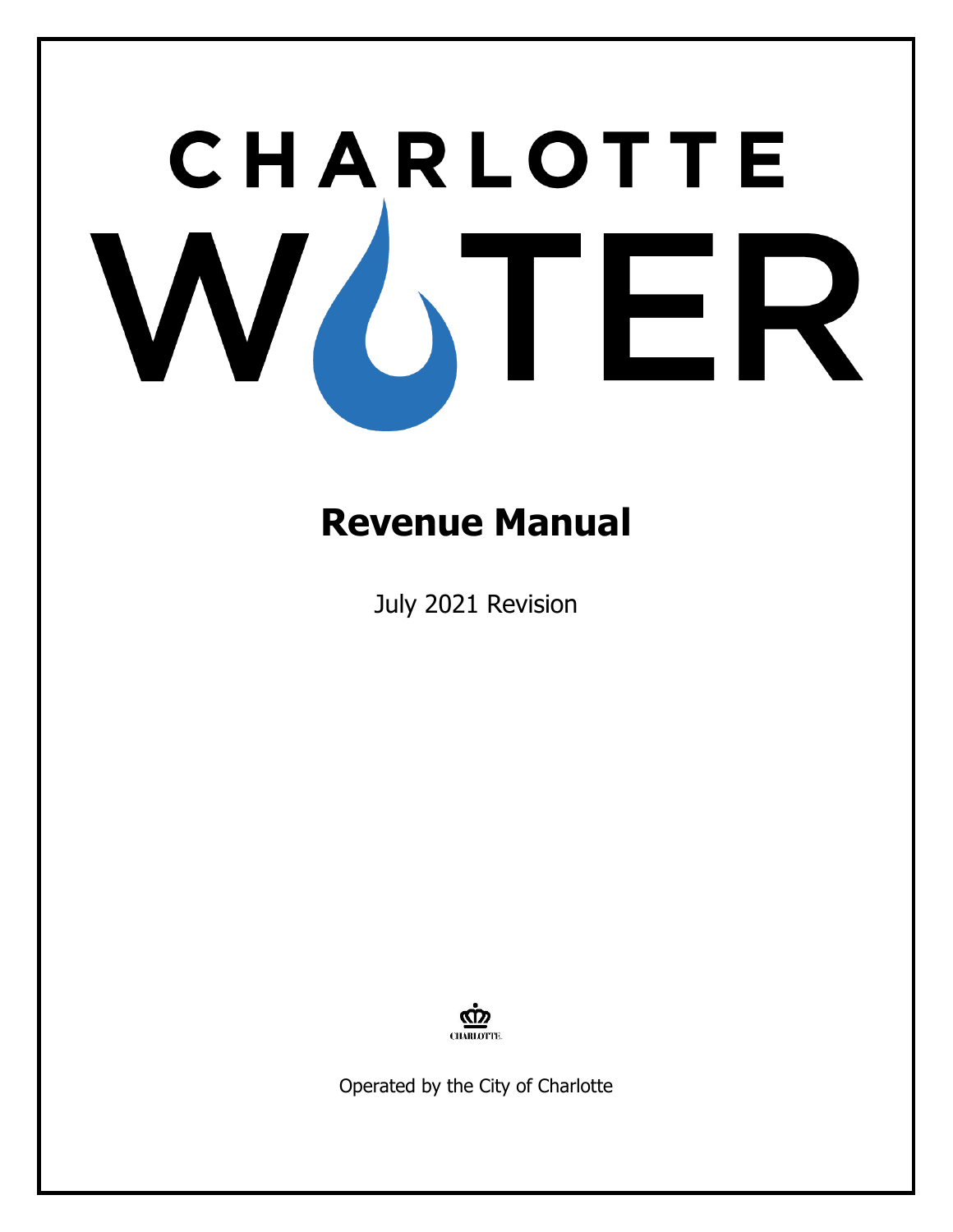# CHARLOTTE WOTER

# **Revenue Manual**

July 2021 Revision



Operated by the City of Charlotte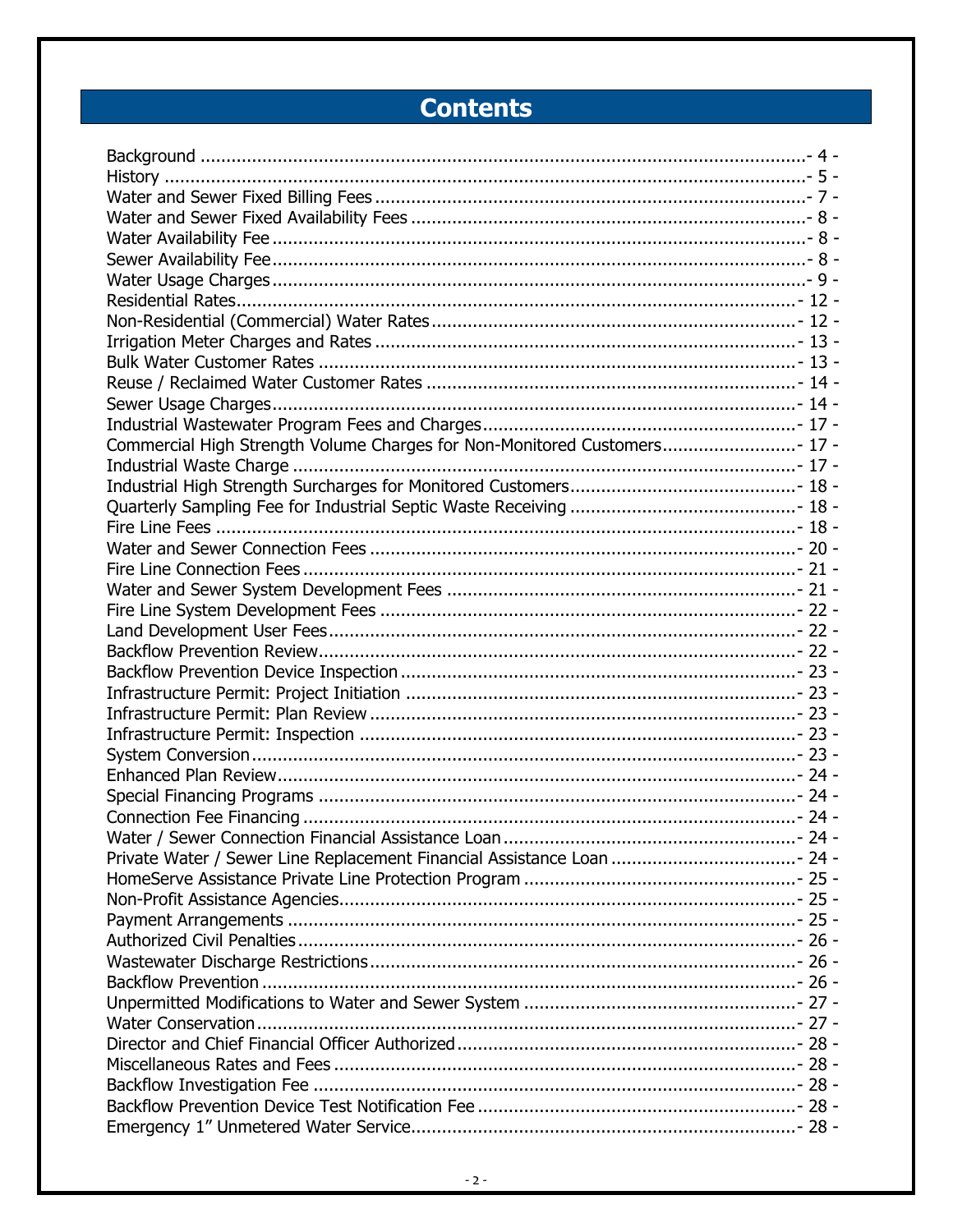# **Contents**

| Commercial High Strength Volume Charges for Non-Monitored Customers 17 - |  |
|--------------------------------------------------------------------------|--|
|                                                                          |  |
|                                                                          |  |
|                                                                          |  |
|                                                                          |  |
|                                                                          |  |
|                                                                          |  |
|                                                                          |  |
|                                                                          |  |
|                                                                          |  |
|                                                                          |  |
|                                                                          |  |
|                                                                          |  |
|                                                                          |  |
|                                                                          |  |
|                                                                          |  |
|                                                                          |  |
|                                                                          |  |
|                                                                          |  |
|                                                                          |  |
| Private Water / Sewer Line Replacement Financial Assistance Loan  24 -   |  |
|                                                                          |  |
|                                                                          |  |
|                                                                          |  |
|                                                                          |  |
|                                                                          |  |
|                                                                          |  |
|                                                                          |  |
|                                                                          |  |
|                                                                          |  |
|                                                                          |  |
|                                                                          |  |
|                                                                          |  |
|                                                                          |  |
|                                                                          |  |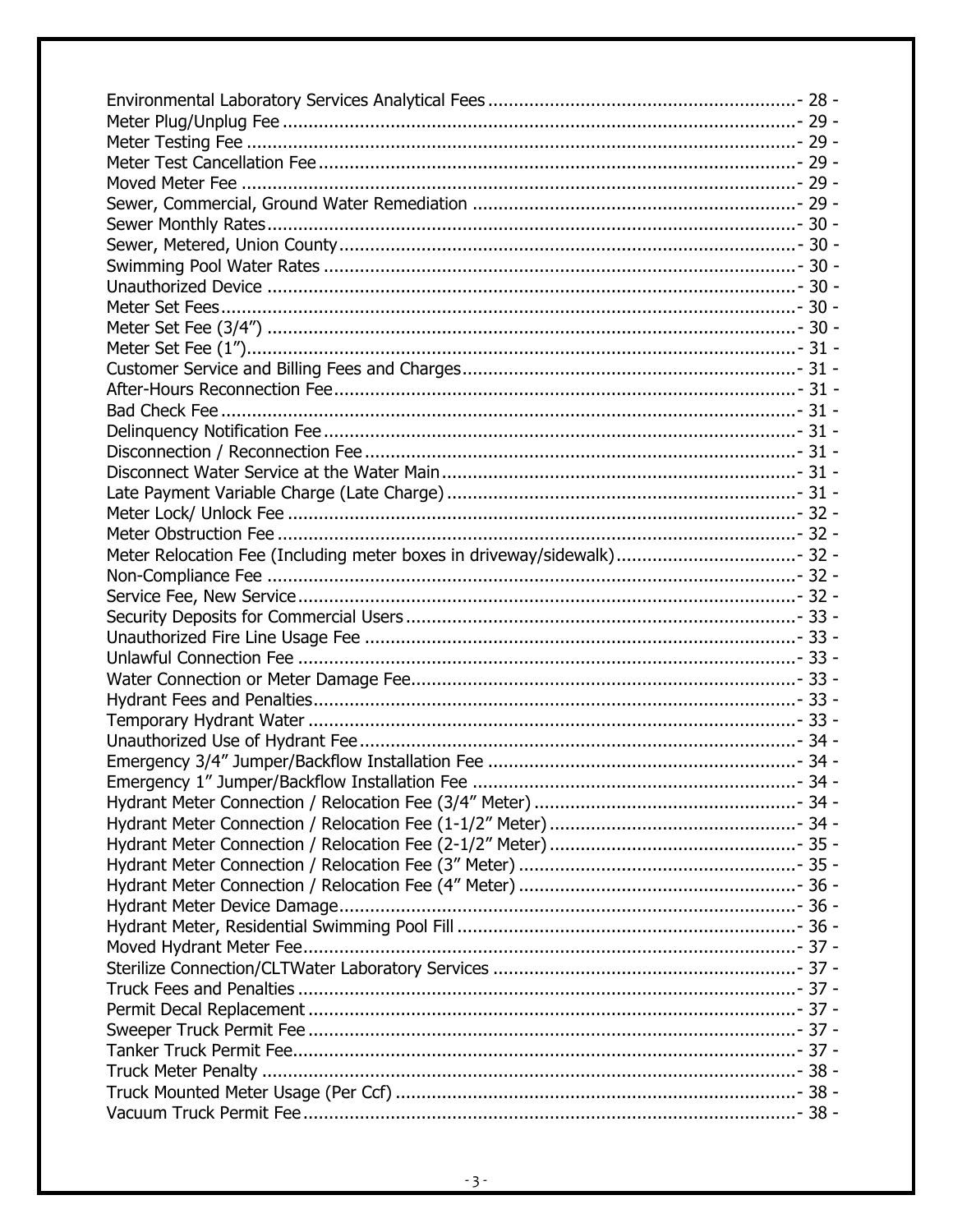| Meter Relocation Fee (Including meter boxes in driveway/sidewalk) 32 - |
|------------------------------------------------------------------------|
|                                                                        |
|                                                                        |
|                                                                        |
|                                                                        |
|                                                                        |
|                                                                        |
|                                                                        |
|                                                                        |
|                                                                        |
|                                                                        |
|                                                                        |
|                                                                        |
|                                                                        |
|                                                                        |
|                                                                        |
|                                                                        |
|                                                                        |
|                                                                        |
|                                                                        |
|                                                                        |
|                                                                        |
|                                                                        |
|                                                                        |
|                                                                        |
|                                                                        |
|                                                                        |
|                                                                        |
|                                                                        |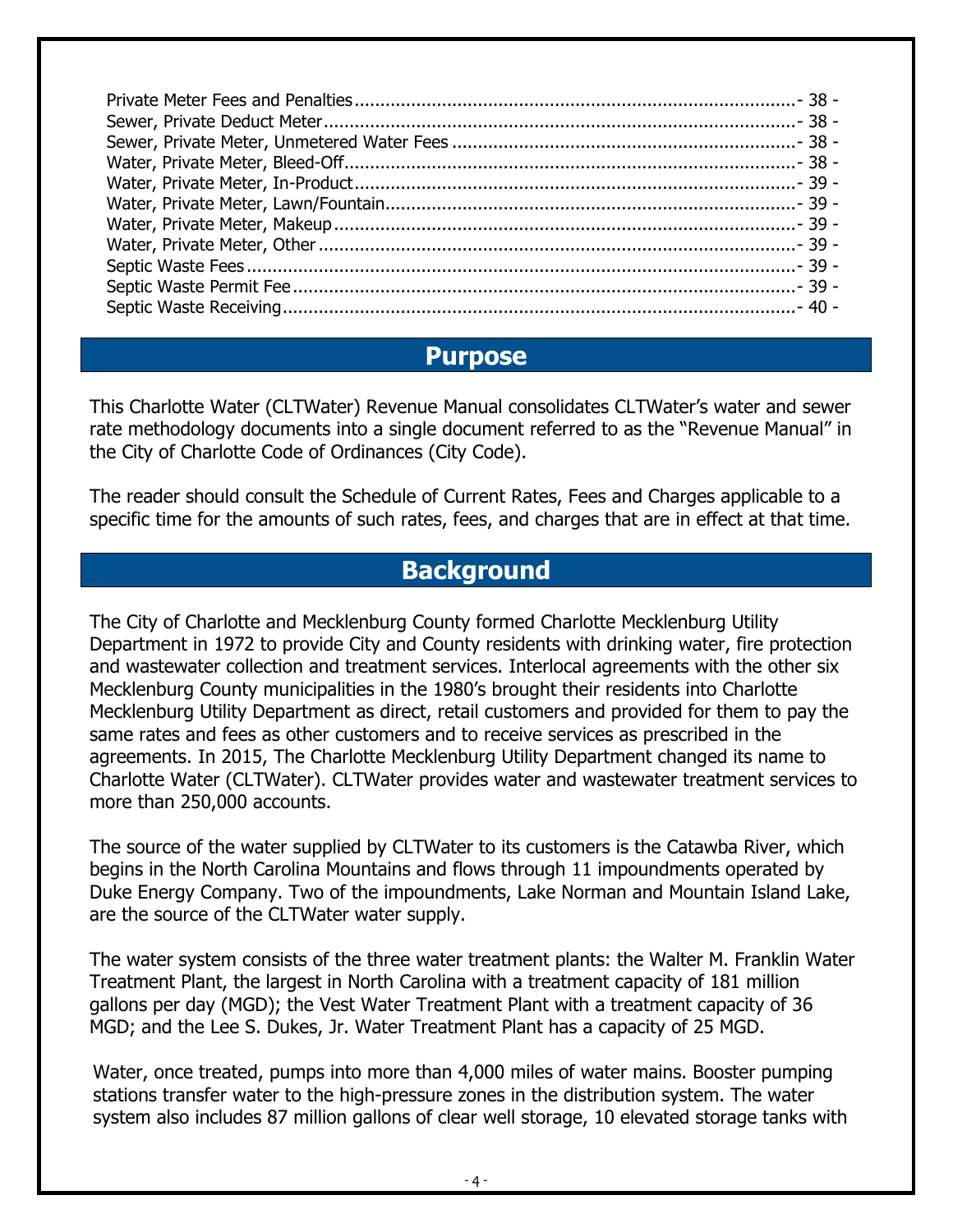#### **Purpose**

This Charlotte Water (CLTWater) Revenue Manual consolidates CLTWater's water and sewer rate methodology documents into a single document referred to as the "Revenue Manual" in the City of Charlotte Code of Ordinances (City Code).

The reader should consult the Schedule of Current Rates, Fees and Charges applicable to a specific time for the amounts of such rates, fees, and charges that are in effect at that time.

#### **Background**

<span id="page-3-0"></span>The City of Charlotte and Mecklenburg County formed Charlotte Mecklenburg Utility Department in 1972 to provide City and County residents with drinking water, fire protection and wastewater collection and treatment services. Interlocal agreements with the other six Mecklenburg County municipalities in the 1980's brought their residents into Charlotte Mecklenburg Utility Department as direct, retail customers and provided for them to pay the same rates and fees as other customers and to receive services as prescribed in the agreements. In 2015, The Charlotte Mecklenburg Utility Department changed its name to Charlotte Water (CLTWater). CLTWater provides water and wastewater treatment services to more than 250,000 accounts.

The source of the water supplied by CLTWater to its customers is the Catawba River, which begins in the North Carolina Mountains and flows through 11 impoundments operated by Duke Energy Company. Two of the impoundments, Lake Norman and Mountain Island Lake, are the source of the CLTWater water supply.

The water system consists of the three water treatment plants: the Walter M. Franklin Water Treatment Plant, the largest in North Carolina with a treatment capacity of 181 million gallons per day (MGD); the Vest Water Treatment Plant with a treatment capacity of 36 MGD; and the Lee S. Dukes, Jr. Water Treatment Plant has a capacity of 25 MGD.

Water, once treated, pumps into more than 4,000 miles of water mains. Booster pumping stations transfer water to the high-pressure zones in the distribution system. The water system also includes 87 million gallons of clear well storage, 10 elevated storage tanks with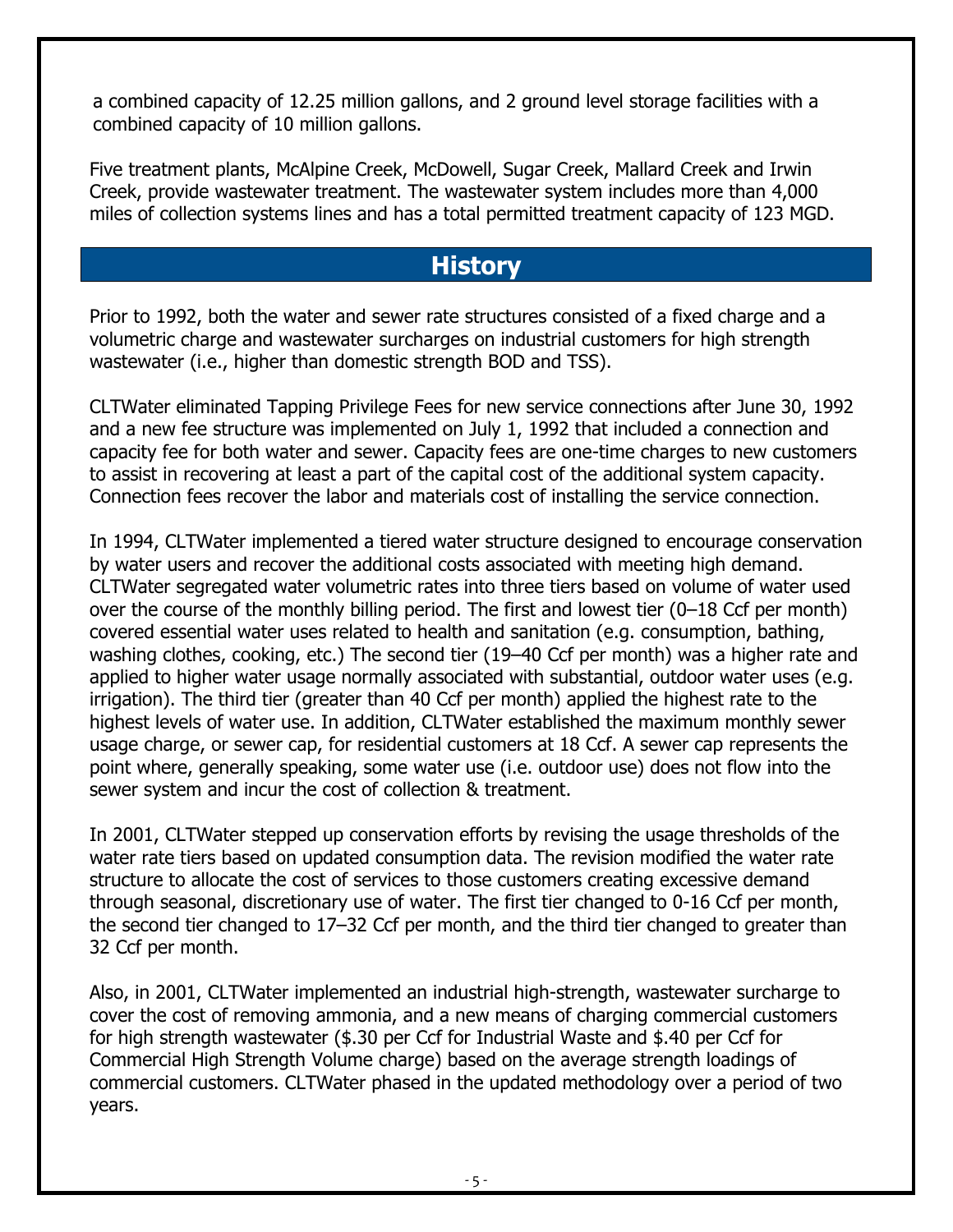a combined capacity of 12.25 million gallons, and 2 ground level storage facilities with a combined capacity of 10 million gallons.

Five treatment plants, McAlpine Creek, McDowell, Sugar Creek, Mallard Creek and Irwin Creek, provide wastewater treatment. The wastewater system includes more than 4,000 miles of collection systems lines and has a total permitted treatment capacity of 123 MGD.

# **History**

<span id="page-4-0"></span>Prior to 1992, both the water and sewer rate structures consisted of a fixed charge and a volumetric charge and wastewater surcharges on industrial customers for high strength wastewater (i.e., higher than domestic strength BOD and TSS).

CLTWater eliminated Tapping Privilege Fees for new service connections after June 30, 1992 and a new fee structure was implemented on July 1, 1992 that included a connection and capacity fee for both water and sewer. Capacity fees are one-time charges to new customers to assist in recovering at least a part of the capital cost of the additional system capacity. Connection fees recover the labor and materials cost of installing the service connection.

In 1994, CLTWater implemented a tiered water structure designed to encourage conservation by water users and recover the additional costs associated with meeting high demand. CLTWater segregated water volumetric rates into three tiers based on volume of water used over the course of the monthly billing period. The first and lowest tier (0–18 Ccf per month) covered essential water uses related to health and sanitation (e.g. consumption, bathing, washing clothes, cooking, etc.) The second tier (19–40 Ccf per month) was a higher rate and applied to higher water usage normally associated with substantial, outdoor water uses (e.g. irrigation). The third tier (greater than 40 Ccf per month) applied the highest rate to the highest levels of water use. In addition, CLTWater established the maximum monthly sewer usage charge, or sewer cap, for residential customers at 18 Ccf. A sewer cap represents the point where, generally speaking, some water use (i.e. outdoor use) does not flow into the sewer system and incur the cost of collection & treatment.

In 2001, CLTWater stepped up conservation efforts by revising the usage thresholds of the water rate tiers based on updated consumption data. The revision modified the water rate structure to allocate the cost of services to those customers creating excessive demand through seasonal, discretionary use of water. The first tier changed to 0-16 Ccf per month, the second tier changed to 17–32 Ccf per month, and the third tier changed to greater than 32 Ccf per month.

Also, in 2001, CLTWater implemented an industrial high-strength, wastewater surcharge to cover the cost of removing ammonia, and a new means of charging commercial customers for high strength wastewater (\$.30 per Ccf for Industrial Waste and \$.40 per Ccf for Commercial High Strength Volume charge) based on the average strength loadings of commercial customers. CLTWater phased in the updated methodology over a period of two years.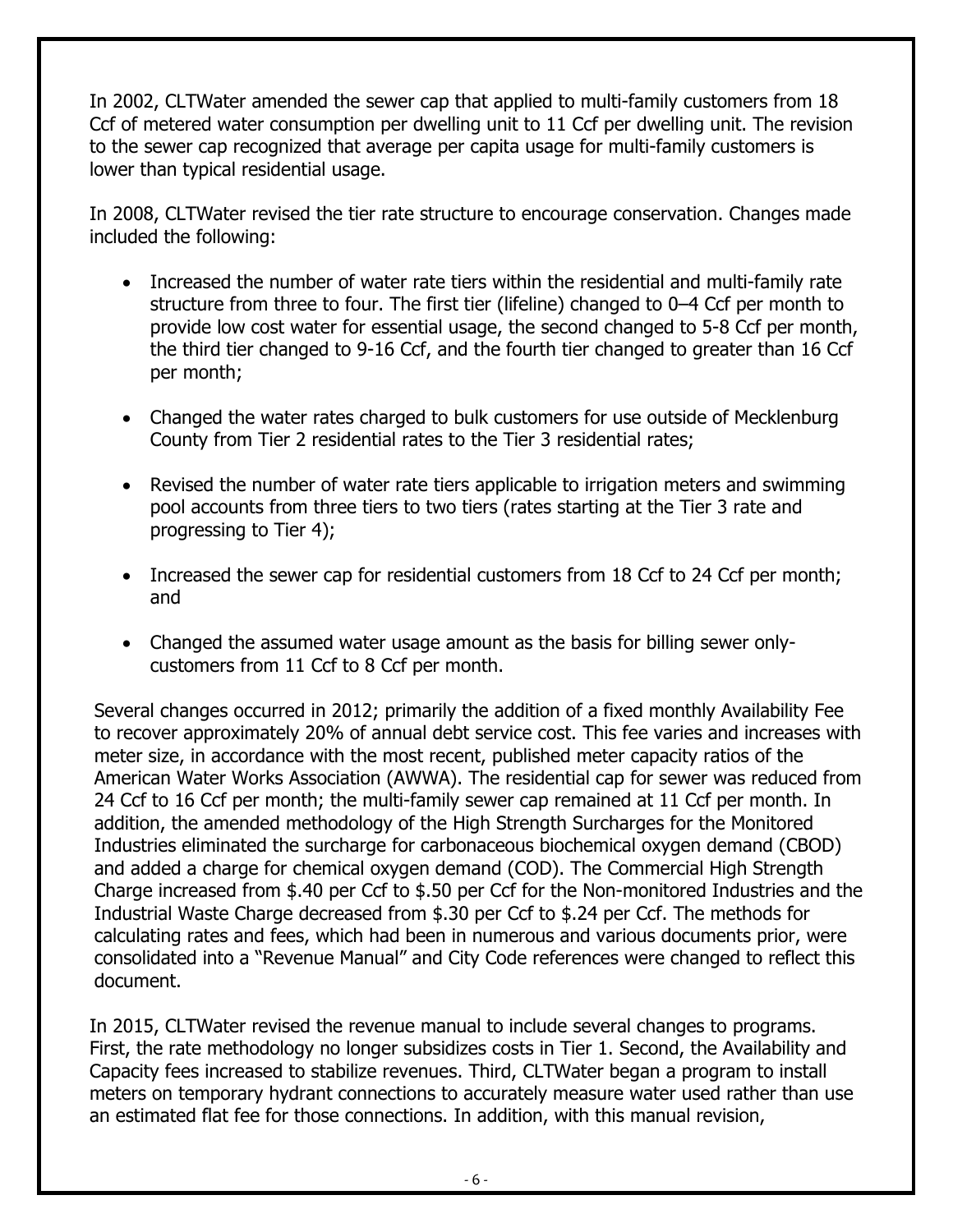In 2002, CLTWater amended the sewer cap that applied to multi-family customers from 18 Ccf of metered water consumption per dwelling unit to 11 Ccf per dwelling unit. The revision to the sewer cap recognized that average per capita usage for multi-family customers is lower than typical residential usage.

In 2008, CLTWater revised the tier rate structure to encourage conservation. Changes made included the following:

- Increased the number of water rate tiers within the residential and multi-family rate structure from three to four. The first tier (lifeline) changed to 0–4 Ccf per month to provide low cost water for essential usage, the second changed to 5-8 Ccf per month, the third tier changed to 9-16 Ccf, and the fourth tier changed to greater than 16 Ccf per month;
- Changed the water rates charged to bulk customers for use outside of Mecklenburg County from Tier 2 residential rates to the Tier 3 residential rates;
- Revised the number of water rate tiers applicable to irrigation meters and swimming pool accounts from three tiers to two tiers (rates starting at the Tier 3 rate and progressing to Tier 4);
- Increased the sewer cap for residential customers from 18 Ccf to 24 Ccf per month; and
- Changed the assumed water usage amount as the basis for billing sewer onlycustomers from 11 Ccf to 8 Ccf per month.

Several changes occurred in 2012; primarily the addition of a fixed monthly Availability Fee to recover approximately 20% of annual debt service cost. This fee varies and increases with meter size, in accordance with the most recent, published meter capacity ratios of the American Water Works Association (AWWA). The residential cap for sewer was reduced from 24 Ccf to 16 Ccf per month; the multi-family sewer cap remained at 11 Ccf per month. In addition, the amended methodology of the High Strength Surcharges for the Monitored Industries eliminated the surcharge for carbonaceous biochemical oxygen demand (CBOD) and added a charge for chemical oxygen demand (COD). The Commercial High Strength Charge increased from \$.40 per Ccf to \$.50 per Ccf for the Non-monitored Industries and the Industrial Waste Charge decreased from \$.30 per Ccf to \$.24 per Ccf. The methods for calculating rates and fees, which had been in numerous and various documents prior, were consolidated into a "Revenue Manual" and City Code references were changed to reflect this document.

In 2015, CLTWater revised the revenue manual to include several changes to programs. First, the rate methodology no longer subsidizes costs in Tier 1. Second, the Availability and Capacity fees increased to stabilize revenues. Third, CLTWater began a program to install meters on temporary hydrant connections to accurately measure water used rather than use an estimated flat fee for those connections. In addition, with this manual revision,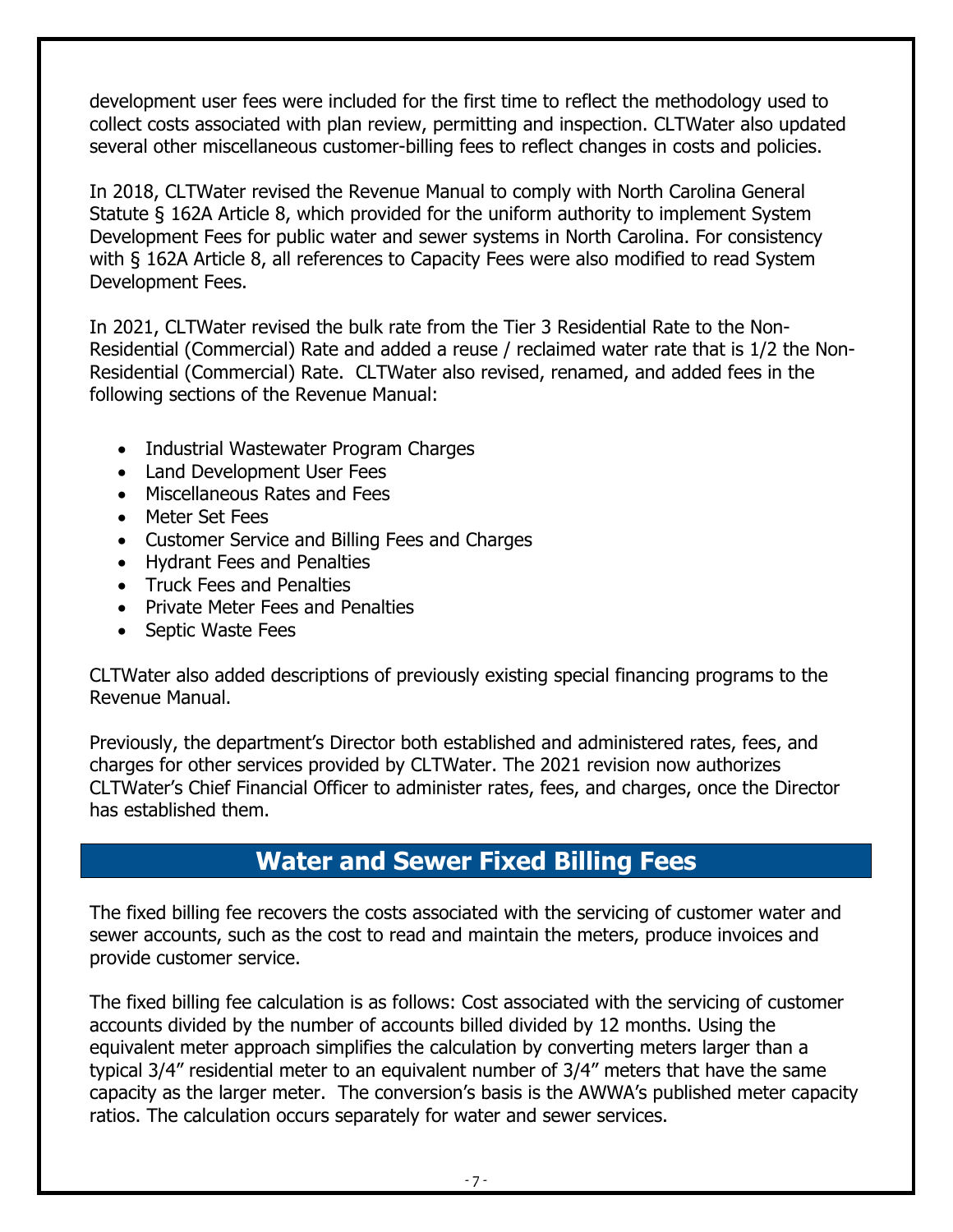development user fees were included for the first time to reflect the methodology used to collect costs associated with plan review, permitting and inspection. CLTWater also updated several other miscellaneous customer-billing fees to reflect changes in costs and policies.

In 2018, CLTWater revised the Revenue Manual to comply with North Carolina General Statute § 162A Article 8, which provided for the uniform authority to implement System Development Fees for public water and sewer systems in North Carolina. For consistency with § 162A Article 8, all references to Capacity Fees were also modified to read System Development Fees.

In 2021, CLTWater revised the bulk rate from the Tier 3 Residential Rate to the Non-Residential (Commercial) Rate and added a reuse / reclaimed water rate that is 1/2 the Non-Residential (Commercial) Rate. CLTWater also revised, renamed, and added fees in the following sections of the Revenue Manual:

- Industrial Wastewater Program Charges
- Land Development User Fees
- Miscellaneous Rates and Fees
- Meter Set Fees
- Customer Service and Billing Fees and Charges
- Hydrant Fees and Penalties
- Truck Fees and Penalties
- Private Meter Fees and Penalties
- Septic Waste Fees

CLTWater also added descriptions of previously existing special financing programs to the Revenue Manual.

Previously, the department's Director both established and administered rates, fees, and charges for other services provided by CLTWater. The 2021 revision now authorizes CLTWater's Chief Financial Officer to administer rates, fees, and charges, once the Director has established them.

# **Water and Sewer Fixed Billing Fees**

<span id="page-6-0"></span>The fixed billing fee recovers the costs associated with the servicing of customer water and sewer accounts, such as the cost to read and maintain the meters, produce invoices and provide customer service.

The fixed billing fee calculation is as follows: Cost associated with the servicing of customer accounts divided by the number of accounts billed divided by 12 months. Using the equivalent meter approach simplifies the calculation by converting meters larger than a typical 3/4" residential meter to an equivalent number of 3/4" meters that have the same capacity as the larger meter. The conversion's basis is the AWWA's published meter capacity ratios. The calculation occurs separately for water and sewer services.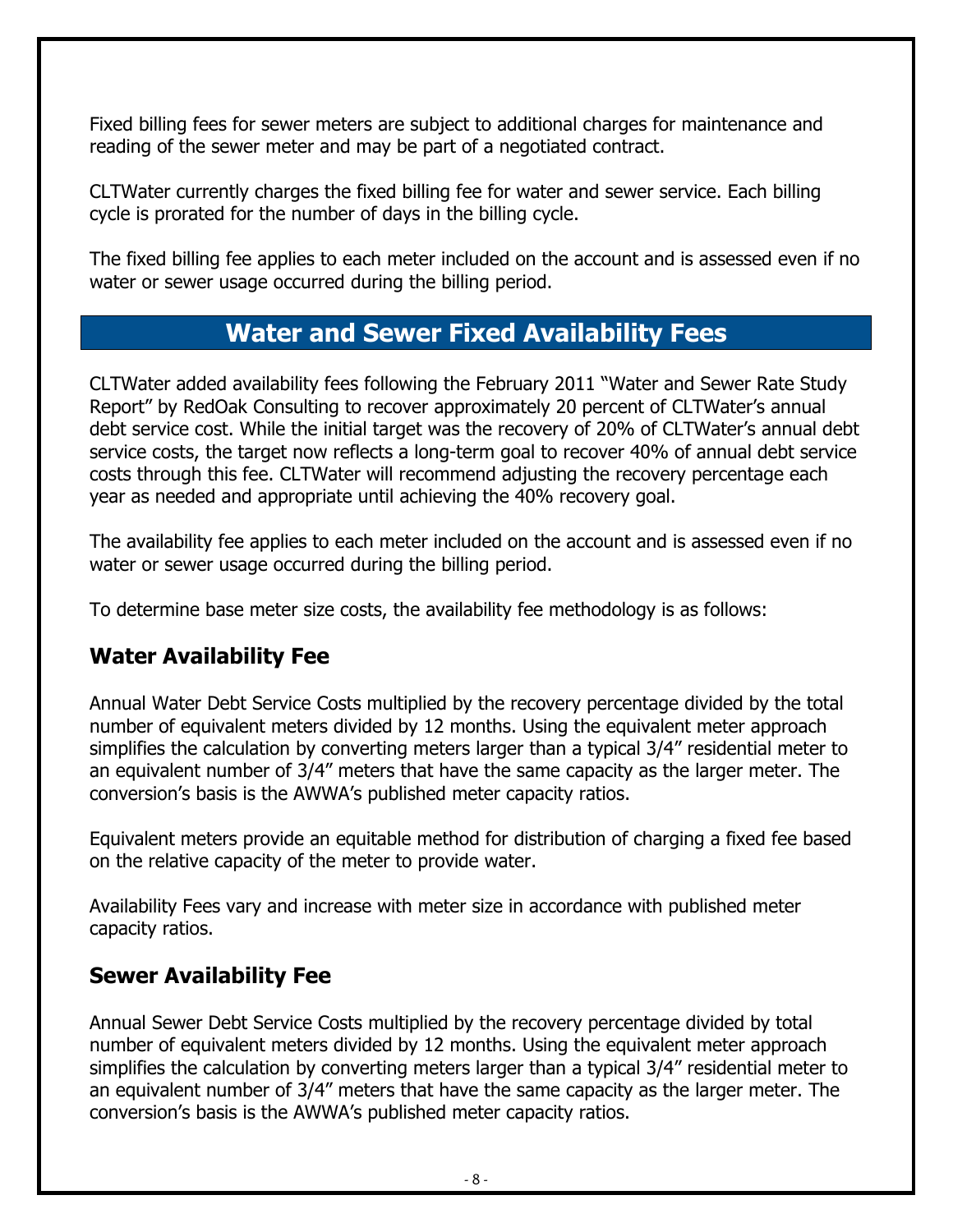Fixed billing fees for sewer meters are subject to additional charges for maintenance and reading of the sewer meter and may be part of a negotiated contract.

CLTWater currently charges the fixed billing fee for water and sewer service. Each billing cycle is prorated for the number of days in the billing cycle.

The fixed billing fee applies to each meter included on the account and is assessed even if no water or sewer usage occurred during the billing period.

#### **Water and Sewer Fixed Availability Fees**

<span id="page-7-0"></span>CLTWater added availability fees following the February 2011 "Water and Sewer Rate Study Report" by RedOak Consulting to recover approximately 20 percent of CLTWater's annual debt service cost. While the initial target was the recovery of 20% of CLTWater's annual debt service costs, the target now reflects a long-term goal to recover 40% of annual debt service costs through this fee. CLTWater will recommend adjusting the recovery percentage each year as needed and appropriate until achieving the 40% recovery goal.

The availability fee applies to each meter included on the account and is assessed even if no water or sewer usage occurred during the billing period.

To determine base meter size costs, the availability fee methodology is as follows:

#### <span id="page-7-1"></span>**Water Availability Fee**

Annual Water Debt Service Costs multiplied by the recovery percentage divided by the total number of equivalent meters divided by 12 months. Using the equivalent meter approach simplifies the calculation by converting meters larger than a typical 3/4" residential meter to an equivalent number of 3/4" meters that have the same capacity as the larger meter. The conversion's basis is the AWWA's published meter capacity ratios.

Equivalent meters provide an equitable method for distribution of charging a fixed fee based on the relative capacity of the meter to provide water.

Availability Fees vary and increase with meter size in accordance with published meter capacity ratios.

#### <span id="page-7-2"></span>**Sewer Availability Fee**

Annual Sewer Debt Service Costs multiplied by the recovery percentage divided by total number of equivalent meters divided by 12 months. Using the equivalent meter approach simplifies the calculation by converting meters larger than a typical 3/4" residential meter to an equivalent number of 3/4" meters that have the same capacity as the larger meter. The conversion's basis is the AWWA's published meter capacity ratios.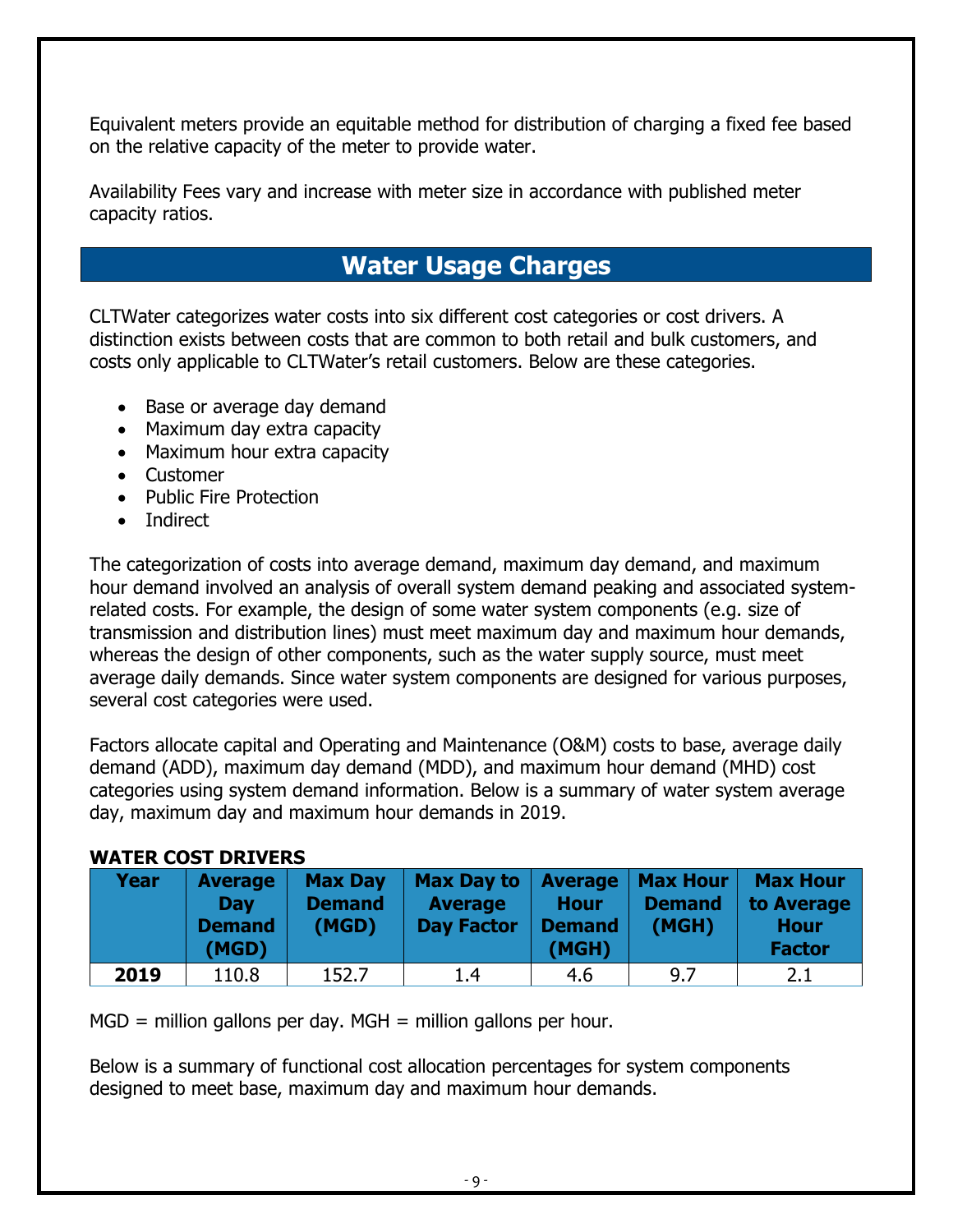Equivalent meters provide an equitable method for distribution of charging a fixed fee based on the relative capacity of the meter to provide water.

Availability Fees vary and increase with meter size in accordance with published meter capacity ratios.

# **Water Usage Charges**

<span id="page-8-0"></span>CLTWater categorizes water costs into six different cost categories or cost drivers. A distinction exists between costs that are common to both retail and bulk customers, and costs only applicable to CLTWater's retail customers. Below are these categories.

- Base or average day demand
- Maximum day extra capacity
- Maximum hour extra capacity
- Customer
- Public Fire Protection
- Indirect

The categorization of costs into average demand, maximum day demand, and maximum hour demand involved an analysis of overall system demand peaking and associated systemrelated costs. For example, the design of some water system components (e.g. size of transmission and distribution lines) must meet maximum day and maximum hour demands, whereas the design of other components, such as the water supply source, must meet average daily demands. Since water system components are designed for various purposes, several cost categories were used.

Factors allocate capital and Operating and Maintenance (O&M) costs to base, average daily demand (ADD), maximum day demand (MDD), and maximum hour demand (MHD) cost categories using system demand information. Below is a summary of water system average day, maximum day and maximum hour demands in 2019.

#### **WATER COST DRIVERS**

| Year | <b>Average</b><br><b>Dav</b><br><b>Demand</b><br>(MGD) | <b>Max Day</b><br><b>Demand</b><br>(MGD) | <b>Max Day to</b><br><b>Average</b><br><b>Day Factor</b> | Average<br><b>Hour</b><br><b>Demand</b><br>(MGH) | <b>Max Hour</b><br><b>Demand</b><br>(MGH) | <b>Max Hour</b><br>to Average<br><b>Hour</b><br><b>Factor</b> |
|------|--------------------------------------------------------|------------------------------------------|----------------------------------------------------------|--------------------------------------------------|-------------------------------------------|---------------------------------------------------------------|
| 2019 | 110.8                                                  | 152.7                                    | 1.4                                                      | 4.6                                              | 9.7                                       | 2.1                                                           |

 $MGD =$  million gallons per day. MGH = million gallons per hour.

Below is a summary of functional cost allocation percentages for system components designed to meet base, maximum day and maximum hour demands.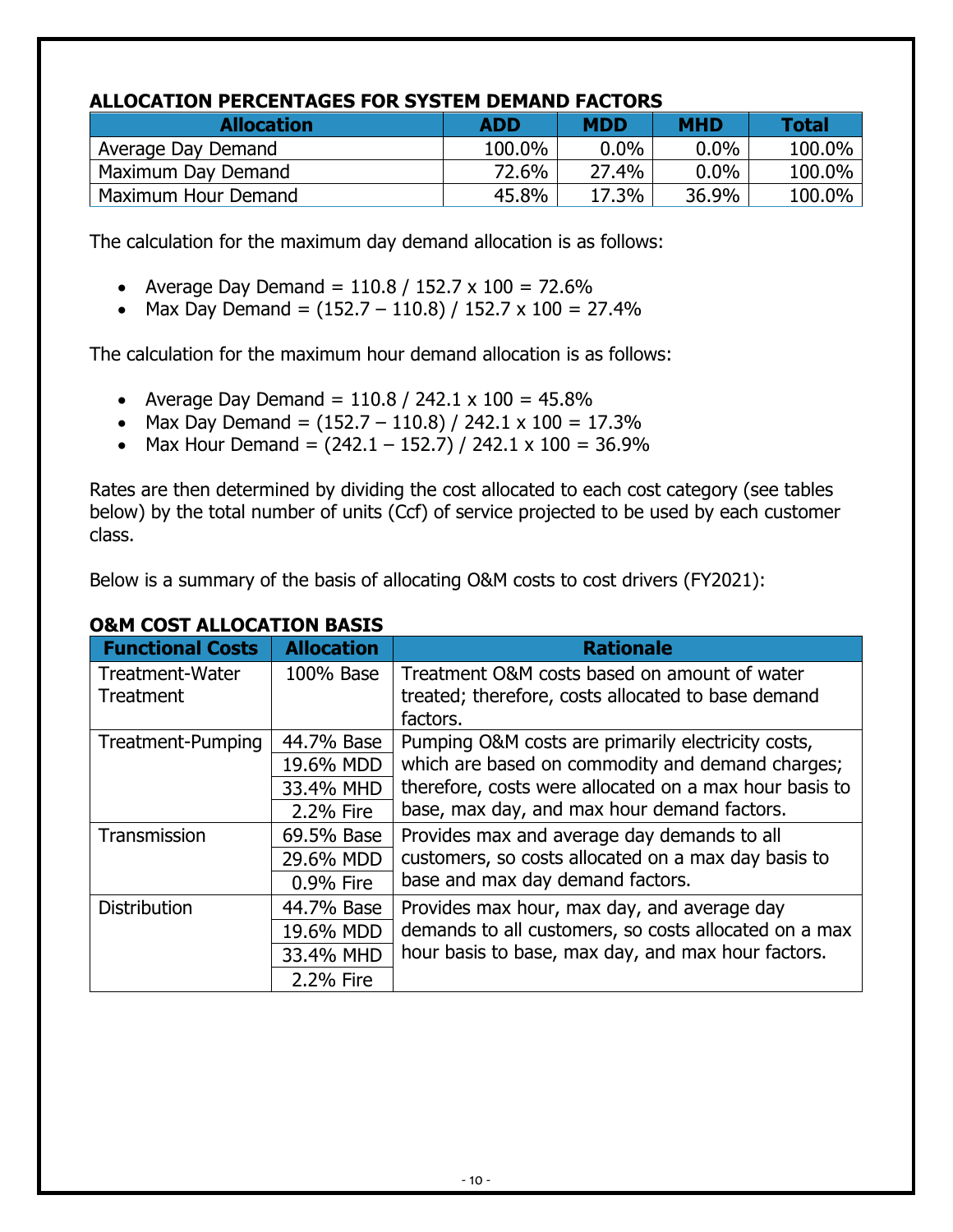#### **ALLOCATION PERCENTAGES FOR SYSTEM DEMAND FACTORS**

| <b>Allocation</b>   | <b>ADD</b> | <b>MDD</b> | <b>MHD</b> | <b>Total</b> |
|---------------------|------------|------------|------------|--------------|
| Average Day Demand  | 100.0%     | $0.0\%$    | $0.0\%$    | 100.0%       |
| Maximum Day Demand  | 72.6%      | 27.4%      | $0.0\%$    | 100.0%       |
| Maximum Hour Demand | 45.8%      | 17.3%      | 36.9%      | $100.0\%$    |

The calculation for the maximum day demand allocation is as follows:

- Average Day Demand =  $110.8 / 152.7 \times 100 = 72.6\%$
- Max Day Demand =  $(152.7 110.8) / 152.7 \times 100 = 27.4\%$

The calculation for the maximum hour demand allocation is as follows:

- Average Day Demand =  $110.8 / 242.1 \times 100 = 45.8\%$
- Max Day Demand =  $(152.7 110.8) / 242.1 \times 100 = 17.3\%$
- Max Hour Demand =  $(242.1 152.7) / 242.1 \times 100 = 36.9\%$

Rates are then determined by dividing the cost allocated to each cost category (see tables below) by the total number of units (Ccf) of service projected to be used by each customer class.

Below is a summary of the basis of allocating O&M costs to cost drivers (FY2021):

| <b>Functional Costs</b> | <b>Allocation</b> | <b>Rationale</b>                                       |
|-------------------------|-------------------|--------------------------------------------------------|
| Treatment-Water         | 100% Base         | Treatment O&M costs based on amount of water           |
| Treatment               |                   | treated; therefore, costs allocated to base demand     |
|                         |                   | factors.                                               |
| Treatment-Pumping       | 44.7% Base        | Pumping O&M costs are primarily electricity costs,     |
|                         | 19.6% MDD         | which are based on commodity and demand charges;       |
|                         | 33.4% MHD         | therefore, costs were allocated on a max hour basis to |
|                         | 2.2% Fire         | base, max day, and max hour demand factors.            |
| Transmission            | 69.5% Base        | Provides max and average day demands to all            |
|                         | 29.6% MDD         | customers, so costs allocated on a max day basis to    |
|                         | 0.9% Fire         | base and max day demand factors.                       |
| <b>Distribution</b>     | 44.7% Base        | Provides max hour, max day, and average day            |
|                         | 19.6% MDD         | demands to all customers, so costs allocated on a max  |
|                         | 33.4% MHD         | hour basis to base, max day, and max hour factors.     |
|                         | 2.2% Fire         |                                                        |

#### **O&M COST ALLOCATION BASIS**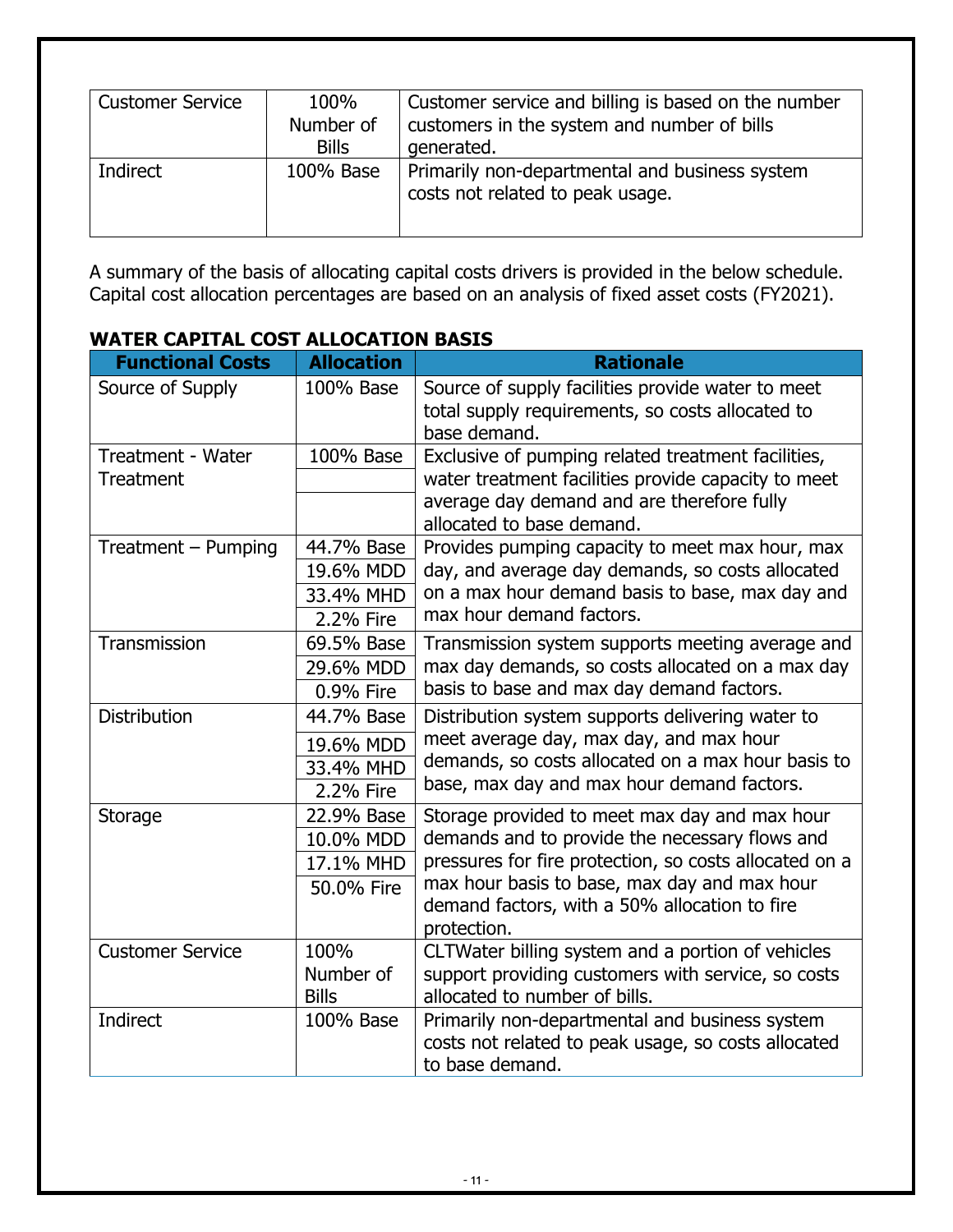| <b>Customer Service</b> | 100%<br>Number of<br><b>Bills</b> | Customer service and billing is based on the number<br>customers in the system and number of bills<br>generated. |
|-------------------------|-----------------------------------|------------------------------------------------------------------------------------------------------------------|
| Indirect                | 100% Base                         | Primarily non-departmental and business system<br>costs not related to peak usage.                               |

A summary of the basis of allocating capital costs drivers is provided in the below schedule. Capital cost allocation percentages are based on an analysis of fixed asset costs (FY2021).

| <b>Functional Costs</b>  | <b>Allocation</b> | <b>Rationale</b>                                                                                                               |
|--------------------------|-------------------|--------------------------------------------------------------------------------------------------------------------------------|
| Source of Supply         | 100% Base         | Source of supply facilities provide water to meet<br>total supply requirements, so costs allocated to<br>base demand.          |
| <b>Treatment - Water</b> | 100% Base         | Exclusive of pumping related treatment facilities,                                                                             |
| Treatment                |                   | water treatment facilities provide capacity to meet<br>average day demand and are therefore fully<br>allocated to base demand. |
| Treatment - Pumping      | 44.7% Base        | Provides pumping capacity to meet max hour, max                                                                                |
|                          | 19.6% MDD         | day, and average day demands, so costs allocated                                                                               |
|                          | 33.4% MHD         | on a max hour demand basis to base, max day and                                                                                |
|                          | 2.2% Fire         | max hour demand factors.                                                                                                       |
| Transmission             | 69.5% Base        | Transmission system supports meeting average and                                                                               |
|                          | 29.6% MDD         | max day demands, so costs allocated on a max day                                                                               |
|                          | 0.9% Fire         | basis to base and max day demand factors.                                                                                      |
| <b>Distribution</b>      | 44.7% Base        | Distribution system supports delivering water to                                                                               |
|                          | 19.6% MDD         | meet average day, max day, and max hour                                                                                        |
|                          | 33.4% MHD         | demands, so costs allocated on a max hour basis to                                                                             |
|                          | 2.2% Fire         | base, max day and max hour demand factors.                                                                                     |
| Storage                  | 22.9% Base        | Storage provided to meet max day and max hour                                                                                  |
|                          | 10.0% MDD         | demands and to provide the necessary flows and                                                                                 |
|                          | 17.1% MHD         | pressures for fire protection, so costs allocated on a                                                                         |
|                          | 50.0% Fire        | max hour basis to base, max day and max hour                                                                                   |
|                          |                   | demand factors, with a 50% allocation to fire<br>protection.                                                                   |
| <b>Customer Service</b>  | 100%              | CLTWater billing system and a portion of vehicles                                                                              |
|                          | Number of         | support providing customers with service, so costs                                                                             |
|                          | <b>Bills</b>      | allocated to number of bills.                                                                                                  |
| Indirect                 | 100% Base         | Primarily non-departmental and business system                                                                                 |
|                          |                   | costs not related to peak usage, so costs allocated                                                                            |
|                          |                   | to base demand.                                                                                                                |

#### **WATER CAPITAL COST ALLOCATION BASIS**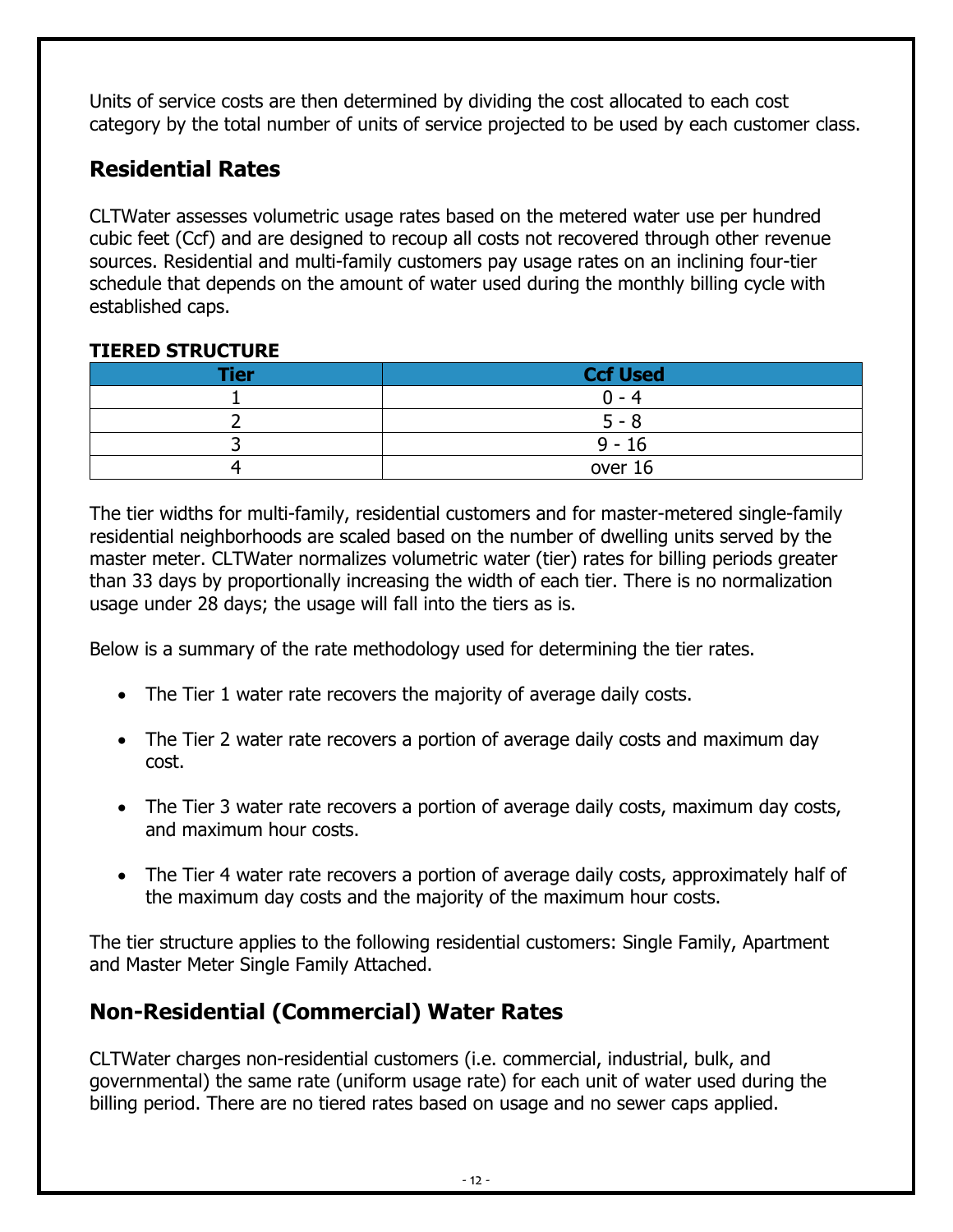Units of service costs are then determined by dividing the cost allocated to each cost category by the total number of units of service projected to be used by each customer class.

#### <span id="page-11-0"></span>**Residential Rates**

CLTWater assesses volumetric usage rates based on the metered water use per hundred cubic feet (Ccf) and are designed to recoup all costs not recovered through other revenue sources. Residential and multi-family customers pay usage rates on an inclining four-tier schedule that depends on the amount of water used during the monthly billing cycle with established caps.

#### **TIERED STRUCTURE**

| <b>Tier</b> | <b>Ccf Used</b> |
|-------------|-----------------|
|             | n - 4           |
|             | 5 - 8           |
|             | $9 - 16$        |
|             | over 16         |

The tier widths for multi-family, residential customers and for master-metered single-family residential neighborhoods are scaled based on the number of dwelling units served by the master meter. CLTWater normalizes volumetric water (tier) rates for billing periods greater than 33 days by proportionally increasing the width of each tier. There is no normalization usage under 28 days; the usage will fall into the tiers as is.

Below is a summary of the rate methodology used for determining the tier rates.

- The Tier 1 water rate recovers the majority of average daily costs.
- The Tier 2 water rate recovers a portion of average daily costs and maximum day cost.
- The Tier 3 water rate recovers a portion of average daily costs, maximum day costs, and maximum hour costs.
- The Tier 4 water rate recovers a portion of average daily costs, approximately half of the maximum day costs and the majority of the maximum hour costs.

The tier structure applies to the following residential customers: Single Family, Apartment and Master Meter Single Family Attached.

# <span id="page-11-1"></span>**Non-Residential (Commercial) Water Rates**

CLTWater charges non-residential customers (i.e. commercial, industrial, bulk, and governmental) the same rate (uniform usage rate) for each unit of water used during the billing period. There are no tiered rates based on usage and no sewer caps applied.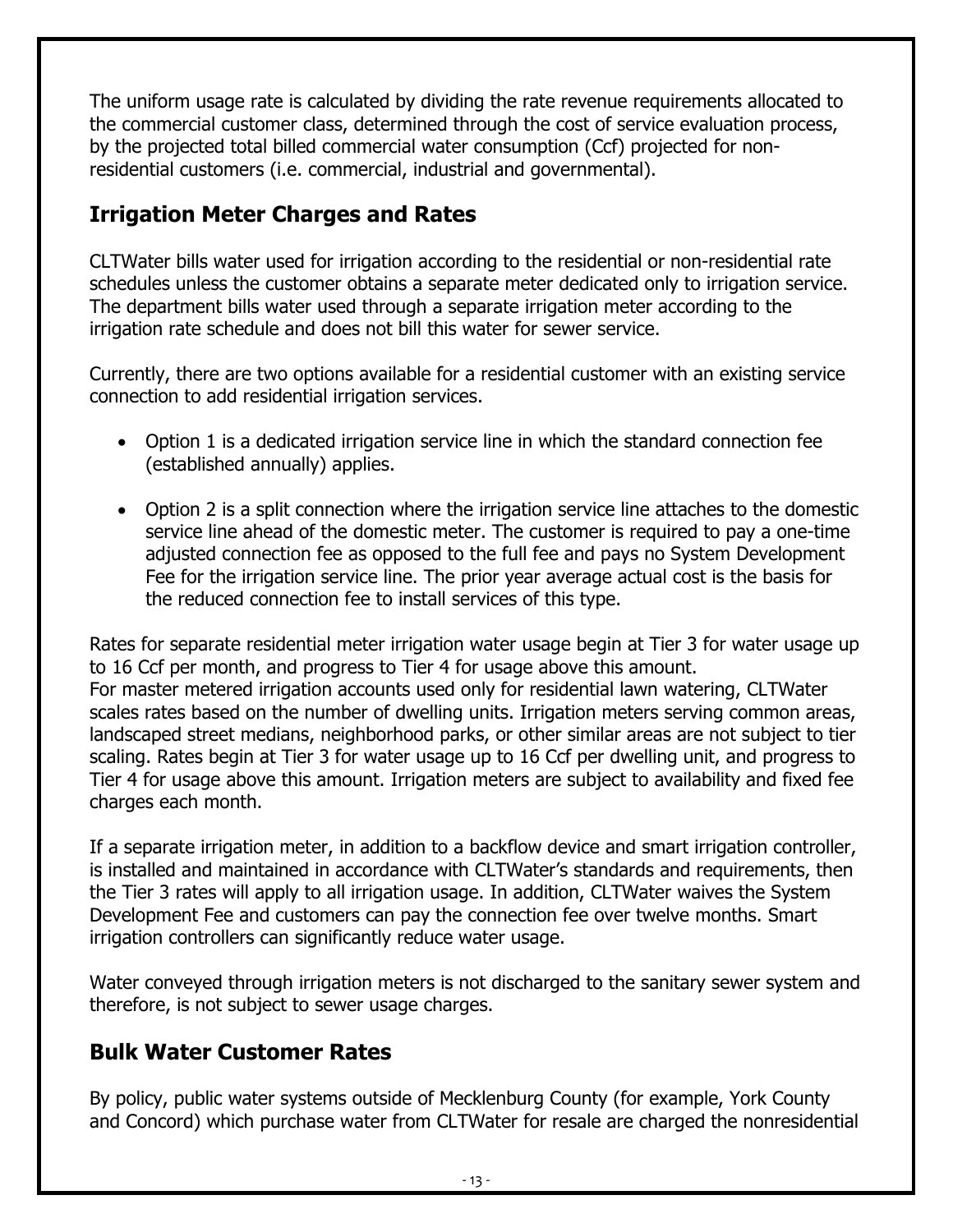The uniform usage rate is calculated by dividing the rate revenue requirements allocated to the commercial customer class, determined through the cost of service evaluation process, by the projected total billed commercial water consumption (Ccf) projected for nonresidential customers (i.e. commercial, industrial and governmental).

#### <span id="page-12-0"></span>**Irrigation Meter Charges and Rates**

CLTWater bills water used for irrigation according to the residential or non-residential rate schedules unless the customer obtains a separate meter dedicated only to irrigation service. The department bills water used through a separate irrigation meter according to the irrigation rate schedule and does not bill this water for sewer service.

Currently, there are two options available for a residential customer with an existing service connection to add residential irrigation services.

- Option 1 is a dedicated irrigation service line in which the standard connection fee (established annually) applies.
- Option 2 is a split connection where the irrigation service line attaches to the domestic service line ahead of the domestic meter. The customer is required to pay a one-time adjusted connection fee as opposed to the full fee and pays no System Development Fee for the irrigation service line. The prior year average actual cost is the basis for the reduced connection fee to install services of this type.

Rates for separate residential meter irrigation water usage begin at Tier 3 for water usage up to 16 Ccf per month, and progress to Tier 4 for usage above this amount. For master metered irrigation accounts used only for residential lawn watering, CLTWater scales rates based on the number of dwelling units. Irrigation meters serving common areas, landscaped street medians, neighborhood parks, or other similar areas are not subject to tier scaling. Rates begin at Tier 3 for water usage up to 16 Ccf per dwelling unit, and progress to Tier 4 for usage above this amount. Irrigation meters are subject to availability and fixed fee charges each month.

If a separate irrigation meter, in addition to a backflow device and smart irrigation controller, is installed and maintained in accordance with CLTWater's standards and requirements, then the Tier 3 rates will apply to all irrigation usage. In addition, CLTWater waives the System Development Fee and customers can pay the connection fee over twelve months. Smart irrigation controllers can significantly reduce water usage.

Water conveyed through irrigation meters is not discharged to the sanitary sewer system and therefore, is not subject to sewer usage charges.

#### <span id="page-12-1"></span>**Bulk Water Customer Rates**

By policy, public water systems outside of Mecklenburg County (for example, York County and Concord) which purchase water from CLTWater for resale are charged the nonresidential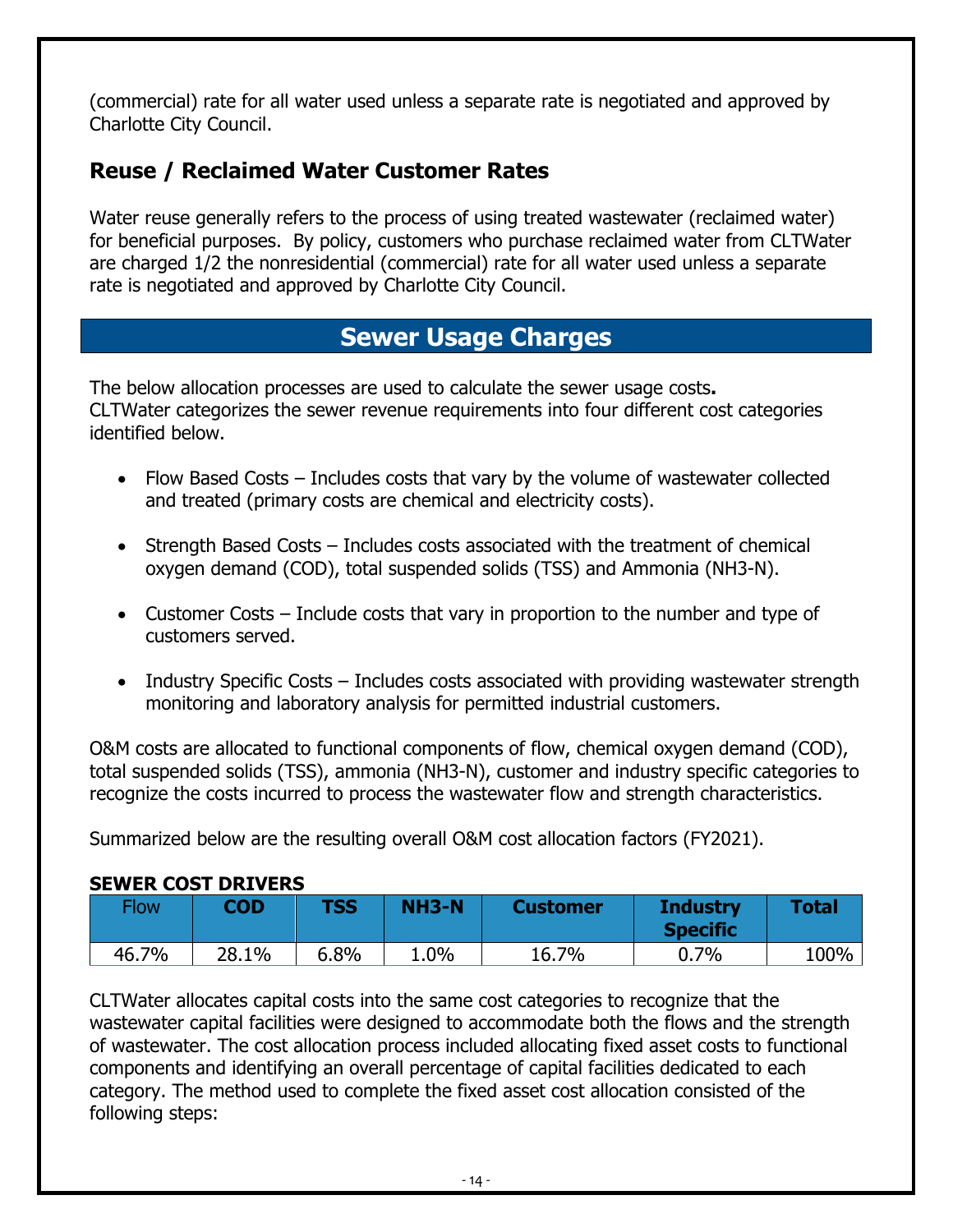(commercial) rate for all water used unless a separate rate is negotiated and approved by Charlotte City Council.

#### <span id="page-13-0"></span>**Reuse / Reclaimed Water Customer Rates**

Water reuse generally refers to the process of using treated wastewater (reclaimed water) for beneficial purposes. By policy, customers who purchase reclaimed water from CLTWater are charged 1/2 the nonresidential (commercial) rate for all water used unless a separate rate is negotiated and approved by Charlotte City Council.

# **Sewer Usage Charges**

<span id="page-13-1"></span>The below allocation processes are used to calculate the sewer usage costs**.** CLTWater categorizes the sewer revenue requirements into four different cost categories identified below.

- Flow Based Costs Includes costs that vary by the volume of wastewater collected and treated (primary costs are chemical and electricity costs).
- Strength Based Costs Includes costs associated with the treatment of chemical oxygen demand (COD), total suspended solids (TSS) and Ammonia (NH3-N).
- Customer Costs Include costs that vary in proportion to the number and type of customers served.
- Industry Specific Costs Includes costs associated with providing wastewater strength monitoring and laboratory analysis for permitted industrial customers.

O&M costs are allocated to functional components of flow, chemical oxygen demand (COD), total suspended solids (TSS), ammonia (NH3-N), customer and industry specific categories to recognize the costs incurred to process the wastewater flow and strength characteristics.

Summarized below are the resulting overall O&M cost allocation factors (FY2021).

#### **SEWER COST DRIVERS**

| Flow  | <b>COD</b> | TSS  | <b>NH3-N</b> | <b>Customer</b> | <b>Industry</b><br><b>Specific</b> | <b>Total</b> |
|-------|------------|------|--------------|-----------------|------------------------------------|--------------|
| 46.7% | 28.1%      | 6.8% | $1.0\%$      | 16.7%           | 0.7%                               | 100%         |

CLTWater allocates capital costs into the same cost categories to recognize that the wastewater capital facilities were designed to accommodate both the flows and the strength of wastewater. The cost allocation process included allocating fixed asset costs to functional components and identifying an overall percentage of capital facilities dedicated to each category. The method used to complete the fixed asset cost allocation consisted of the following steps: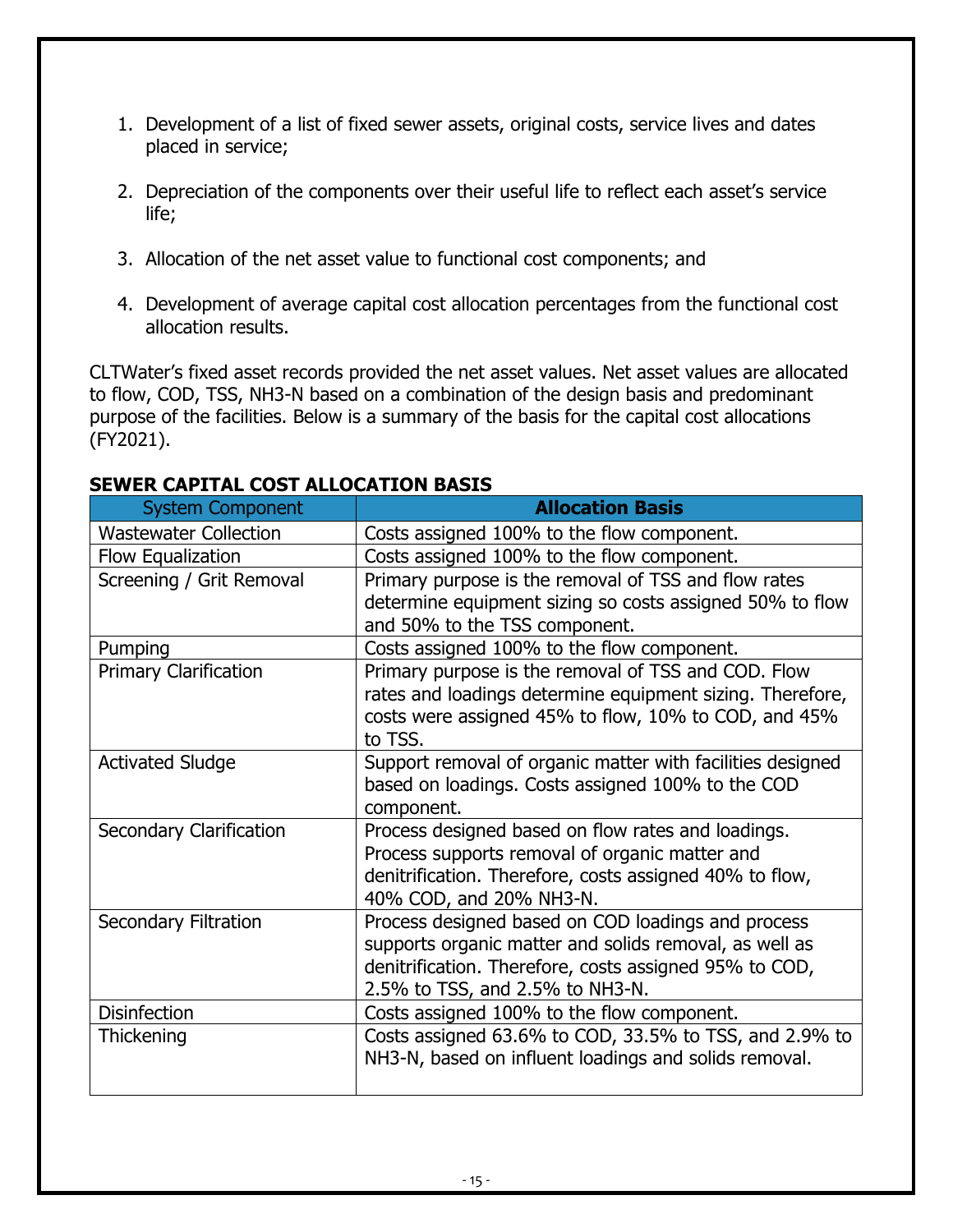- 1. Development of a list of fixed sewer assets, original costs, service lives and dates placed in service;
- 2. Depreciation of the components over their useful life to reflect each asset's service life;
- 3. Allocation of the net asset value to functional cost components; and
- 4. Development of average capital cost allocation percentages from the functional cost allocation results.

CLTWater's fixed asset records provided the net asset values. Net asset values are allocated to flow, COD, TSS, NH3-N based on a combination of the design basis and predominant purpose of the facilities. Below is a summary of the basis for the capital cost allocations (FY2021).

| <b>System Component</b>        | <b>Allocation Basis</b>                                                                                          |
|--------------------------------|------------------------------------------------------------------------------------------------------------------|
| <b>Wastewater Collection</b>   | Costs assigned 100% to the flow component.                                                                       |
| Flow Equalization              | Costs assigned 100% to the flow component.                                                                       |
| Screening / Grit Removal       | Primary purpose is the removal of TSS and flow rates                                                             |
|                                | determine equipment sizing so costs assigned 50% to flow                                                         |
|                                | and 50% to the TSS component.                                                                                    |
| Pumping                        | Costs assigned 100% to the flow component.                                                                       |
| <b>Primary Clarification</b>   | Primary purpose is the removal of TSS and COD. Flow<br>rates and loadings determine equipment sizing. Therefore, |
|                                | costs were assigned 45% to flow, 10% to COD, and 45%                                                             |
|                                | to TSS.                                                                                                          |
| <b>Activated Sludge</b>        | Support removal of organic matter with facilities designed                                                       |
|                                | based on loadings. Costs assigned 100% to the COD                                                                |
|                                | component.                                                                                                       |
| <b>Secondary Clarification</b> | Process designed based on flow rates and loadings.                                                               |
|                                | Process supports removal of organic matter and                                                                   |
|                                | denitrification. Therefore, costs assigned 40% to flow,                                                          |
|                                | 40% COD, and 20% NH3-N.                                                                                          |
| <b>Secondary Filtration</b>    | Process designed based on COD loadings and process<br>supports organic matter and solids removal, as well as     |
|                                | denitrification. Therefore, costs assigned 95% to COD,                                                           |
|                                | 2.5% to TSS, and 2.5% to NH3-N.                                                                                  |
| <b>Disinfection</b>            | Costs assigned 100% to the flow component.                                                                       |
| Thickening                     | Costs assigned 63.6% to COD, 33.5% to TSS, and 2.9% to                                                           |
|                                | NH3-N, based on influent loadings and solids removal.                                                            |
|                                |                                                                                                                  |

#### **SEWER CAPITAL COST ALLOCATION BASIS**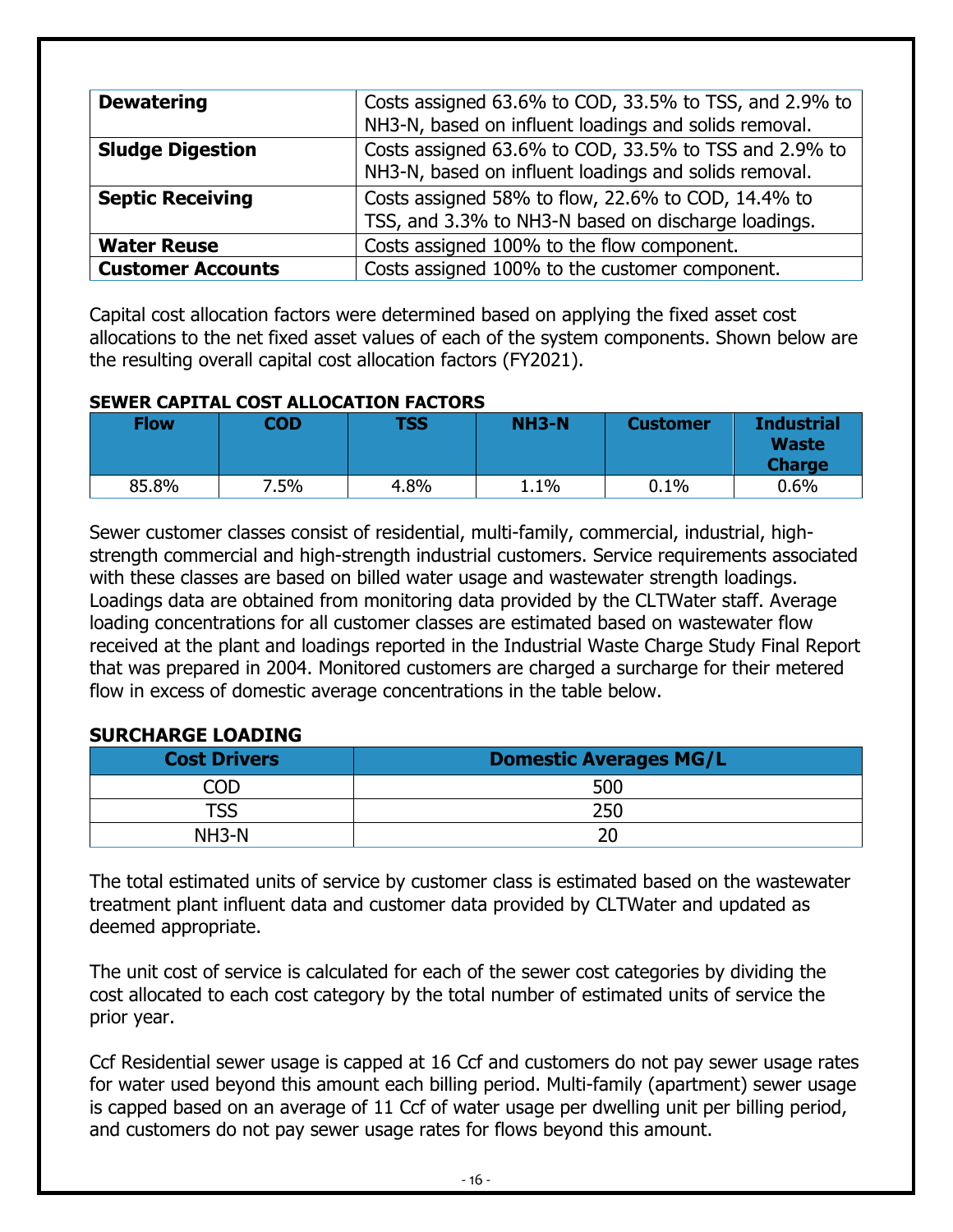| <b>Dewatering</b>        | Costs assigned 63.6% to COD, 33.5% to TSS, and 2.9% to |
|--------------------------|--------------------------------------------------------|
|                          | NH3-N, based on influent loadings and solids removal.  |
| <b>Sludge Digestion</b>  | Costs assigned 63.6% to COD, 33.5% to TSS and 2.9% to  |
|                          | NH3-N, based on influent loadings and solids removal.  |
| <b>Septic Receiving</b>  | Costs assigned 58% to flow, 22.6% to COD, 14.4% to     |
|                          | TSS, and 3.3% to NH3-N based on discharge loadings.    |
| <b>Water Reuse</b>       | Costs assigned 100% to the flow component.             |
| <b>Customer Accounts</b> | Costs assigned 100% to the customer component.         |

Capital cost allocation factors were determined based on applying the fixed asset cost allocations to the net fixed asset values of each of the system components. Shown below are the resulting overall capital cost allocation factors (FY2021).

#### **SEWER CAPITAL COST ALLOCATION FACTORS**

| <b>Flow</b> | COD  | <b>TSS</b> | <b>NH3-N</b> | <b>Customer</b> | <b>Industrial</b><br><b>Waste</b><br><b>Charge</b> |
|-------------|------|------------|--------------|-----------------|----------------------------------------------------|
| 85.8%       | 7.5% | 4.8%       | 1.1%         | 0.1%            | 0.6%                                               |

Sewer customer classes consist of residential, multi-family, commercial, industrial, highstrength commercial and high-strength industrial customers. Service requirements associated with these classes are based on billed water usage and wastewater strength loadings. Loadings data are obtained from monitoring data provided by the CLTWater staff. Average loading concentrations for all customer classes are estimated based on wastewater flow received at the plant and loadings reported in the Industrial Waste Charge Study Final Report that was prepared in 2004. Monitored customers are charged a surcharge for their metered flow in excess of domestic average concentrations in the table below.

#### **SURCHARGE LOADING**

| <b>Cost Drivers</b> | <b>Domestic Averages MG/L</b> |
|---------------------|-------------------------------|
| חר                  | 500                           |
| TSS                 | 250                           |
| $NH3-N$             |                               |

The total estimated units of service by customer class is estimated based on the wastewater treatment plant influent data and customer data provided by CLTWater and updated as deemed appropriate.

The unit cost of service is calculated for each of the sewer cost categories by dividing the cost allocated to each cost category by the total number of estimated units of service the prior year.

Ccf Residential sewer usage is capped at 16 Ccf and customers do not pay sewer usage rates for water used beyond this amount each billing period. Multi-family (apartment) sewer usage is capped based on an average of 11 Ccf of water usage per dwelling unit per billing period, and customers do not pay sewer usage rates for flows beyond this amount.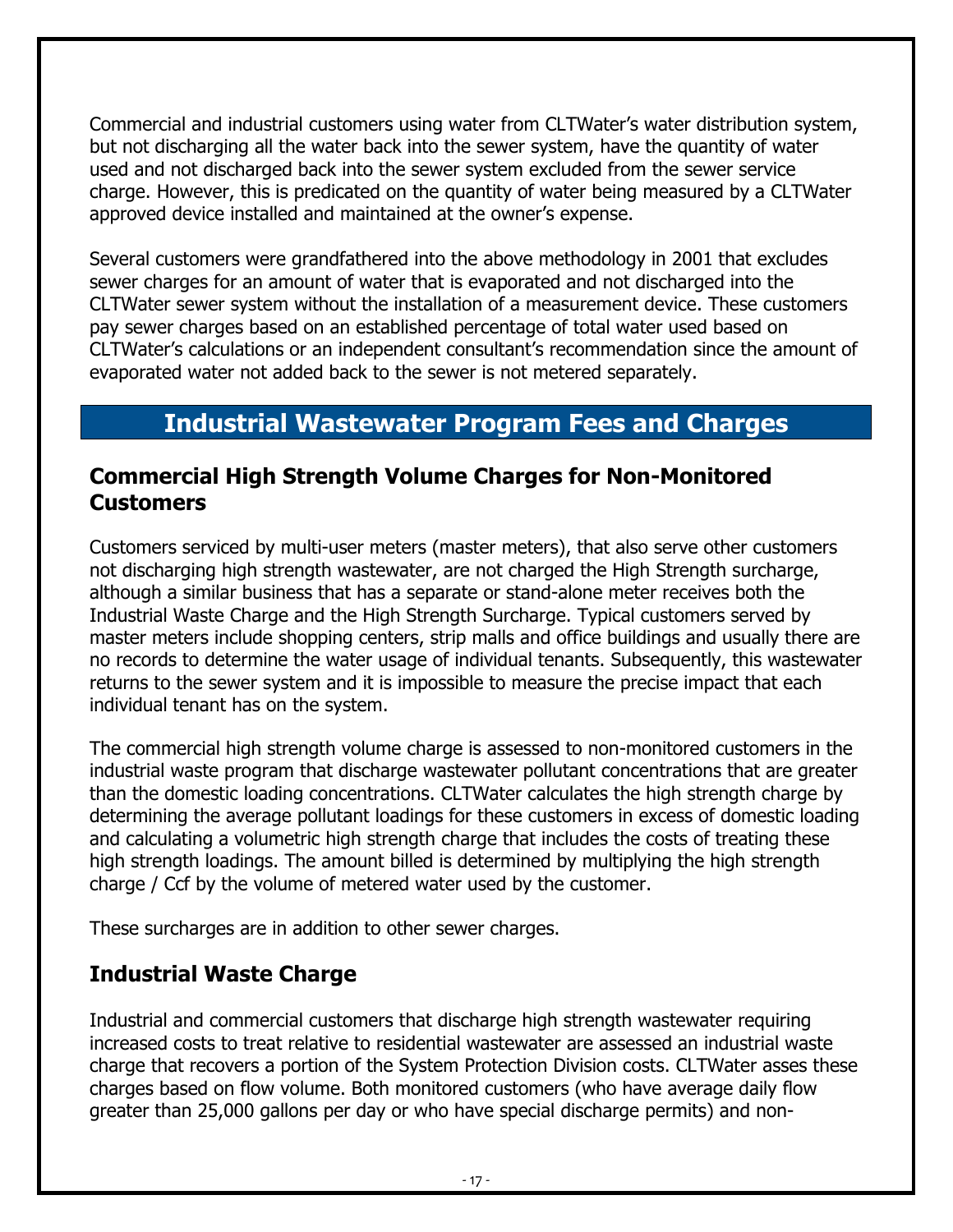Commercial and industrial customers using water from CLTWater's water distribution system, but not discharging all the water back into the sewer system, have the quantity of water used and not discharged back into the sewer system excluded from the sewer service charge. However, this is predicated on the quantity of water being measured by a CLTWater approved device installed and maintained at the owner's expense.

Several customers were grandfathered into the above methodology in 2001 that excludes sewer charges for an amount of water that is evaporated and not discharged into the CLTWater sewer system without the installation of a measurement device. These customers pay sewer charges based on an established percentage of total water used based on CLTWater's calculations or an independent consultant's recommendation since the amount of evaporated water not added back to the sewer is not metered separately.

# **Industrial Wastewater Program Fees and Charges**

#### <span id="page-16-1"></span><span id="page-16-0"></span>**Commercial High Strength Volume Charges for Non-Monitored Customers**

Customers serviced by multi-user meters (master meters), that also serve other customers not discharging high strength wastewater, are not charged the High Strength surcharge, although a similar business that has a separate or stand-alone meter receives both the Industrial Waste Charge and the High Strength Surcharge. Typical customers served by master meters include shopping centers, strip malls and office buildings and usually there are no records to determine the water usage of individual tenants. Subsequently, this wastewater returns to the sewer system and it is impossible to measure the precise impact that each individual tenant has on the system.

The commercial high strength volume charge is assessed to non-monitored customers in the industrial waste program that discharge wastewater pollutant concentrations that are greater than the domestic loading concentrations. CLTWater calculates the high strength charge by determining the average pollutant loadings for these customers in excess of domestic loading and calculating a volumetric high strength charge that includes the costs of treating these high strength loadings. The amount billed is determined by multiplying the high strength charge / Ccf by the volume of metered water used by the customer.

These surcharges are in addition to other sewer charges.

#### <span id="page-16-2"></span>**Industrial Waste Charge**

Industrial and commercial customers that discharge high strength wastewater requiring increased costs to treat relative to residential wastewater are assessed an industrial waste charge that recovers a portion of the System Protection Division costs. CLTWater asses these charges based on flow volume. Both monitored customers (who have average daily flow greater than 25,000 gallons per day or who have special discharge permits) and non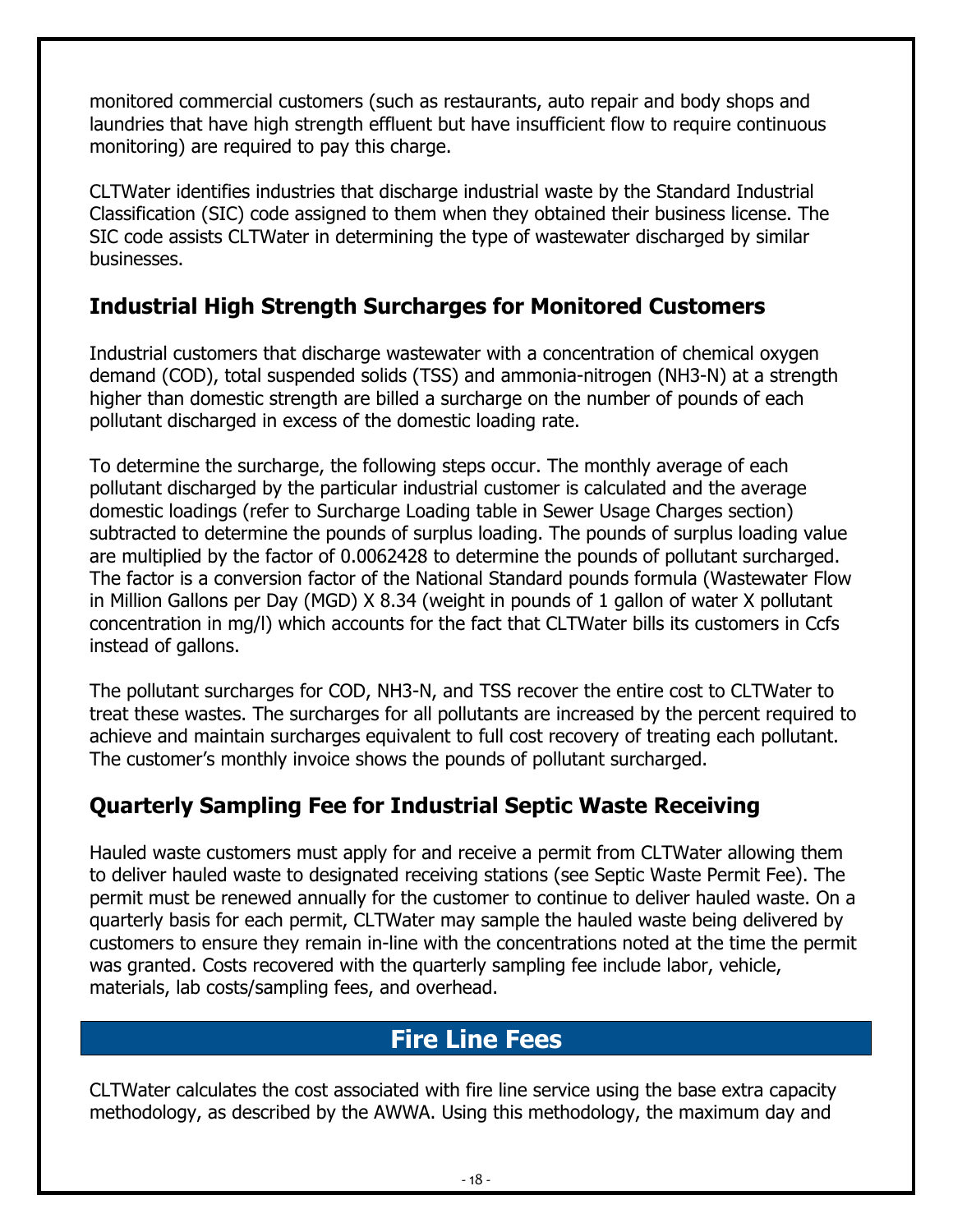monitored commercial customers (such as restaurants, auto repair and body shops and laundries that have high strength effluent but have insufficient flow to require continuous monitoring) are required to pay this charge.

CLTWater identifies industries that discharge industrial waste by the Standard Industrial Classification (SIC) code assigned to them when they obtained their business license. The SIC code assists CLTWater in determining the type of wastewater discharged by similar businesses.

#### <span id="page-17-0"></span>**Industrial High Strength Surcharges for Monitored Customers**

Industrial customers that discharge wastewater with a concentration of chemical oxygen demand (COD), total suspended solids (TSS) and ammonia-nitrogen (NH3-N) at a strength higher than domestic strength are billed a surcharge on the number of pounds of each pollutant discharged in excess of the domestic loading rate.

To determine the surcharge, the following steps occur. The monthly average of each pollutant discharged by the particular industrial customer is calculated and the average domestic loadings (refer to Surcharge Loading table in Sewer Usage Charges section) subtracted to determine the pounds of surplus loading. The pounds of surplus loading value are multiplied by the factor of 0.0062428 to determine the pounds of pollutant surcharged. The factor is a conversion factor of the National Standard pounds formula (Wastewater Flow in Million Gallons per Day (MGD) X 8.34 (weight in pounds of 1 gallon of water X pollutant concentration in mg/l) which accounts for the fact that CLTWater bills its customers in Ccfs instead of gallons.

The pollutant surcharges for COD, NH3-N, and TSS recover the entire cost to CLTWater to treat these wastes. The surcharges for all pollutants are increased by the percent required to achieve and maintain surcharges equivalent to full cost recovery of treating each pollutant. The customer's monthly invoice shows the pounds of pollutant surcharged.

#### <span id="page-17-1"></span>**Quarterly Sampling Fee for Industrial Septic Waste Receiving**

Hauled waste customers must apply for and receive a permit from CLTWater allowing them to deliver hauled waste to designated receiving stations (see Septic Waste Permit Fee). The permit must be renewed annually for the customer to continue to deliver hauled waste. On a quarterly basis for each permit, CLTWater may sample the hauled waste being delivered by customers to ensure they remain in-line with the concentrations noted at the time the permit was granted. Costs recovered with the quarterly sampling fee include labor, vehicle, materials, lab costs/sampling fees, and overhead.

# **Fire Line Fees**

<span id="page-17-2"></span>CLTWater calculates the cost associated with fire line service using the base extra capacity methodology, as described by the AWWA. Using this methodology, the maximum day and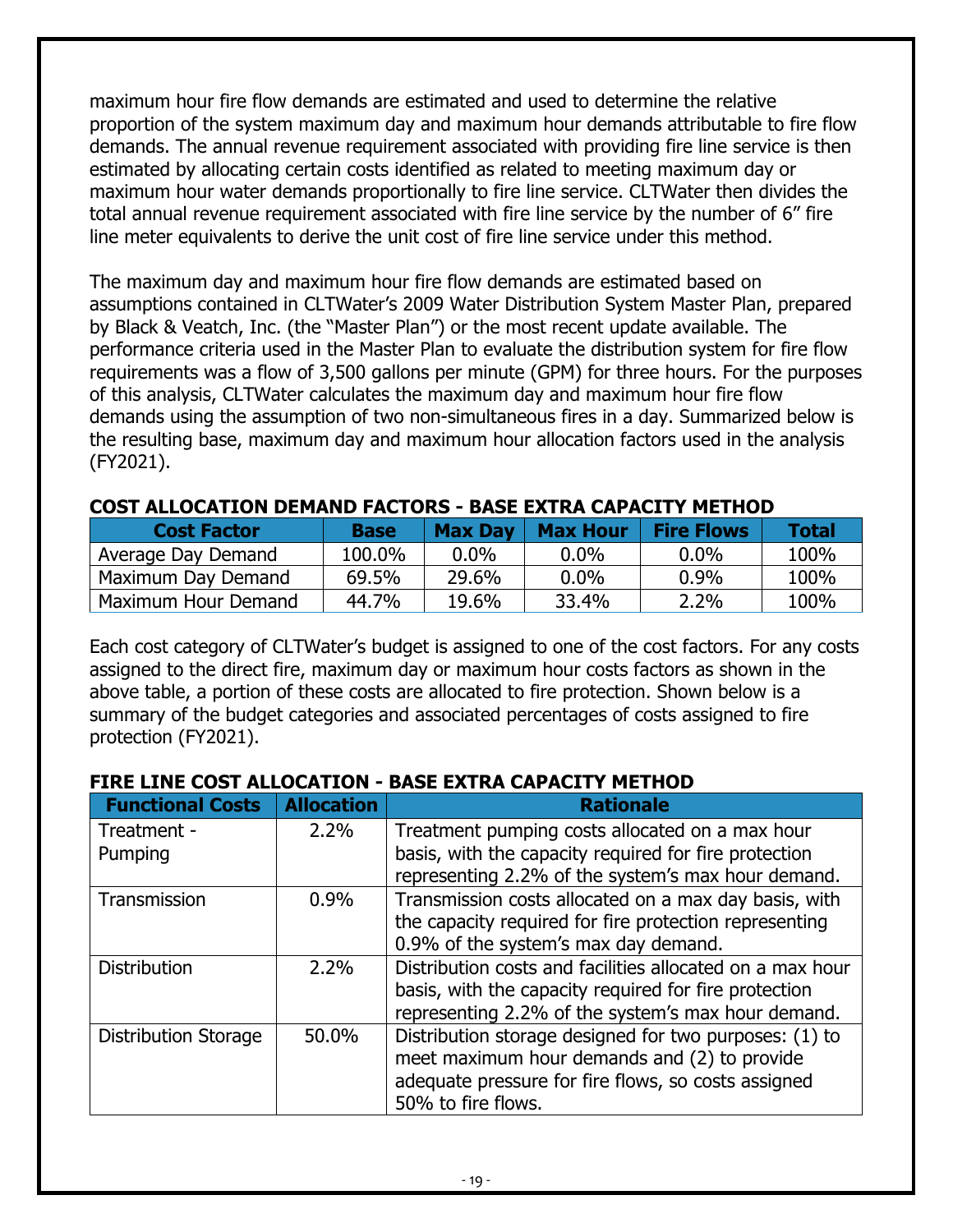maximum hour fire flow demands are estimated and used to determine the relative proportion of the system maximum day and maximum hour demands attributable to fire flow demands. The annual revenue requirement associated with providing fire line service is then estimated by allocating certain costs identified as related to meeting maximum day or maximum hour water demands proportionally to fire line service. CLTWater then divides the total annual revenue requirement associated with fire line service by the number of 6" fire line meter equivalents to derive the unit cost of fire line service under this method.

The maximum day and maximum hour fire flow demands are estimated based on assumptions contained in CLTWater's 2009 Water Distribution System Master Plan, prepared by Black & Veatch, Inc. (the "Master Plan") or the most recent update available. The performance criteria used in the Master Plan to evaluate the distribution system for fire flow requirements was a flow of 3,500 gallons per minute (GPM) for three hours. For the purposes of this analysis, CLTWater calculates the maximum day and maximum hour fire flow demands using the assumption of two non-simultaneous fires in a day. Summarized below is the resulting base, maximum day and maximum hour allocation factors used in the analysis (FY2021).

| <b>Cost Factor</b>  | <b>Base</b> | <b>Max Day</b> | <b>Max Hour</b> | <b>Fire Flows</b> | Total |
|---------------------|-------------|----------------|-----------------|-------------------|-------|
| Average Day Demand  | 100.0%      | $0.0\%$        | $0.0\%$         | $0.0\%$           | 100%  |
| Maximum Day Demand  | 69.5%       | 29.6%          | $0.0\%$         | $0.9\%$           | 100%  |
| Maximum Hour Demand | 44.7%       | 19.6%          | 33.4%           | 2.2%              | 100%  |

#### **COST ALLOCATION DEMAND FACTORS - BASE EXTRA CAPACITY METHOD**

Each cost category of CLTWater's budget is assigned to one of the cost factors. For any costs assigned to the direct fire, maximum day or maximum hour costs factors as shown in the above table, a portion of these costs are allocated to fire protection. Shown below is a summary of the budget categories and associated percentages of costs assigned to fire protection (FY2021).

#### **FIRE LINE COST ALLOCATION - BASE EXTRA CAPACITY METHOD**

| <b>Functional Costs</b>     | <b>Allocation</b> | <b>Rationale</b>                                          |
|-----------------------------|-------------------|-----------------------------------------------------------|
| Treatment -                 | 2.2%              | Treatment pumping costs allocated on a max hour           |
| Pumping                     |                   | basis, with the capacity required for fire protection     |
|                             |                   | representing 2.2% of the system's max hour demand.        |
| Transmission                | 0.9%              | Transmission costs allocated on a max day basis, with     |
|                             |                   | the capacity required for fire protection representing    |
|                             |                   | 0.9% of the system's max day demand.                      |
| <b>Distribution</b>         | 2.2%              | Distribution costs and facilities allocated on a max hour |
|                             |                   | basis, with the capacity required for fire protection     |
|                             |                   | representing 2.2% of the system's max hour demand.        |
| <b>Distribution Storage</b> | 50.0%             | Distribution storage designed for two purposes: (1) to    |
|                             |                   | meet maximum hour demands and (2) to provide              |
|                             |                   | adequate pressure for fire flows, so costs assigned       |
|                             |                   | 50% to fire flows.                                        |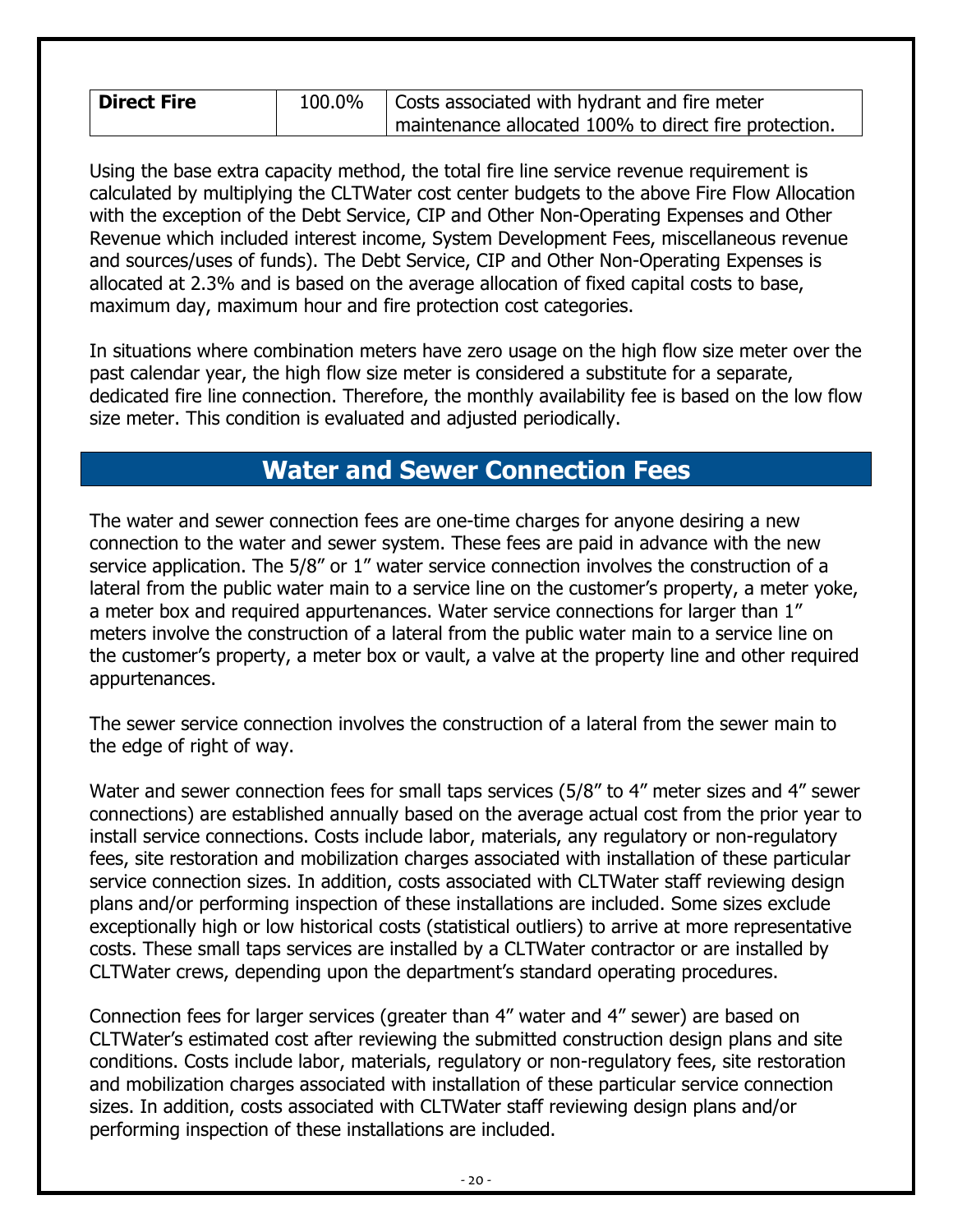| <b>Direct Fire</b> | 100.0% | Costs associated with hydrant and fire meter          |
|--------------------|--------|-------------------------------------------------------|
|                    |        | maintenance allocated 100% to direct fire protection. |

Using the base extra capacity method, the total fire line service revenue requirement is calculated by multiplying the CLTWater cost center budgets to the above Fire Flow Allocation with the exception of the Debt Service, CIP and Other Non-Operating Expenses and Other Revenue which included interest income, System Development Fees, miscellaneous revenue and sources/uses of funds). The Debt Service, CIP and Other Non-Operating Expenses is allocated at 2.3% and is based on the average allocation of fixed capital costs to base, maximum day, maximum hour and fire protection cost categories.

In situations where combination meters have zero usage on the high flow size meter over the past calendar year, the high flow size meter is considered a substitute for a separate, dedicated fire line connection. Therefore, the monthly availability fee is based on the low flow size meter. This condition is evaluated and adjusted periodically.

#### **Water and Sewer Connection Fees**

<span id="page-19-0"></span>The water and sewer connection fees are one-time charges for anyone desiring a new connection to the water and sewer system. These fees are paid in advance with the new service application. The 5/8" or 1" water service connection involves the construction of a lateral from the public water main to a service line on the customer's property, a meter yoke, a meter box and required appurtenances. Water service connections for larger than 1" meters involve the construction of a lateral from the public water main to a service line on the customer's property, a meter box or vault, a valve at the property line and other required appurtenances.

The sewer service connection involves the construction of a lateral from the sewer main to the edge of right of way.

Water and sewer connection fees for small taps services (5/8" to 4" meter sizes and 4" sewer connections) are established annually based on the average actual cost from the prior year to install service connections. Costs include labor, materials, any regulatory or non-regulatory fees, site restoration and mobilization charges associated with installation of these particular service connection sizes. In addition, costs associated with CLTWater staff reviewing design plans and/or performing inspection of these installations are included. Some sizes exclude exceptionally high or low historical costs (statistical outliers) to arrive at more representative costs. These small taps services are installed by a CLTWater contractor or are installed by CLTWater crews, depending upon the department's standard operating procedures.

Connection fees for larger services (greater than 4" water and 4" sewer) are based on CLTWater's estimated cost after reviewing the submitted construction design plans and site conditions. Costs include labor, materials, regulatory or non-regulatory fees, site restoration and mobilization charges associated with installation of these particular service connection sizes. In addition, costs associated with CLTWater staff reviewing design plans and/or performing inspection of these installations are included.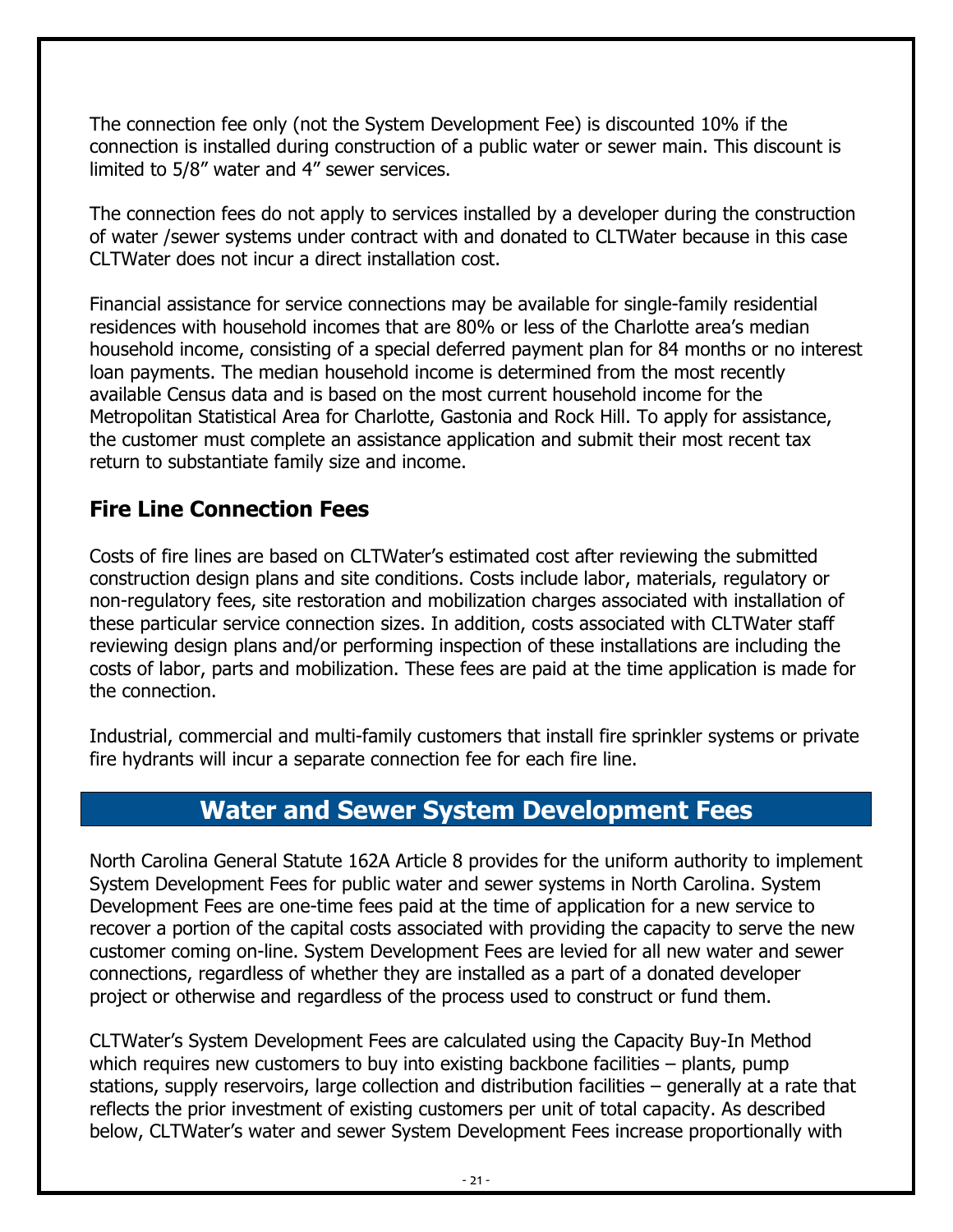The connection fee only (not the System Development Fee) is discounted 10% if the connection is installed during construction of a public water or sewer main. This discount is limited to 5/8" water and 4" sewer services.

The connection fees do not apply to services installed by a developer during the construction of water /sewer systems under contract with and donated to CLTWater because in this case CLTWater does not incur a direct installation cost.

Financial assistance for service connections may be available for single-family residential residences with household incomes that are 80% or less of the Charlotte area's median household income, consisting of a special deferred payment plan for 84 months or no interest loan payments. The median household income is determined from the most recently available Census data and is based on the most current household income for the Metropolitan Statistical Area for Charlotte, Gastonia and Rock Hill. To apply for assistance, the customer must complete an assistance application and submit their most recent tax return to substantiate family size and income.

#### <span id="page-20-0"></span>**Fire Line Connection Fees**

Costs of fire lines are based on CLTWater's estimated cost after reviewing the submitted construction design plans and site conditions. Costs include labor, materials, regulatory or non-regulatory fees, site restoration and mobilization charges associated with installation of these particular service connection sizes. In addition, costs associated with CLTWater staff reviewing design plans and/or performing inspection of these installations are including the costs of labor, parts and mobilization. These fees are paid at the time application is made for the connection.

Industrial, commercial and multi-family customers that install fire sprinkler systems or private fire hydrants will incur a separate connection fee for each fire line.

#### **Water and Sewer System Development Fees**

<span id="page-20-1"></span>North Carolina General Statute 162A Article 8 provides for the uniform authority to implement System Development Fees for public water and sewer systems in North Carolina. System Development Fees are one-time fees paid at the time of application for a new service to recover a portion of the capital costs associated with providing the capacity to serve the new customer coming on-line. System Development Fees are levied for all new water and sewer connections, regardless of whether they are installed as a part of a donated developer project or otherwise and regardless of the process used to construct or fund them.

CLTWater's System Development Fees are calculated using the Capacity Buy-In Method which requires new customers to buy into existing backbone facilities – plants, pump stations, supply reservoirs, large collection and distribution facilities – generally at a rate that reflects the prior investment of existing customers per unit of total capacity. As described below, CLTWater's water and sewer System Development Fees increase proportionally with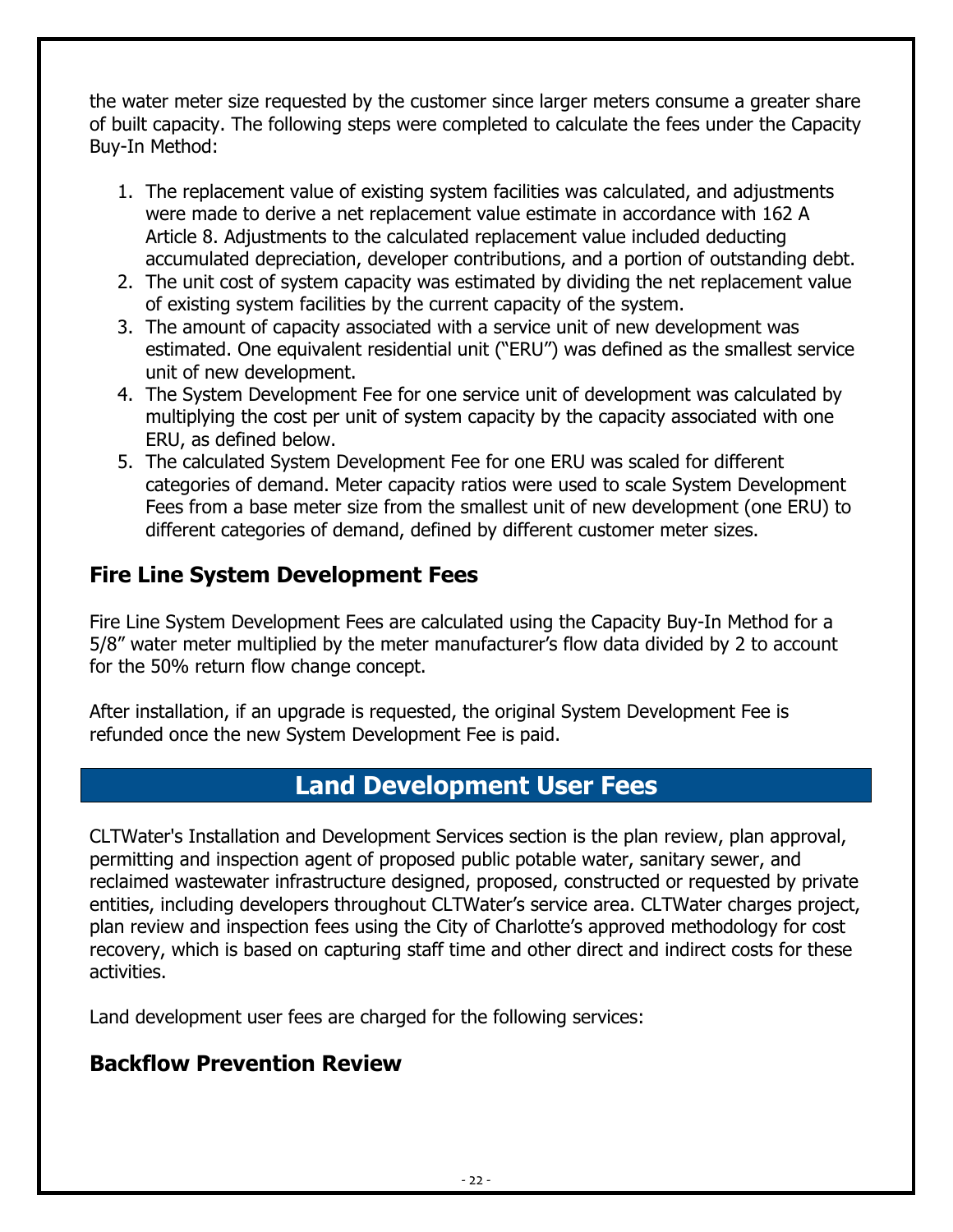the water meter size requested by the customer since larger meters consume a greater share of built capacity. The following steps were completed to calculate the fees under the Capacity Buy-In Method:

- 1. The replacement value of existing system facilities was calculated, and adjustments were made to derive a net replacement value estimate in accordance with 162 A Article 8. Adjustments to the calculated replacement value included deducting accumulated depreciation, developer contributions, and a portion of outstanding debt.
- 2. The unit cost of system capacity was estimated by dividing the net replacement value of existing system facilities by the current capacity of the system.
- 3. The amount of capacity associated with a service unit of new development was estimated. One equivalent residential unit ("ERU") was defined as the smallest service unit of new development.
- 4. The System Development Fee for one service unit of development was calculated by multiplying the cost per unit of system capacity by the capacity associated with one ERU, as defined below.
- 5. The calculated System Development Fee for one ERU was scaled for different categories of demand. Meter capacity ratios were used to scale System Development Fees from a base meter size from the smallest unit of new development (one ERU) to different categories of demand, defined by different customer meter sizes.

#### <span id="page-21-0"></span>**Fire Line System Development Fees**

Fire Line System Development Fees are calculated using the Capacity Buy-In Method for a 5/8" water meter multiplied by the meter manufacturer's flow data divided by 2 to account for the 50% return flow change concept.

After installation, if an upgrade is requested, the original System Development Fee is refunded once the new System Development Fee is paid.

#### **Land Development User Fees**

<span id="page-21-1"></span>CLTWater's Installation and Development Services section is the plan review, plan approval, permitting and inspection agent of proposed public potable water, sanitary sewer, and reclaimed wastewater infrastructure designed, proposed, constructed or requested by private entities, including developers throughout CLTWater's service area. CLTWater charges project, plan review and inspection fees using the City of Charlotte's approved methodology for cost recovery, which is based on capturing staff time and other direct and indirect costs for these activities.

Land development user fees are charged for the following services:

#### <span id="page-21-2"></span>**Backflow Prevention Review**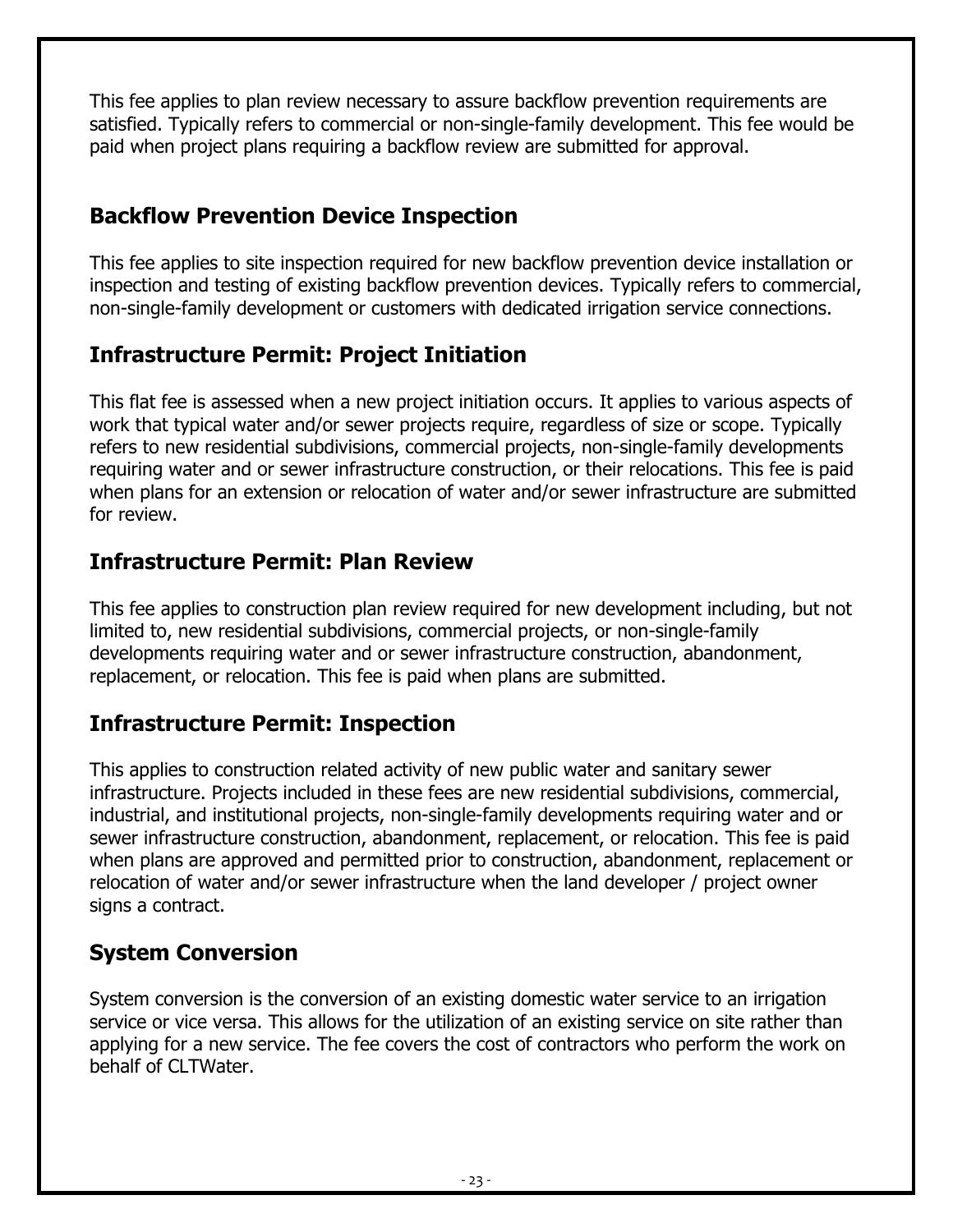This fee applies to plan review necessary to assure backflow prevention requirements are satisfied. Typically refers to commercial or non-single-family development. This fee would be paid when project plans requiring a backflow review are submitted for approval.

### <span id="page-22-0"></span>**Backflow Prevention Device Inspection**

This fee applies to site inspection required for new backflow prevention device installation or inspection and testing of existing backflow prevention devices. Typically refers to commercial, non-single-family development or customers with dedicated irrigation service connections.

#### <span id="page-22-1"></span>**Infrastructure Permit: Project Initiation**

This flat fee is assessed when a new project initiation occurs. It applies to various aspects of work that typical water and/or sewer projects require, regardless of size or scope. Typically refers to new residential subdivisions, commercial projects, non-single-family developments requiring water and or sewer infrastructure construction, or their relocations. This fee is paid when plans for an extension or relocation of water and/or sewer infrastructure are submitted for review.

#### <span id="page-22-2"></span>**Infrastructure Permit: Plan Review**

This fee applies to construction plan review required for new development including, but not limited to, new residential subdivisions, commercial projects, or non-single-family developments requiring water and or sewer infrastructure construction, abandonment, replacement, or relocation. This fee is paid when plans are submitted.

#### <span id="page-22-3"></span>**Infrastructure Permit: Inspection**

This applies to construction related activity of new public water and sanitary sewer infrastructure. Projects included in these fees are new residential subdivisions, commercial, industrial, and institutional projects, non-single-family developments requiring water and or sewer infrastructure construction, abandonment, replacement, or relocation. This fee is paid when plans are approved and permitted prior to construction, abandonment, replacement or relocation of water and/or sewer infrastructure when the land developer / project owner signs a contract.

#### <span id="page-22-4"></span>**System Conversion**

System conversion is the conversion of an existing domestic water service to an irrigation service or vice versa. This allows for the utilization of an existing service on site rather than applying for a new service. The fee covers the cost of contractors who perform the work on behalf of CLTWater.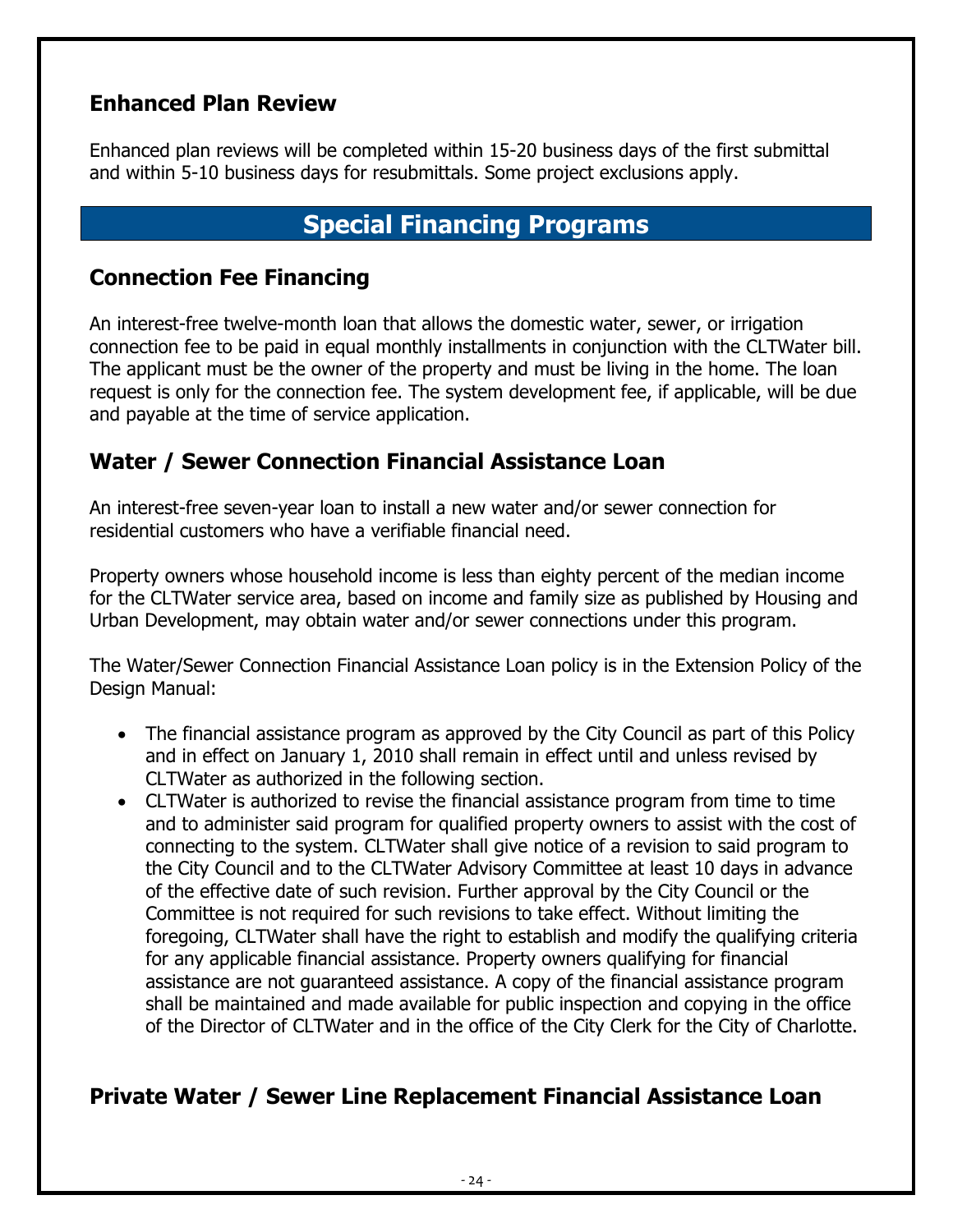#### <span id="page-23-0"></span>**Enhanced Plan Review**

Enhanced plan reviews will be completed within 15-20 business days of the first submittal and within 5-10 business days for resubmittals. Some project exclusions apply.

# **Special Financing Programs**

#### <span id="page-23-2"></span><span id="page-23-1"></span>**Connection Fee Financing**

An interest-free twelve-month loan that allows the domestic water, sewer, or irrigation connection fee to be paid in equal monthly installments in conjunction with the CLTWater bill. The applicant must be the owner of the property and must be living in the home. The loan request is only for the connection fee. The system development fee, if applicable, will be due and payable at the time of service application.

#### <span id="page-23-3"></span>**Water / Sewer Connection Financial Assistance Loan**

An interest-free seven-year loan to install a new water and/or sewer connection for residential customers who have a verifiable financial need.

Property owners whose household income is less than eighty percent of the median income for the CLTWater service area, based on income and family size as published by Housing and Urban Development, may obtain water and/or sewer connections under this program.

The Water/Sewer Connection Financial Assistance Loan policy is in the Extension Policy of the Design Manual:

- The financial assistance program as approved by the City Council as part of this Policy and in effect on January 1, 2010 shall remain in effect until and unless revised by CLTWater as authorized in the following section.
- CLTWater is authorized to revise the financial assistance program from time to time and to administer said program for qualified property owners to assist with the cost of connecting to the system. CLTWater shall give notice of a revision to said program to the City Council and to the CLTWater Advisory Committee at least 10 days in advance of the effective date of such revision. Further approval by the City Council or the Committee is not required for such revisions to take effect. Without limiting the foregoing, CLTWater shall have the right to establish and modify the qualifying criteria for any applicable financial assistance. Property owners qualifying for financial assistance are not guaranteed assistance. A copy of the financial assistance program shall be maintained and made available for public inspection and copying in the office of the Director of CLTWater and in the office of the City Clerk for the City of Charlotte.

#### <span id="page-23-4"></span>**Private Water / Sewer Line Replacement Financial Assistance Loan**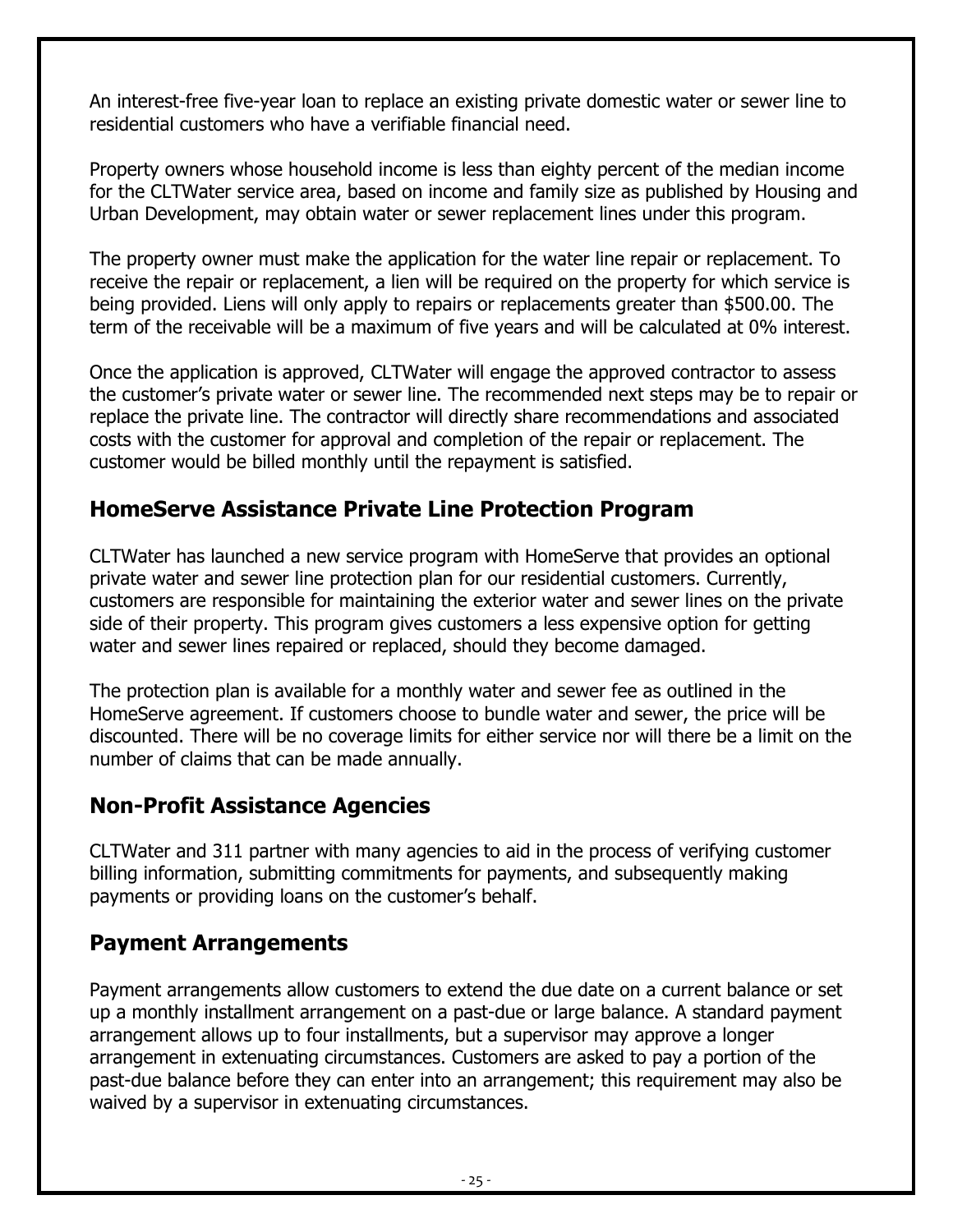An interest-free five-year loan to replace an existing private domestic water or sewer line to residential customers who have a verifiable financial need.

Property owners whose household income is less than eighty percent of the median income for the CLTWater service area, based on income and family size as published by Housing and Urban Development, may obtain water or sewer replacement lines under this program.

The property owner must make the application for the water line repair or replacement. To receive the repair or replacement, a lien will be required on the property for which service is being provided. Liens will only apply to repairs or replacements greater than \$500.00. The term of the receivable will be a maximum of five years and will be calculated at 0% interest.

Once the application is approved, CLTWater will engage the approved contractor to assess the customer's private water or sewer line. The recommended next steps may be to repair or replace the private line. The contractor will directly share recommendations and associated costs with the customer for approval and completion of the repair or replacement. The customer would be billed monthly until the repayment is satisfied.

#### <span id="page-24-0"></span>**HomeServe Assistance Private Line Protection Program**

CLTWater has launched a new service program with HomeServe that provides an optional private water and sewer line protection plan for our residential customers. Currently, customers are responsible for maintaining the exterior water and sewer lines on the private side of their property. This program gives customers a less expensive option for getting water and sewer lines repaired or replaced, should they become damaged.

The protection plan is available for a monthly water and sewer fee as outlined in the HomeServe agreement. If customers choose to bundle water and sewer, the price will be discounted. There will be no coverage limits for either service nor will there be a limit on the number of claims that can be made annually.

#### <span id="page-24-1"></span>**Non-Profit Assistance Agencies**

CLTWater and 311 partner with many agencies to aid in the process of verifying customer billing information, submitting commitments for payments, and subsequently making payments or providing loans on the customer's behalf.

#### <span id="page-24-2"></span>**Payment Arrangements**

Payment arrangements allow customers to extend the due date on a current balance or set up a monthly installment arrangement on a past-due or large balance. A standard payment arrangement allows up to four installments, but a supervisor may approve a longer arrangement in extenuating circumstances. Customers are asked to pay a portion of the past-due balance before they can enter into an arrangement; this requirement may also be waived by a supervisor in extenuating circumstances.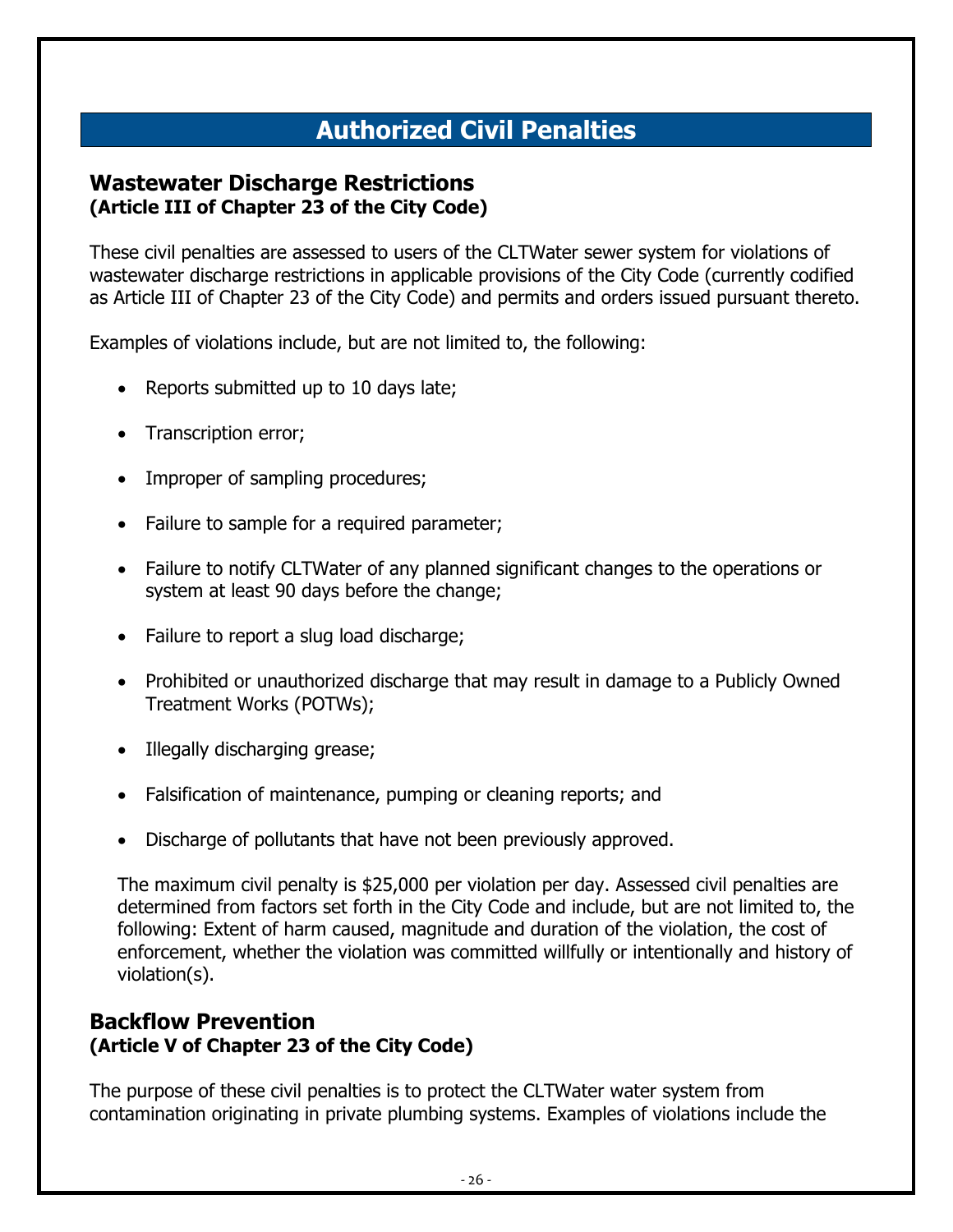# **Authorized Civil Penalties**

#### <span id="page-25-1"></span><span id="page-25-0"></span>**Wastewater Discharge Restrictions (Article III of Chapter 23 of the City Code)**

These civil penalties are assessed to users of the CLTWater sewer system for violations of wastewater discharge restrictions in applicable provisions of the City Code (currently codified as Article III of Chapter 23 of the City Code) and permits and orders issued pursuant thereto.

Examples of violations include, but are not limited to, the following:

- Reports submitted up to 10 days late;
- Transcription error;
- Improper of sampling procedures;
- Failure to sample for a required parameter;
- Failure to notify CLTWater of any planned significant changes to the operations or system at least 90 days before the change;
- Failure to report a slug load discharge;
- Prohibited or unauthorized discharge that may result in damage to a Publicly Owned Treatment Works (POTWs);
- Illegally discharging grease;
- Falsification of maintenance, pumping or cleaning reports; and
- Discharge of pollutants that have not been previously approved.

The maximum civil penalty is \$25,000 per violation per day. Assessed civil penalties are determined from factors set forth in the City Code and include, but are not limited to, the following: Extent of harm caused, magnitude and duration of the violation, the cost of enforcement, whether the violation was committed willfully or intentionally and history of violation(s).

#### <span id="page-25-2"></span>**Backflow Prevention (Article V of Chapter 23 of the City Code)**

The purpose of these civil penalties is to protect the CLTWater water system from contamination originating in private plumbing systems. Examples of violations include the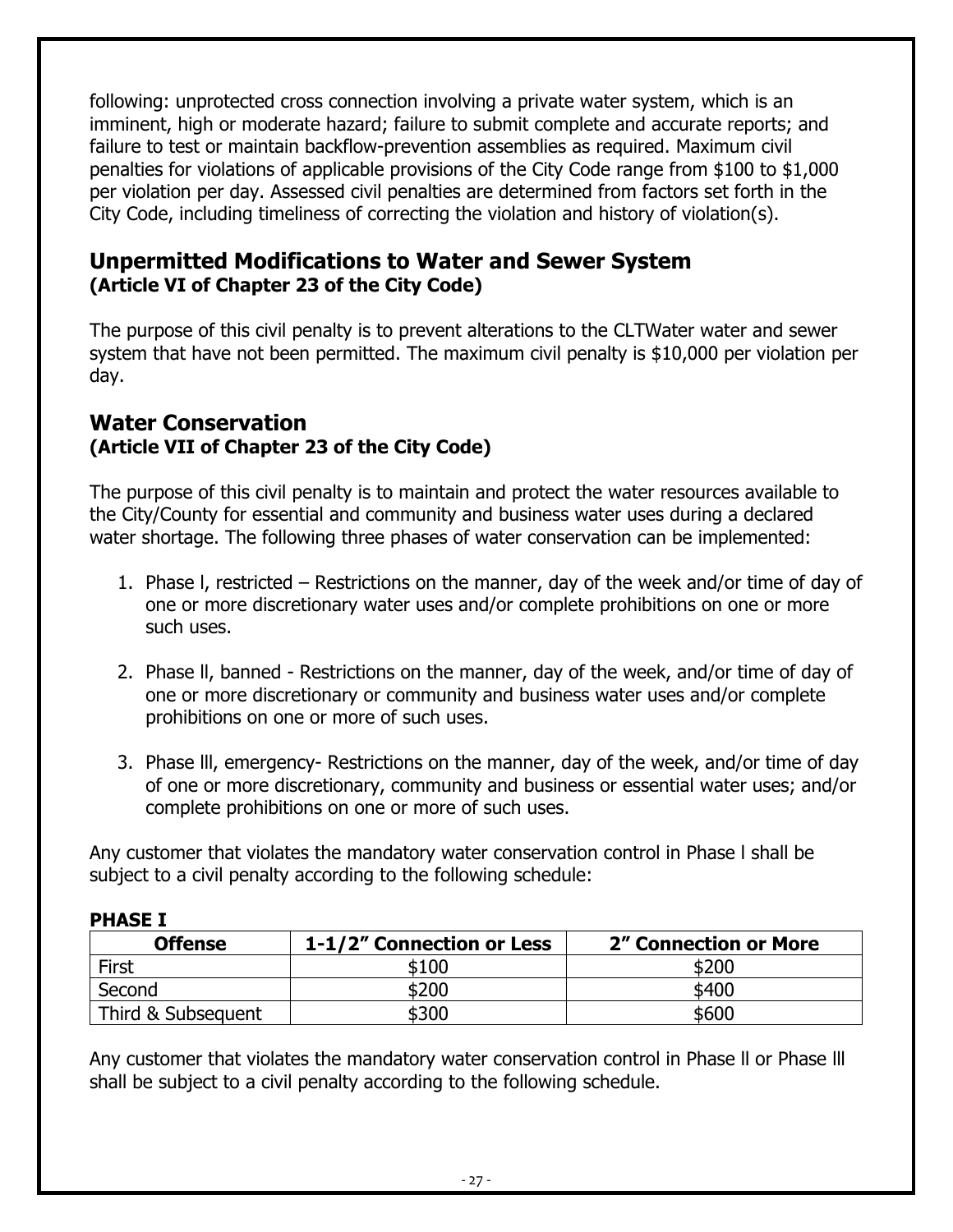following: unprotected cross connection involving a private water system, which is an imminent, high or moderate hazard; failure to submit complete and accurate reports; and failure to test or maintain backflow-prevention assemblies as required. Maximum civil penalties for violations of applicable provisions of the City Code range from \$100 to \$1,000 per violation per day. Assessed civil penalties are determined from factors set forth in the City Code, including timeliness of correcting the violation and history of violation(s).

#### <span id="page-26-0"></span>**Unpermitted Modifications to Water and Sewer System (Article VI of Chapter 23 of the City Code)**

The purpose of this civil penalty is to prevent alterations to the CLTWater water and sewer system that have not been permitted. The maximum civil penalty is \$10,000 per violation per day.

#### <span id="page-26-1"></span>**Water Conservation (Article VII of Chapter 23 of the City Code)**

The purpose of this civil penalty is to maintain and protect the water resources available to the City/County for essential and community and business water uses during a declared water shortage. The following three phases of water conservation can be implemented:

- 1. Phase l, restricted Restrictions on the manner, day of the week and/or time of day of one or more discretionary water uses and/or complete prohibitions on one or more such uses.
- 2. Phase ll, banned Restrictions on the manner, day of the week, and/or time of day of one or more discretionary or community and business water uses and/or complete prohibitions on one or more of such uses.
- 3. Phase lll, emergency- Restrictions on the manner, day of the week, and/or time of day of one or more discretionary, community and business or essential water uses; and/or complete prohibitions on one or more of such uses.

Any customer that violates the mandatory water conservation control in Phase l shall be subject to a civil penalty according to the following schedule:

| .                  |                           |                       |  |  |
|--------------------|---------------------------|-----------------------|--|--|
| <b>Offense</b>     | 1-1/2" Connection or Less | 2" Connection or More |  |  |
| First              | \$100                     |                       |  |  |
| Second             | \$200                     | \$400                 |  |  |
| Third & Subsequent | \$300                     | \$600                 |  |  |

#### **PHASE I**

Any customer that violates the mandatory water conservation control in Phase ll or Phase lll shall be subject to a civil penalty according to the following schedule.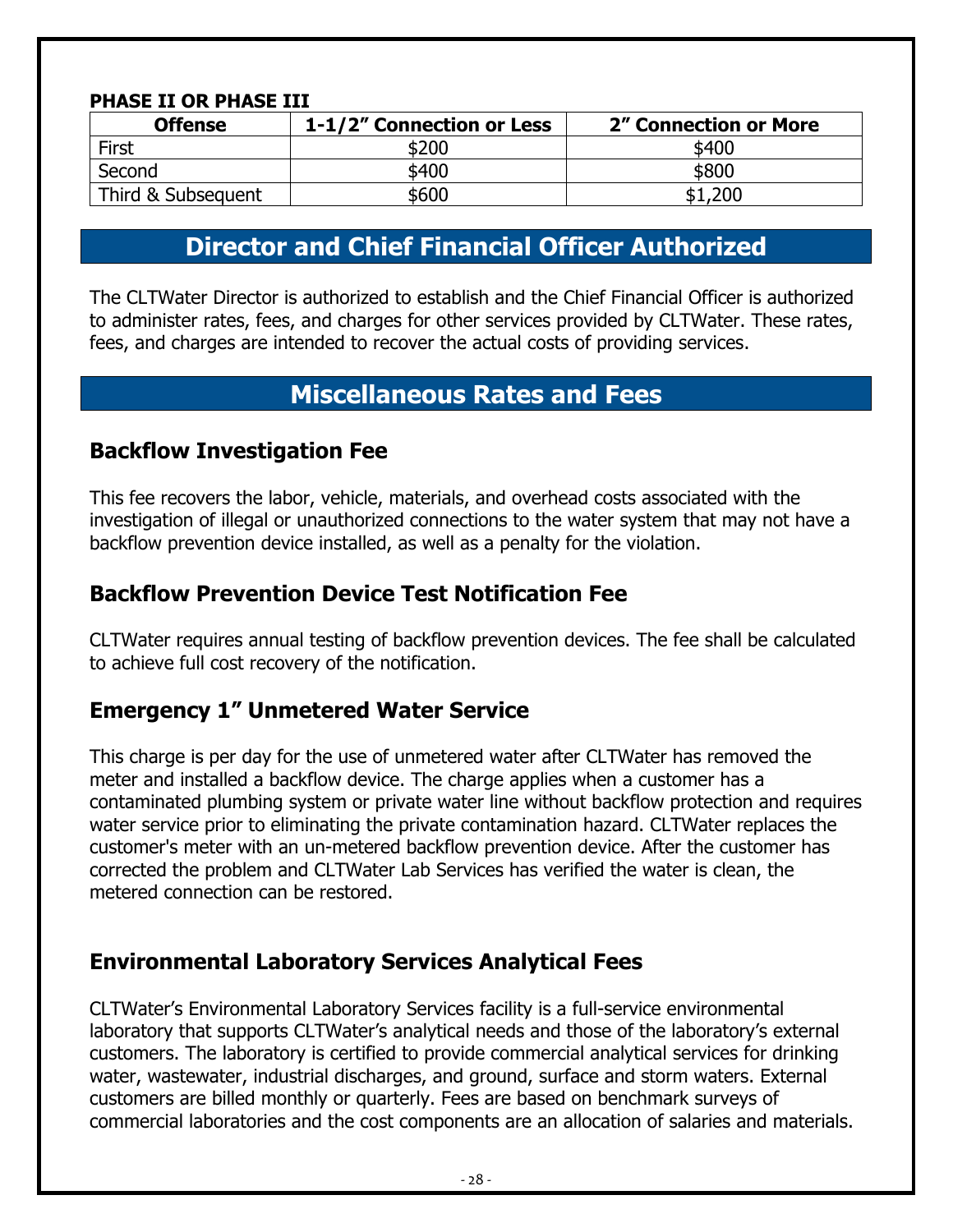#### **PHASE II OR PHASE III**

| <b>Offense</b>     | 1-1/2" Connection or Less | 2" Connection or More |  |
|--------------------|---------------------------|-----------------------|--|
| First              | \$200                     | \$400                 |  |
| Second             | \$400                     | \$800                 |  |
| Third & Subsequent | \$600                     | \$1,200               |  |

# **Director and Chief Financial Officer Authorized**

<span id="page-27-0"></span>The CLTWater Director is authorized to establish and the Chief Financial Officer is authorized to administer rates, fees, and charges for other services provided by CLTWater. These rates, fees, and charges are intended to recover the actual costs of providing services.

#### **Miscellaneous Rates and Fees**

#### <span id="page-27-2"></span><span id="page-27-1"></span>**Backflow Investigation Fee**

This fee recovers the labor, vehicle, materials, and overhead costs associated with the investigation of illegal or unauthorized connections to the water system that may not have a backflow prevention device installed, as well as a penalty for the violation.

#### <span id="page-27-3"></span>**Backflow Prevention Device Test Notification Fee**

CLTWater requires annual testing of backflow prevention devices. The fee shall be calculated to achieve full cost recovery of the notification.

#### <span id="page-27-4"></span>**Emergency 1" Unmetered Water Service**

This charge is per day for the use of unmetered water after CLTWater has removed the meter and installed a backflow device. The charge applies when a customer has a contaminated plumbing system or private water line without backflow protection and requires water service prior to eliminating the private contamination hazard. CLTWater replaces the customer's meter with an un-metered backflow prevention device. After the customer has corrected the problem and CLTWater Lab Services has verified the water is clean, the metered connection can be restored.

#### <span id="page-27-5"></span>**Environmental Laboratory Services Analytical Fees**

CLTWater's Environmental Laboratory Services facility is a full-service environmental laboratory that supports CLTWater's analytical needs and those of the laboratory's external customers. The laboratory is certified to provide commercial analytical services for drinking water, wastewater, industrial discharges, and ground, surface and storm waters. External customers are billed monthly or quarterly. Fees are based on benchmark surveys of commercial laboratories and the cost components are an allocation of salaries and materials.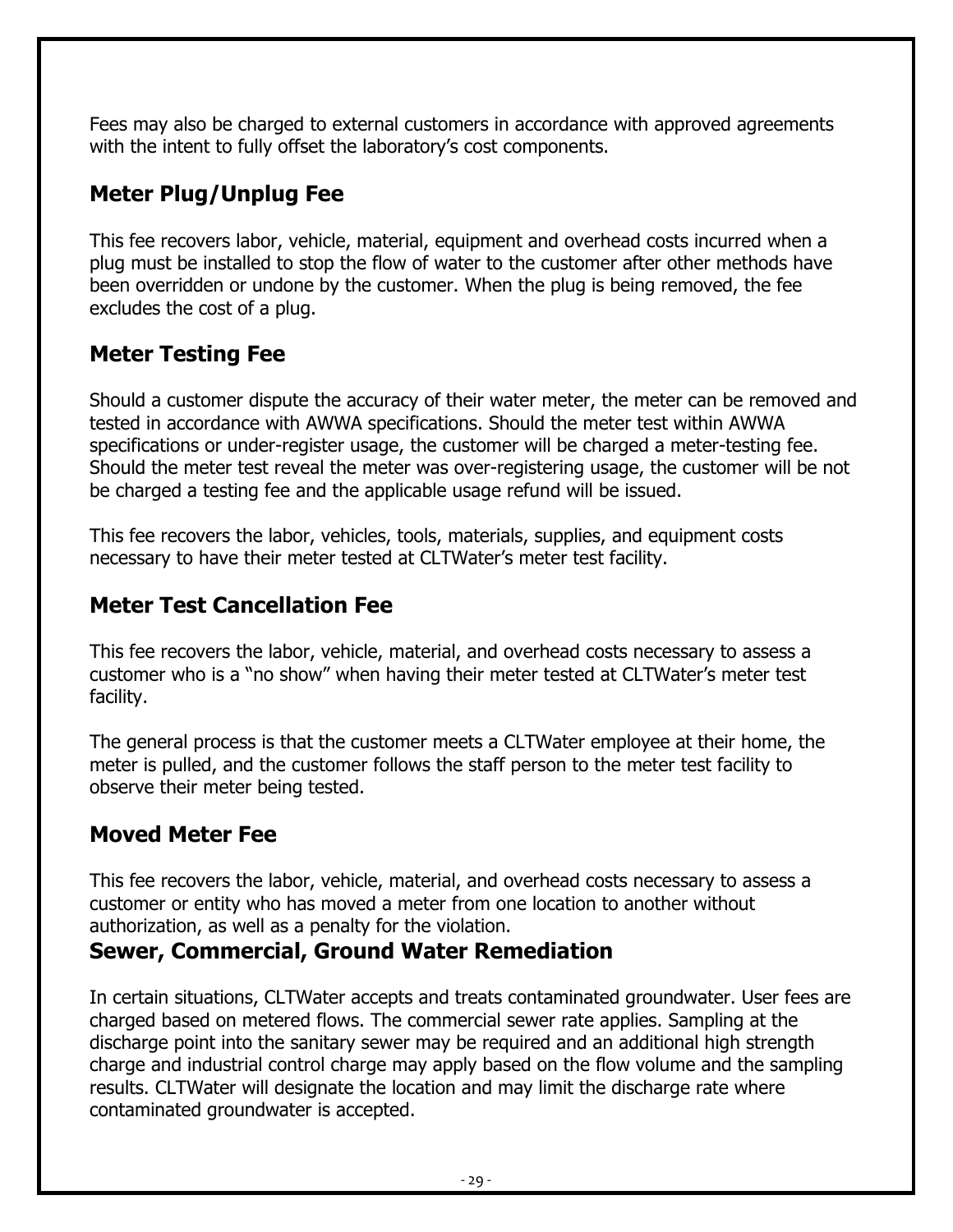Fees may also be charged to external customers in accordance with approved agreements with the intent to fully offset the laboratory's cost components.

#### <span id="page-28-0"></span>**Meter Plug/Unplug Fee**

This fee recovers labor, vehicle, material, equipment and overhead costs incurred when a plug must be installed to stop the flow of water to the customer after other methods have been overridden or undone by the customer. When the plug is being removed, the fee excludes the cost of a plug.

#### <span id="page-28-1"></span>**Meter Testing Fee**

Should a customer dispute the accuracy of their water meter, the meter can be removed and tested in accordance with AWWA specifications. Should the meter test within AWWA specifications or under-register usage, the customer will be charged a meter-testing fee. Should the meter test reveal the meter was over-registering usage, the customer will be not be charged a testing fee and the applicable usage refund will be issued.

This fee recovers the labor, vehicles, tools, materials, supplies, and equipment costs necessary to have their meter tested at CLTWater's meter test facility.

#### <span id="page-28-2"></span>**Meter Test Cancellation Fee**

This fee recovers the labor, vehicle, material, and overhead costs necessary to assess a customer who is a "no show" when having their meter tested at CLTWater's meter test facility.

The general process is that the customer meets a CLTWater employee at their home, the meter is pulled, and the customer follows the staff person to the meter test facility to observe their meter being tested.

#### <span id="page-28-3"></span>**Moved Meter Fee**

This fee recovers the labor, vehicle, material, and overhead costs necessary to assess a customer or entity who has moved a meter from one location to another without authorization, as well as a penalty for the violation.

#### <span id="page-28-4"></span>**Sewer, Commercial, Ground Water Remediation**

In certain situations, CLTWater accepts and treats contaminated groundwater. User fees are charged based on metered flows. The commercial sewer rate applies. Sampling at the discharge point into the sanitary sewer may be required and an additional high strength charge and industrial control charge may apply based on the flow volume and the sampling results. CLTWater will designate the location and may limit the discharge rate where contaminated groundwater is accepted.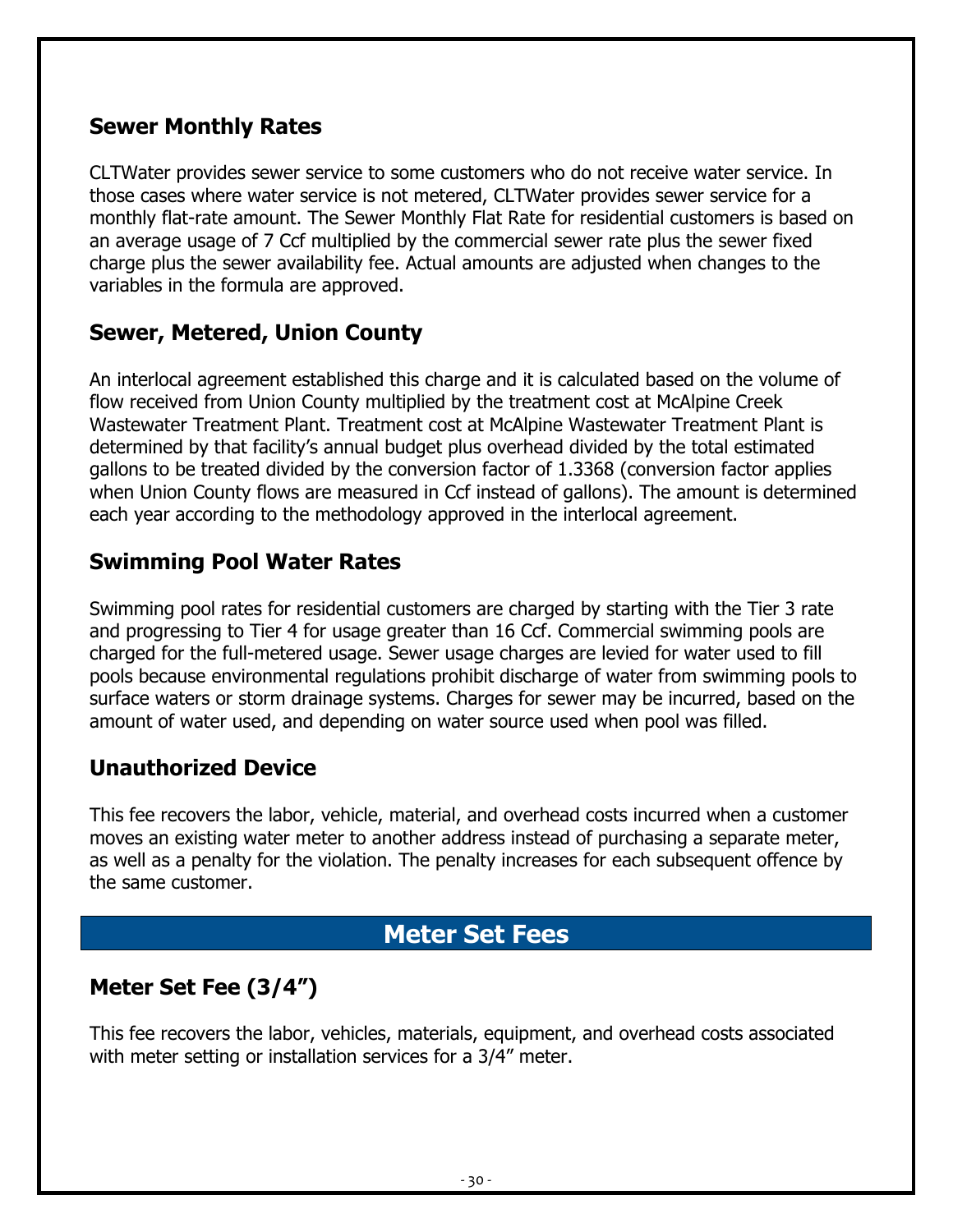#### <span id="page-29-0"></span>**Sewer Monthly Rates**

CLTWater provides sewer service to some customers who do not receive water service. In those cases where water service is not metered, CLTWater provides sewer service for a monthly flat-rate amount. The Sewer Monthly Flat Rate for residential customers is based on an average usage of 7 Ccf multiplied by the commercial sewer rate plus the sewer fixed charge plus the sewer availability fee. Actual amounts are adjusted when changes to the variables in the formula are approved.

#### <span id="page-29-1"></span>**Sewer, Metered, Union County**

An interlocal agreement established this charge and it is calculated based on the volume of flow received from Union County multiplied by the treatment cost at McAlpine Creek Wastewater Treatment Plant. Treatment cost at McAlpine Wastewater Treatment Plant is determined by that facility's annual budget plus overhead divided by the total estimated gallons to be treated divided by the conversion factor of 1.3368 (conversion factor applies when Union County flows are measured in Ccf instead of gallons). The amount is determined each year according to the methodology approved in the interlocal agreement.

#### <span id="page-29-2"></span>**Swimming Pool Water Rates**

Swimming pool rates for residential customers are charged by starting with the Tier 3 rate and progressing to Tier 4 for usage greater than 16 Ccf. Commercial swimming pools are charged for the full-metered usage. Sewer usage charges are levied for water used to fill pools because environmental regulations prohibit discharge of water from swimming pools to surface waters or storm drainage systems. Charges for sewer may be incurred, based on the amount of water used, and depending on water source used when pool was filled.

#### <span id="page-29-3"></span>**Unauthorized Device**

This fee recovers the labor, vehicle, material, and overhead costs incurred when a customer moves an existing water meter to another address instead of purchasing a separate meter, as well as a penalty for the violation. The penalty increases for each subsequent offence by the same customer.

# **Meter Set Fees**

#### <span id="page-29-5"></span><span id="page-29-4"></span>**Meter Set Fee (3/4")**

This fee recovers the labor, vehicles, materials, equipment, and overhead costs associated with meter setting or installation services for a 3/4" meter.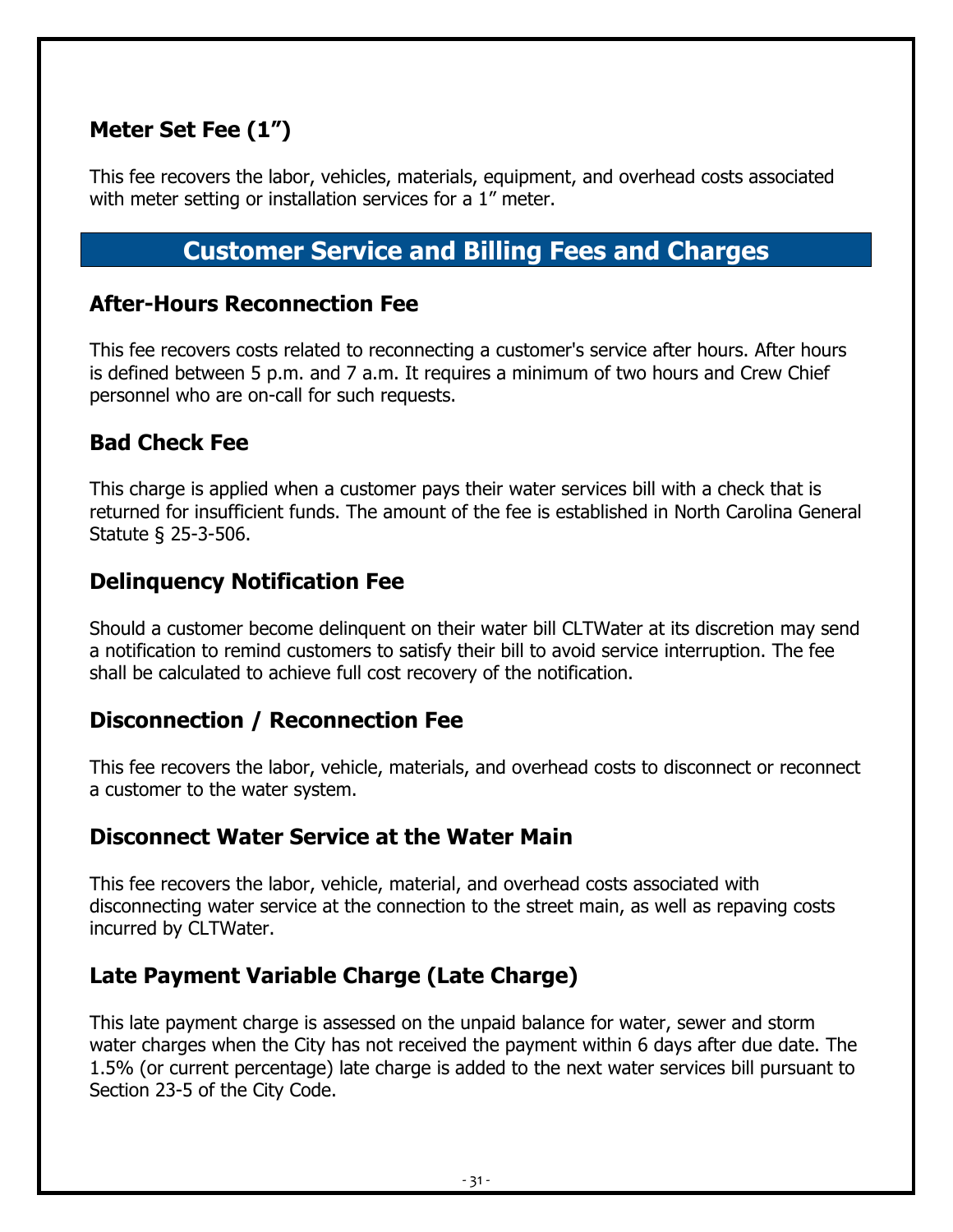#### <span id="page-30-0"></span>**Meter Set Fee (1")**

This fee recovers the labor, vehicles, materials, equipment, and overhead costs associated with meter setting or installation services for a 1" meter.

#### **Customer Service and Billing Fees and Charges**

#### <span id="page-30-2"></span><span id="page-30-1"></span>**After-Hours Reconnection Fee**

This fee recovers costs related to reconnecting a customer's service after hours. After hours is defined between 5 p.m. and 7 a.m. It requires a minimum of two hours and Crew Chief personnel who are on-call for such requests.

#### <span id="page-30-3"></span>**Bad Check Fee**

This charge is applied when a customer pays their water services bill with a check that is returned for insufficient funds. The amount of the fee is established in North Carolina General Statute § 25-3-506.

#### <span id="page-30-4"></span>**Delinquency Notification Fee**

Should a customer become delinquent on their water bill CLTWater at its discretion may send a notification to remind customers to satisfy their bill to avoid service interruption. The fee shall be calculated to achieve full cost recovery of the notification.

#### <span id="page-30-5"></span>**Disconnection / Reconnection Fee**

This fee recovers the labor, vehicle, materials, and overhead costs to disconnect or reconnect a customer to the water system.

#### <span id="page-30-6"></span>**Disconnect Water Service at the Water Main**

This fee recovers the labor, vehicle, material, and overhead costs associated with disconnecting water service at the connection to the street main, as well as repaving costs incurred by CLTWater.

#### <span id="page-30-7"></span>**Late Payment Variable Charge (Late Charge)**

This late payment charge is assessed on the unpaid balance for water, sewer and storm water charges when the City has not received the payment within 6 days after due date. The 1.5% (or current percentage) late charge is added to the next water services bill pursuant to Section 23-5 of the City Code.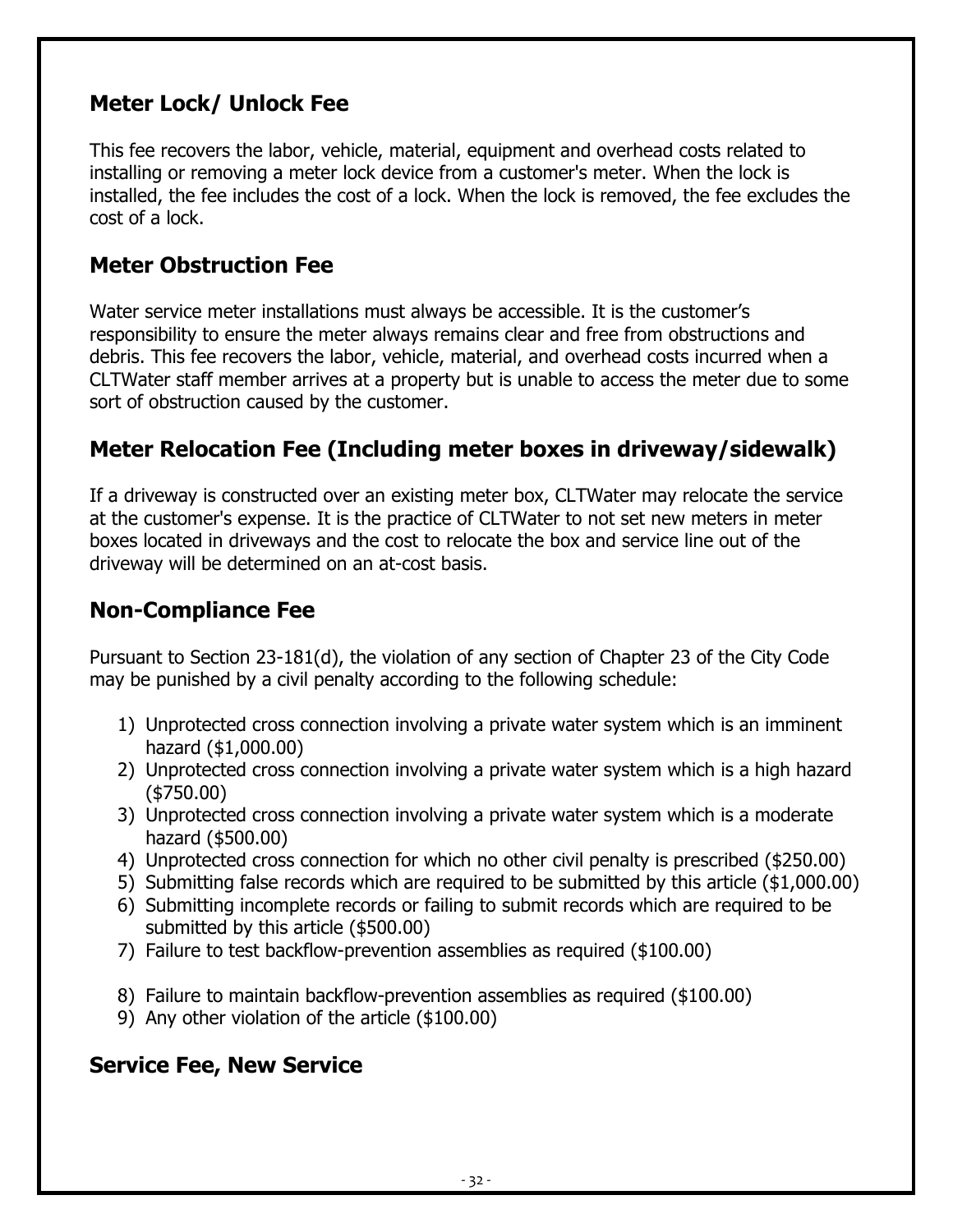#### <span id="page-31-0"></span>**Meter Lock/ Unlock Fee**

This fee recovers the labor, vehicle, material, equipment and overhead costs related to installing or removing a meter lock device from a customer's meter. When the lock is installed, the fee includes the cost of a lock. When the lock is removed, the fee excludes the cost of a lock.

#### <span id="page-31-1"></span>**Meter Obstruction Fee**

Water service meter installations must always be accessible. It is the customer's responsibility to ensure the meter always remains clear and free from obstructions and debris. This fee recovers the labor, vehicle, material, and overhead costs incurred when a CLTWater staff member arrives at a property but is unable to access the meter due to some sort of obstruction caused by the customer.

#### <span id="page-31-2"></span>**Meter Relocation Fee (Including meter boxes in driveway/sidewalk)**

If a driveway is constructed over an existing meter box, CLTWater may relocate the service at the customer's expense. It is the practice of CLTWater to not set new meters in meter boxes located in driveways and the cost to relocate the box and service line out of the driveway will be determined on an at-cost basis.

#### <span id="page-31-3"></span>**Non-Compliance Fee**

Pursuant to Section 23-181(d), the violation of any section of Chapter 23 of the City Code may be punished by a civil penalty according to the following schedule:

- 1) Unprotected cross connection involving a private water system which is an imminent hazard (\$1,000.00)
- 2) Unprotected cross connection involving a private water system which is a high hazard (\$750.00)
- 3) Unprotected cross connection involving a private water system which is a moderate hazard (\$500.00)
- 4) Unprotected cross connection for which no other civil penalty is prescribed (\$250.00)
- 5) Submitting false records which are required to be submitted by this article (\$1,000.00)
- 6) Submitting incomplete records or failing to submit records which are required to be submitted by this article (\$500.00)
- 7) Failure to test backflow-prevention assemblies as required (\$100.00)
- 8) Failure to maintain backflow-prevention assemblies as required (\$100.00)
- 9) Any other violation of the article (\$100.00)

#### <span id="page-31-4"></span>**Service Fee, New Service**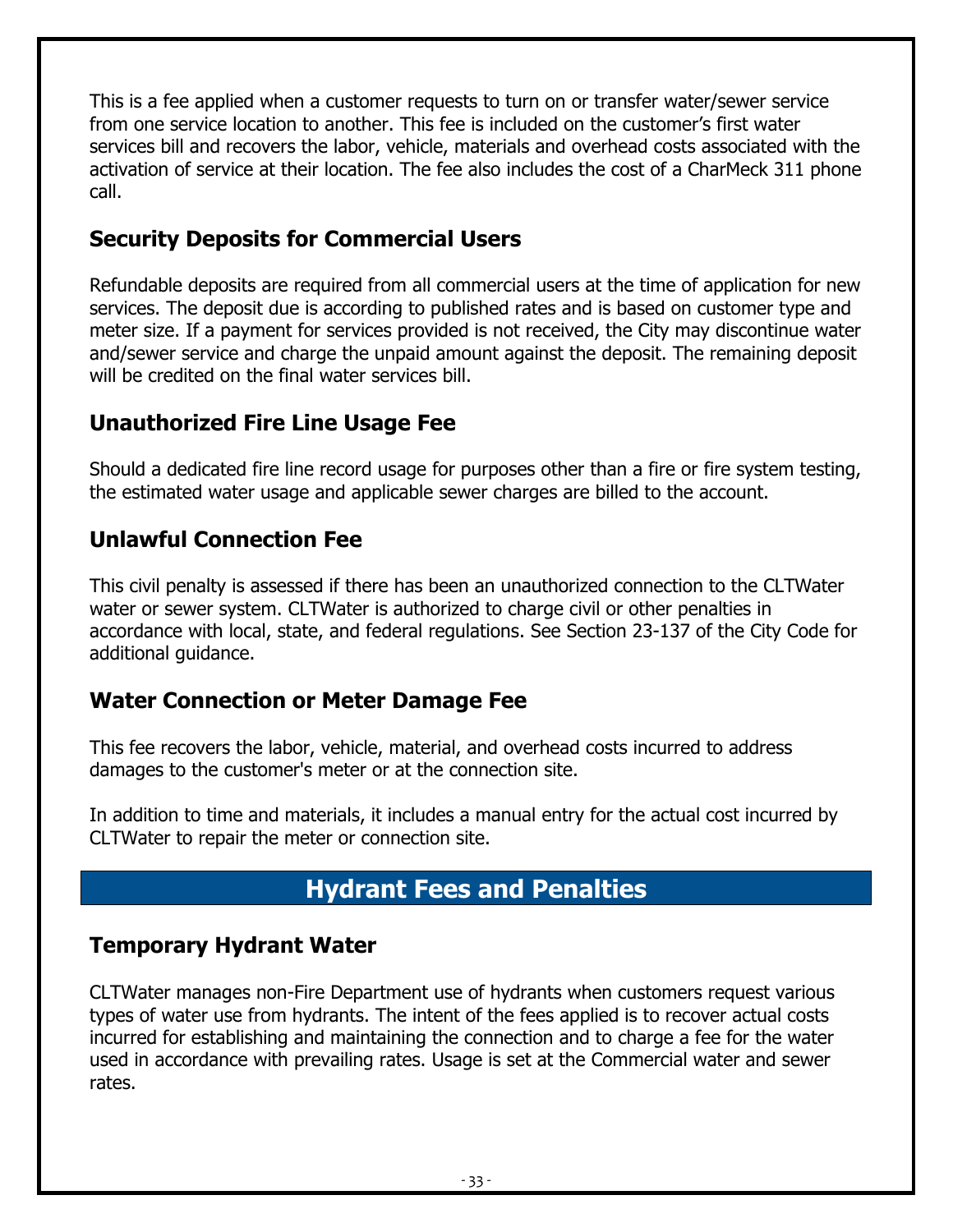This is a fee applied when a customer requests to turn on or transfer water/sewer service from one service location to another. This fee is included on the customer's first water services bill and recovers the labor, vehicle, materials and overhead costs associated with the activation of service at their location. The fee also includes the cost of a CharMeck 311 phone call.

#### <span id="page-32-0"></span>**Security Deposits for Commercial Users**

Refundable deposits are required from all commercial users at the time of application for new services. The deposit due is according to published rates and is based on customer type and meter size. If a payment for services provided is not received, the City may discontinue water and/sewer service and charge the unpaid amount against the deposit. The remaining deposit will be credited on the final water services bill.

#### <span id="page-32-1"></span>**Unauthorized Fire Line Usage Fee**

Should a dedicated fire line record usage for purposes other than a fire or fire system testing, the estimated water usage and applicable sewer charges are billed to the account.

#### <span id="page-32-2"></span>**Unlawful Connection Fee**

This civil penalty is assessed if there has been an unauthorized connection to the CLTWater water or sewer system. CLTWater is authorized to charge civil or other penalties in accordance with local, state, and federal regulations. See Section 23-137 of the City Code for additional guidance.

#### <span id="page-32-3"></span>**Water Connection or Meter Damage Fee**

This fee recovers the labor, vehicle, material, and overhead costs incurred to address damages to the customer's meter or at the connection site.

In addition to time and materials, it includes a manual entry for the actual cost incurred by CLTWater to repair the meter or connection site.

# **Hydrant Fees and Penalties**

#### <span id="page-32-5"></span><span id="page-32-4"></span>**Temporary Hydrant Water**

CLTWater manages non-Fire Department use of hydrants when customers request various types of water use from hydrants. The intent of the fees applied is to recover actual costs incurred for establishing and maintaining the connection and to charge a fee for the water used in accordance with prevailing rates. Usage is set at the Commercial water and sewer rates.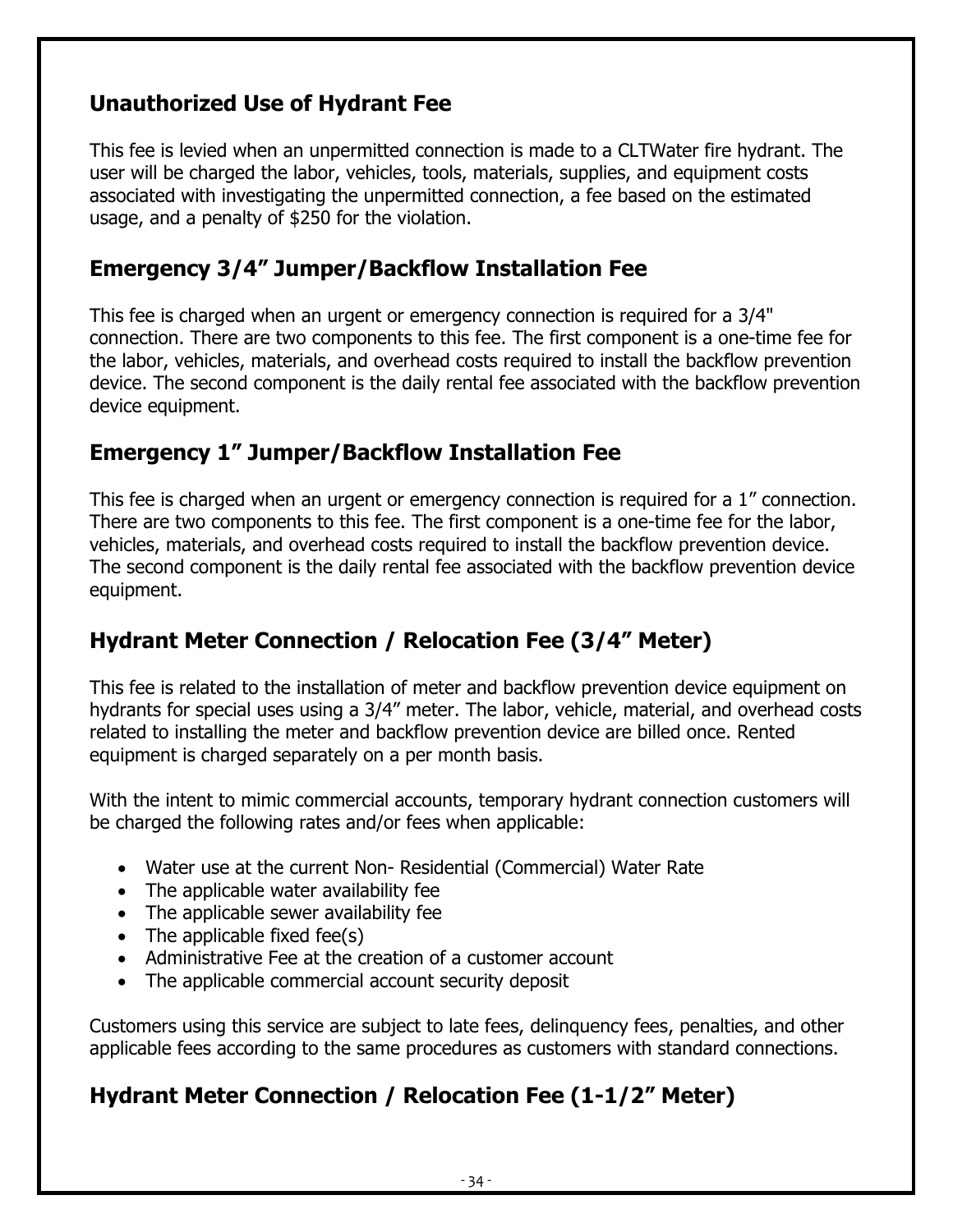#### <span id="page-33-0"></span>**Unauthorized Use of Hydrant Fee**

This fee is levied when an unpermitted connection is made to a CLTWater fire hydrant. The user will be charged the labor, vehicles, tools, materials, supplies, and equipment costs associated with investigating the unpermitted connection, a fee based on the estimated usage, and a penalty of \$250 for the violation.

#### <span id="page-33-1"></span>**Emergency 3/4" Jumper/Backflow Installation Fee**

This fee is charged when an urgent or emergency connection is required for a 3/4" connection. There are two components to this fee. The first component is a one-time fee for the labor, vehicles, materials, and overhead costs required to install the backflow prevention device. The second component is the daily rental fee associated with the backflow prevention device equipment.

#### <span id="page-33-2"></span>**Emergency 1" Jumper/Backflow Installation Fee**

This fee is charged when an urgent or emergency connection is required for a 1" connection. There are two components to this fee. The first component is a one-time fee for the labor, vehicles, materials, and overhead costs required to install the backflow prevention device. The second component is the daily rental fee associated with the backflow prevention device equipment.

#### <span id="page-33-3"></span>**Hydrant Meter Connection / Relocation Fee (3/4" Meter)**

This fee is related to the installation of meter and backflow prevention device equipment on hydrants for special uses using a 3/4" meter. The labor, vehicle, material, and overhead costs related to installing the meter and backflow prevention device are billed once. Rented equipment is charged separately on a per month basis.

With the intent to mimic commercial accounts, temporary hydrant connection customers will be charged the following rates and/or fees when applicable:

- Water use at the current Non- Residential (Commercial) Water Rate
- The applicable water availability fee
- The applicable sewer availability fee
- The applicable fixed fee(s)
- Administrative Fee at the creation of a customer account
- The applicable commercial account security deposit

Customers using this service are subject to late fees, delinquency fees, penalties, and other applicable fees according to the same procedures as customers with standard connections.

#### <span id="page-33-4"></span>**Hydrant Meter Connection / Relocation Fee (1-1/2" Meter)**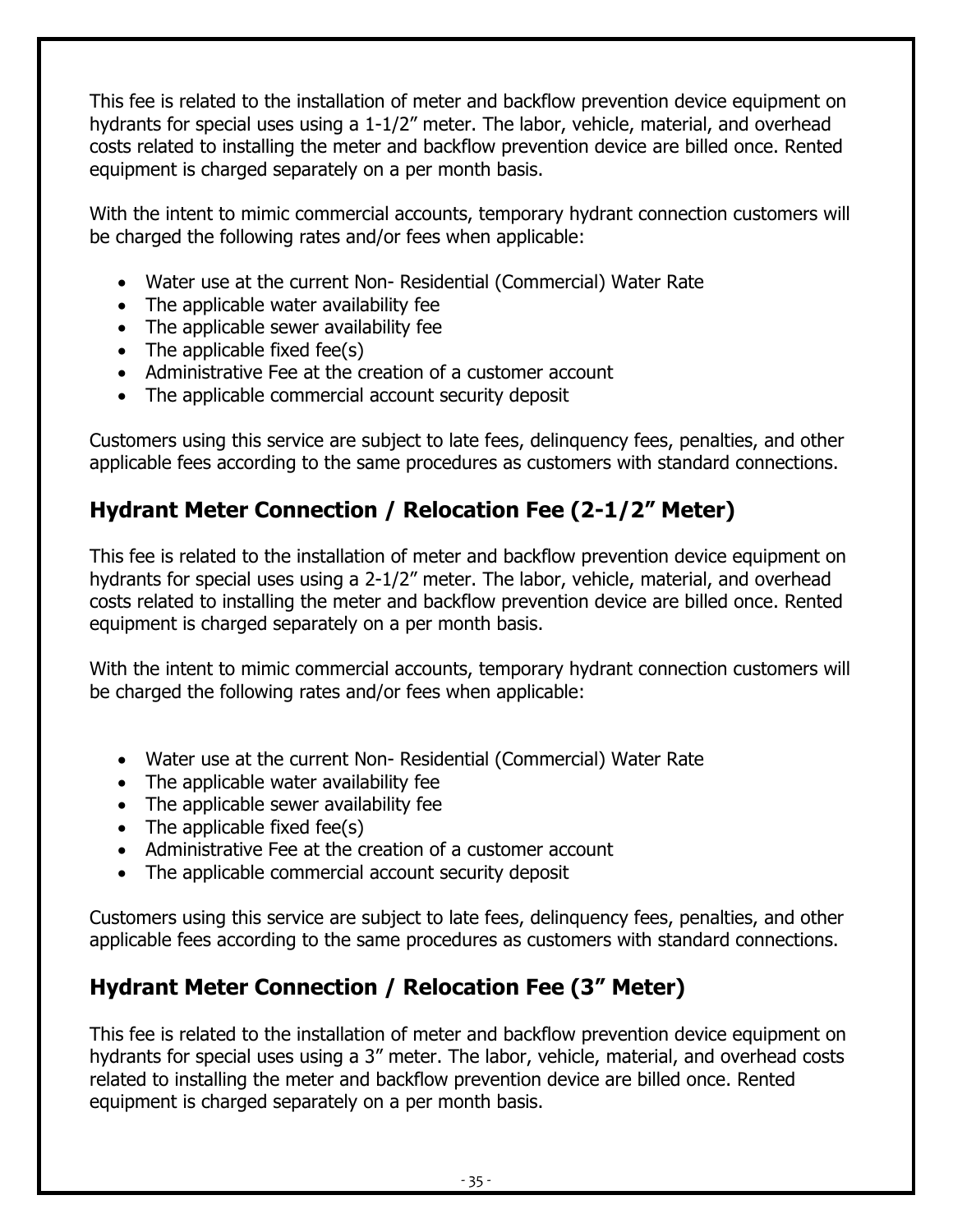This fee is related to the installation of meter and backflow prevention device equipment on hydrants for special uses using a 1-1/2" meter. The labor, vehicle, material, and overhead costs related to installing the meter and backflow prevention device are billed once. Rented equipment is charged separately on a per month basis.

With the intent to mimic commercial accounts, temporary hydrant connection customers will be charged the following rates and/or fees when applicable:

- Water use at the current Non- Residential (Commercial) Water Rate
- The applicable water availability fee
- The applicable sewer availability fee
- The applicable fixed fee(s)
- Administrative Fee at the creation of a customer account
- The applicable commercial account security deposit

Customers using this service are subject to late fees, delinquency fees, penalties, and other applicable fees according to the same procedures as customers with standard connections.

# <span id="page-34-0"></span>**Hydrant Meter Connection / Relocation Fee (2-1/2" Meter)**

This fee is related to the installation of meter and backflow prevention device equipment on hydrants for special uses using a 2-1/2" meter. The labor, vehicle, material, and overhead costs related to installing the meter and backflow prevention device are billed once. Rented equipment is charged separately on a per month basis.

With the intent to mimic commercial accounts, temporary hydrant connection customers will be charged the following rates and/or fees when applicable:

- Water use at the current Non- Residential (Commercial) Water Rate
- The applicable water availability fee
- The applicable sewer availability fee
- The applicable fixed fee(s)
- Administrative Fee at the creation of a customer account
- The applicable commercial account security deposit

Customers using this service are subject to late fees, delinquency fees, penalties, and other applicable fees according to the same procedures as customers with standard connections.

# <span id="page-34-1"></span>**Hydrant Meter Connection / Relocation Fee (3" Meter)**

This fee is related to the installation of meter and backflow prevention device equipment on hydrants for special uses using a 3" meter. The labor, vehicle, material, and overhead costs related to installing the meter and backflow prevention device are billed once. Rented equipment is charged separately on a per month basis.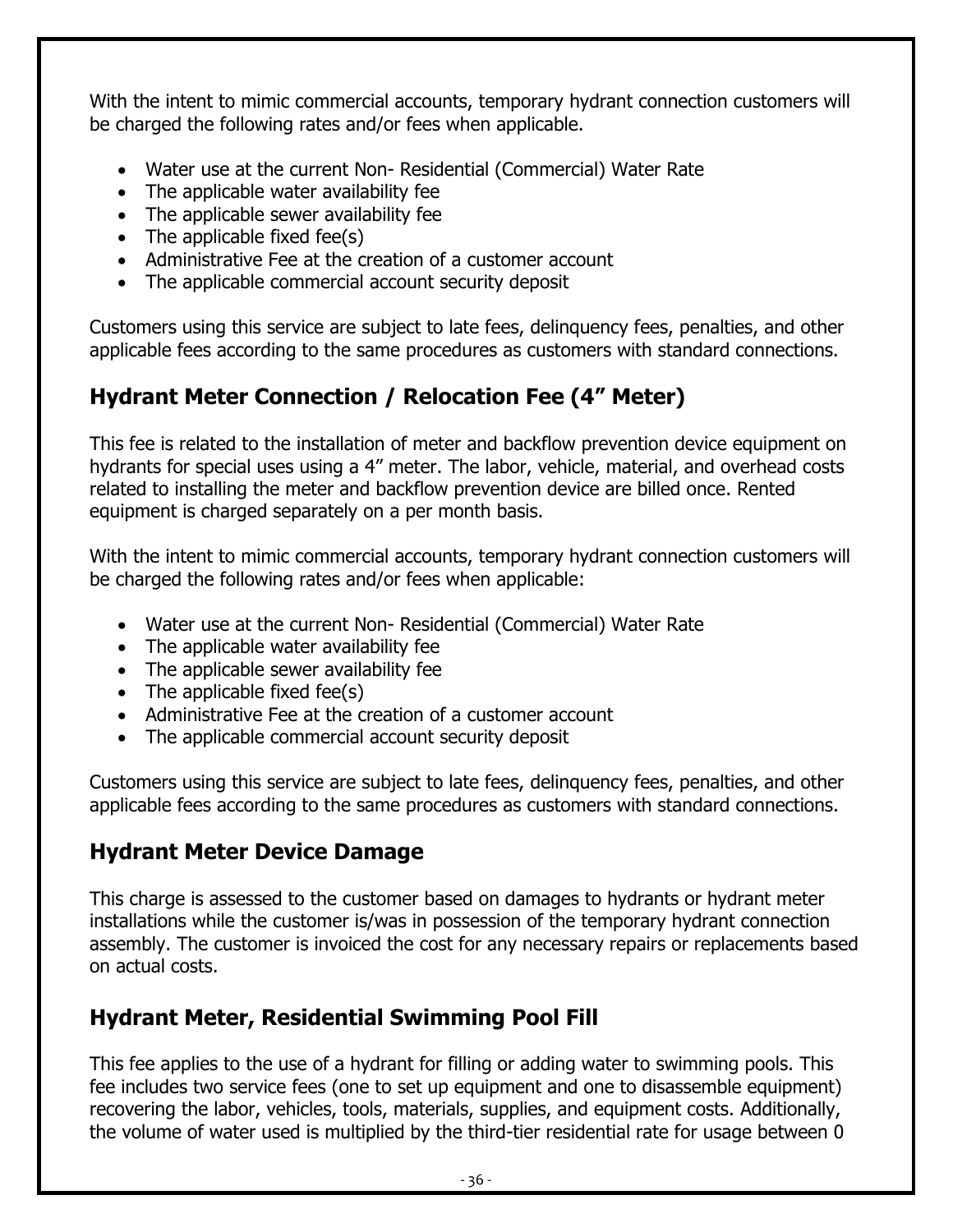With the intent to mimic commercial accounts, temporary hydrant connection customers will be charged the following rates and/or fees when applicable.

- Water use at the current Non- Residential (Commercial) Water Rate
- The applicable water availability fee
- The applicable sewer availability fee
- The applicable fixed fee(s)
- Administrative Fee at the creation of a customer account
- The applicable commercial account security deposit

Customers using this service are subject to late fees, delinquency fees, penalties, and other applicable fees according to the same procedures as customers with standard connections.

# <span id="page-35-0"></span>**Hydrant Meter Connection / Relocation Fee (4" Meter)**

This fee is related to the installation of meter and backflow prevention device equipment on hydrants for special uses using a 4" meter. The labor, vehicle, material, and overhead costs related to installing the meter and backflow prevention device are billed once. Rented equipment is charged separately on a per month basis.

With the intent to mimic commercial accounts, temporary hydrant connection customers will be charged the following rates and/or fees when applicable:

- Water use at the current Non- Residential (Commercial) Water Rate
- The applicable water availability fee
- The applicable sewer availability fee
- The applicable fixed fee $(s)$
- Administrative Fee at the creation of a customer account
- The applicable commercial account security deposit

Customers using this service are subject to late fees, delinquency fees, penalties, and other applicable fees according to the same procedures as customers with standard connections.

# <span id="page-35-1"></span>**Hydrant Meter Device Damage**

This charge is assessed to the customer based on damages to hydrants or hydrant meter installations while the customer is/was in possession of the temporary hydrant connection assembly. The customer is invoiced the cost for any necessary repairs or replacements based on actual costs.

# <span id="page-35-2"></span>**Hydrant Meter, Residential Swimming Pool Fill**

This fee applies to the use of a hydrant for filling or adding water to swimming pools. This fee includes two service fees (one to set up equipment and one to disassemble equipment) recovering the labor, vehicles, tools, materials, supplies, and equipment costs. Additionally, the volume of water used is multiplied by the third-tier residential rate for usage between 0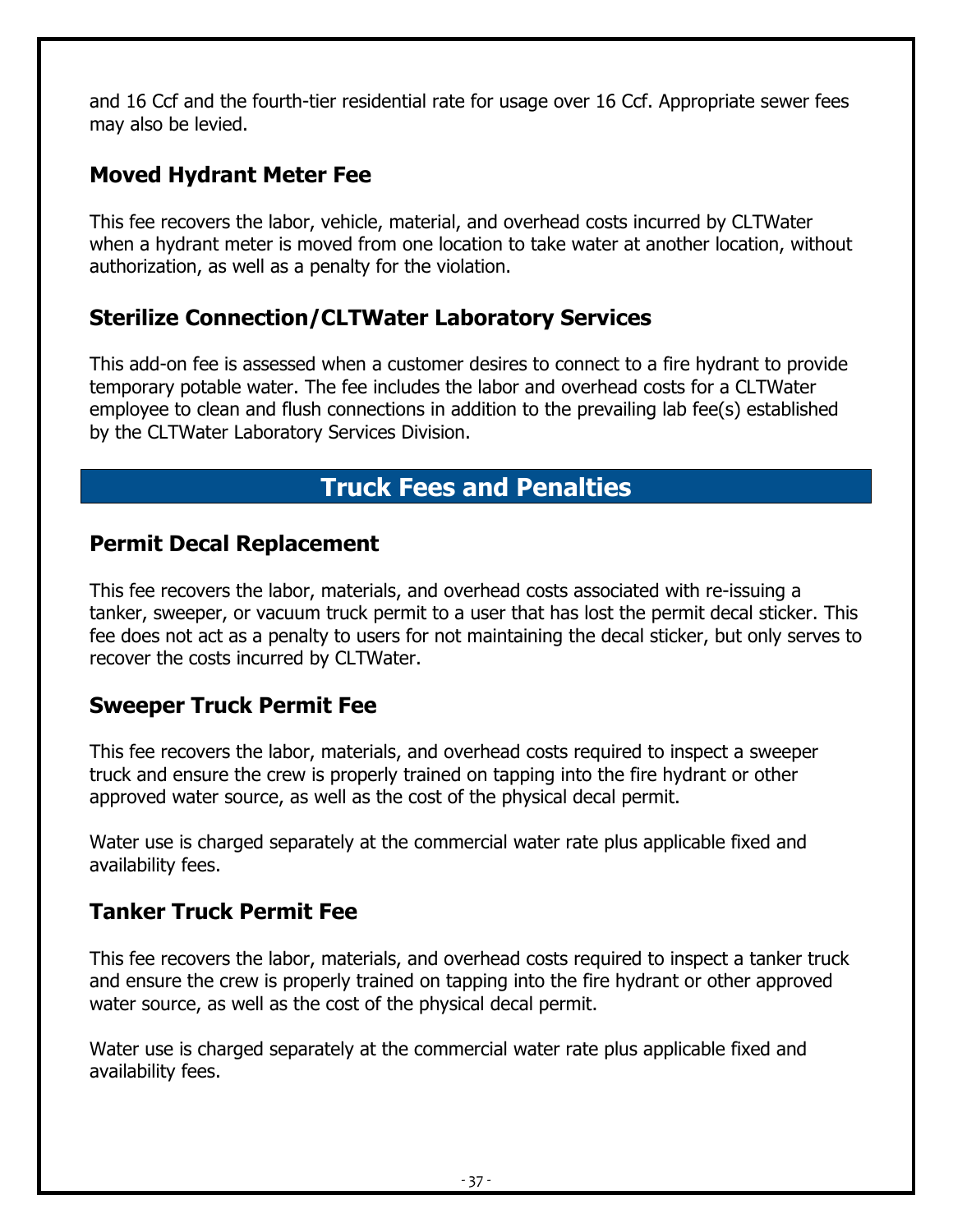and 16 Ccf and the fourth-tier residential rate for usage over 16 Ccf. Appropriate sewer fees may also be levied.

#### <span id="page-36-0"></span>**Moved Hydrant Meter Fee**

This fee recovers the labor, vehicle, material, and overhead costs incurred by CLTWater when a hydrant meter is moved from one location to take water at another location, without authorization, as well as a penalty for the violation.

#### <span id="page-36-1"></span>**Sterilize Connection/CLTWater Laboratory Services**

This add-on fee is assessed when a customer desires to connect to a fire hydrant to provide temporary potable water. The fee includes the labor and overhead costs for a CLTWater employee to clean and flush connections in addition to the prevailing lab fee(s) established by the CLTWater Laboratory Services Division.

# **Truck Fees and Penalties**

#### <span id="page-36-3"></span><span id="page-36-2"></span>**Permit Decal Replacement**

This fee recovers the labor, materials, and overhead costs associated with re-issuing a tanker, sweeper, or vacuum truck permit to a user that has lost the permit decal sticker. This fee does not act as a penalty to users for not maintaining the decal sticker, but only serves to recover the costs incurred by CLTWater.

#### <span id="page-36-4"></span>**Sweeper Truck Permit Fee**

This fee recovers the labor, materials, and overhead costs required to inspect a sweeper truck and ensure the crew is properly trained on tapping into the fire hydrant or other approved water source, as well as the cost of the physical decal permit.

Water use is charged separately at the commercial water rate plus applicable fixed and availability fees.

#### <span id="page-36-5"></span>**Tanker Truck Permit Fee**

This fee recovers the labor, materials, and overhead costs required to inspect a tanker truck and ensure the crew is properly trained on tapping into the fire hydrant or other approved water source, as well as the cost of the physical decal permit.

Water use is charged separately at the commercial water rate plus applicable fixed and availability fees.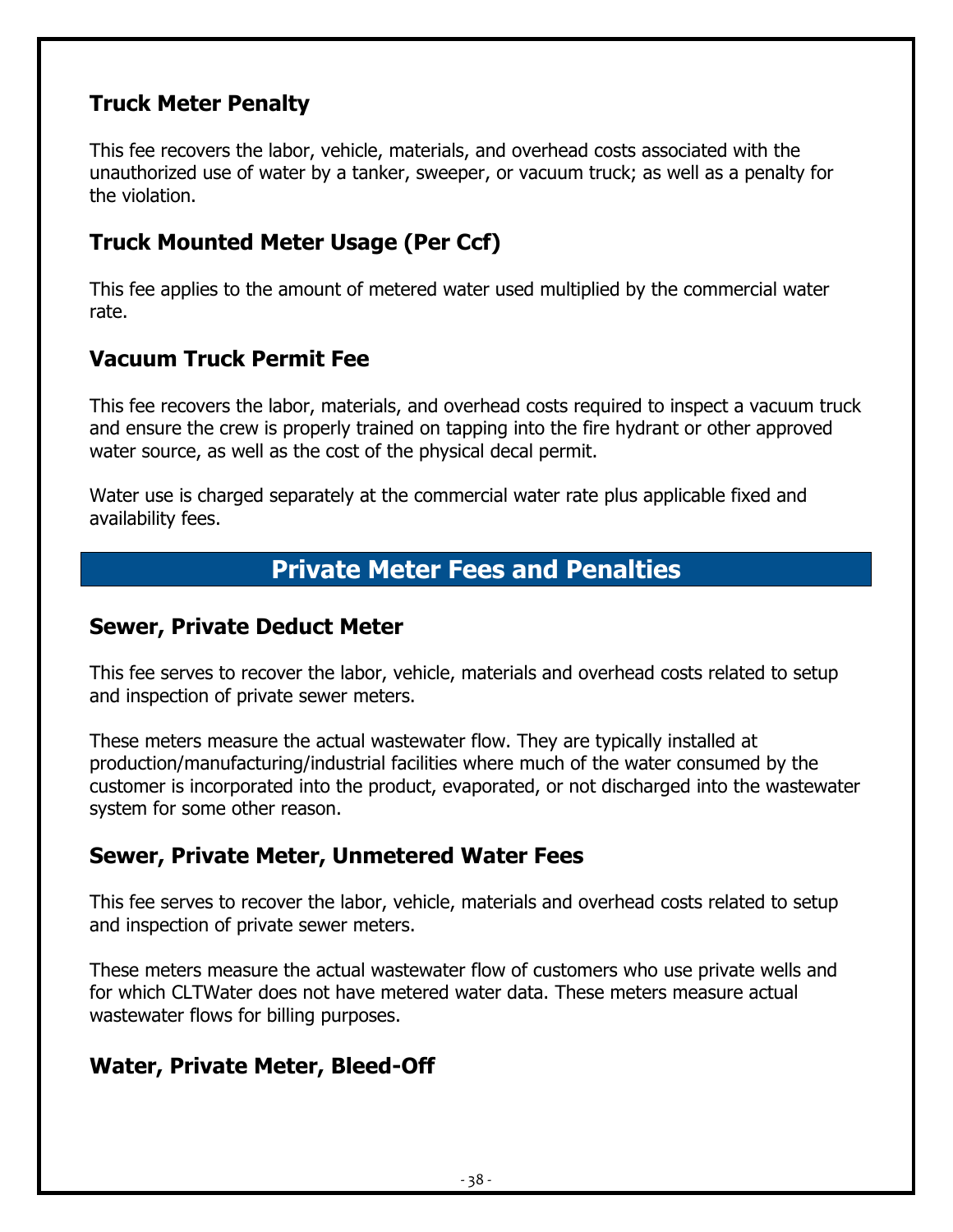#### <span id="page-37-0"></span>**Truck Meter Penalty**

This fee recovers the labor, vehicle, materials, and overhead costs associated with the unauthorized use of water by a tanker, sweeper, or vacuum truck; as well as a penalty for the violation.

#### <span id="page-37-1"></span>**Truck Mounted Meter Usage (Per Ccf)**

This fee applies to the amount of metered water used multiplied by the commercial water rate.

#### <span id="page-37-2"></span>**Vacuum Truck Permit Fee**

This fee recovers the labor, materials, and overhead costs required to inspect a vacuum truck and ensure the crew is properly trained on tapping into the fire hydrant or other approved water source, as well as the cost of the physical decal permit.

Water use is charged separately at the commercial water rate plus applicable fixed and availability fees.

# **Private Meter Fees and Penalties**

#### <span id="page-37-4"></span><span id="page-37-3"></span>**Sewer, Private Deduct Meter**

This fee serves to recover the labor, vehicle, materials and overhead costs related to setup and inspection of private sewer meters.

These meters measure the actual wastewater flow. They are typically installed at production/manufacturing/industrial facilities where much of the water consumed by the customer is incorporated into the product, evaporated, or not discharged into the wastewater system for some other reason.

#### <span id="page-37-5"></span>**Sewer, Private Meter, Unmetered Water Fees**

This fee serves to recover the labor, vehicle, materials and overhead costs related to setup and inspection of private sewer meters.

These meters measure the actual wastewater flow of customers who use private wells and for which CLTWater does not have metered water data. These meters measure actual wastewater flows for billing purposes.

#### <span id="page-37-6"></span>**Water, Private Meter, Bleed-Off**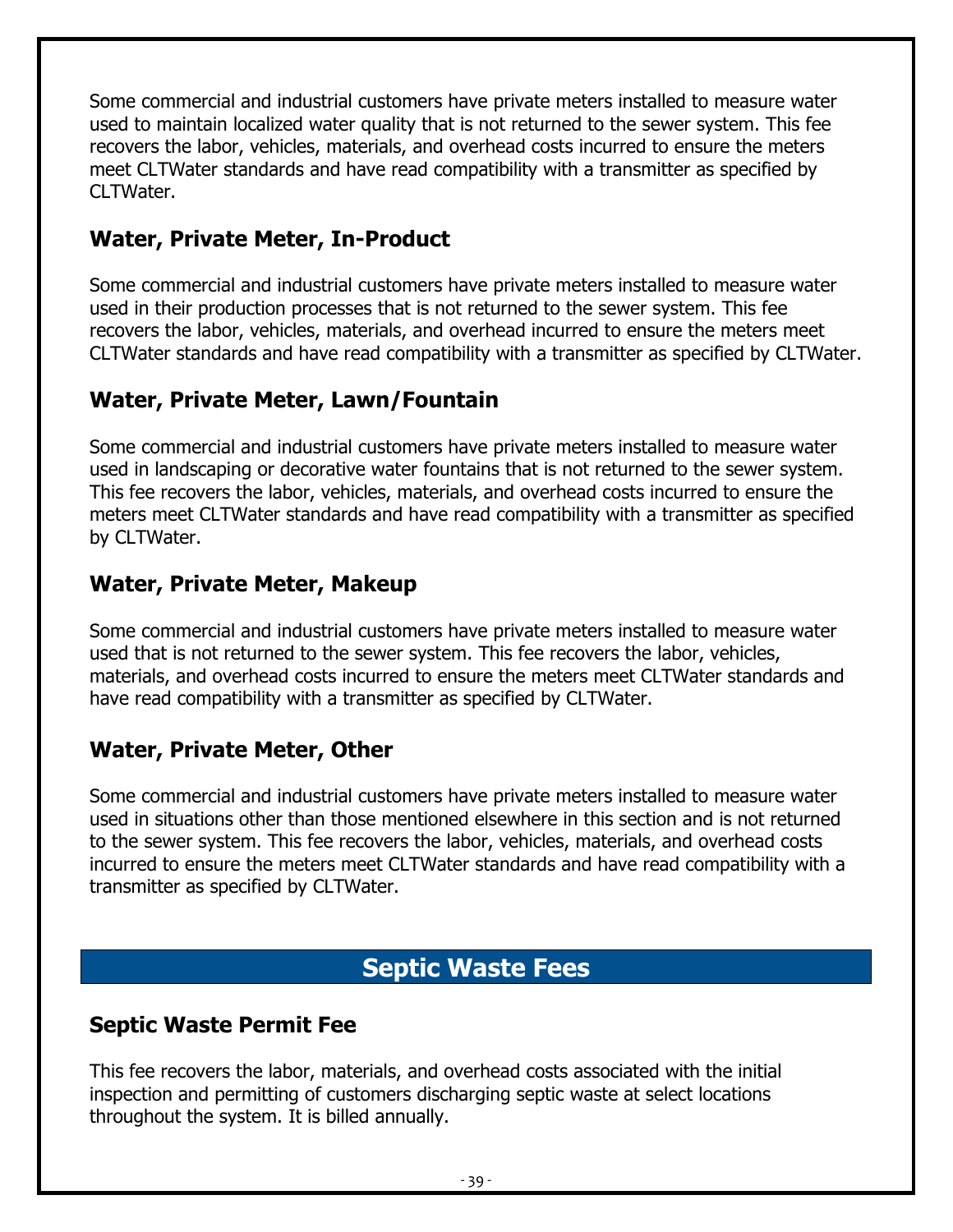Some commercial and industrial customers have private meters installed to measure water used to maintain localized water quality that is not returned to the sewer system. This fee recovers the labor, vehicles, materials, and overhead costs incurred to ensure the meters meet CLTWater standards and have read compatibility with a transmitter as specified by CLTWater.

#### <span id="page-38-0"></span>**Water, Private Meter, In-Product**

Some commercial and industrial customers have private meters installed to measure water used in their production processes that is not returned to the sewer system. This fee recovers the labor, vehicles, materials, and overhead incurred to ensure the meters meet CLTWater standards and have read compatibility with a transmitter as specified by CLTWater.

#### <span id="page-38-1"></span>**Water, Private Meter, Lawn/Fountain**

Some commercial and industrial customers have private meters installed to measure water used in landscaping or decorative water fountains that is not returned to the sewer system. This fee recovers the labor, vehicles, materials, and overhead costs incurred to ensure the meters meet CLTWater standards and have read compatibility with a transmitter as specified by CLTWater.

#### <span id="page-38-2"></span>**Water, Private Meter, Makeup**

Some commercial and industrial customers have private meters installed to measure water used that is not returned to the sewer system. This fee recovers the labor, vehicles, materials, and overhead costs incurred to ensure the meters meet CLTWater standards and have read compatibility with a transmitter as specified by CLTWater.

#### <span id="page-38-3"></span>**Water, Private Meter, Other**

Some commercial and industrial customers have private meters installed to measure water used in situations other than those mentioned elsewhere in this section and is not returned to the sewer system. This fee recovers the labor, vehicles, materials, and overhead costs incurred to ensure the meters meet CLTWater standards and have read compatibility with a transmitter as specified by CLTWater.

# **Septic Waste Fees**

#### <span id="page-38-5"></span><span id="page-38-4"></span>**Septic Waste Permit Fee**

This fee recovers the labor, materials, and overhead costs associated with the initial inspection and permitting of customers discharging septic waste at select locations throughout the system. It is billed annually.